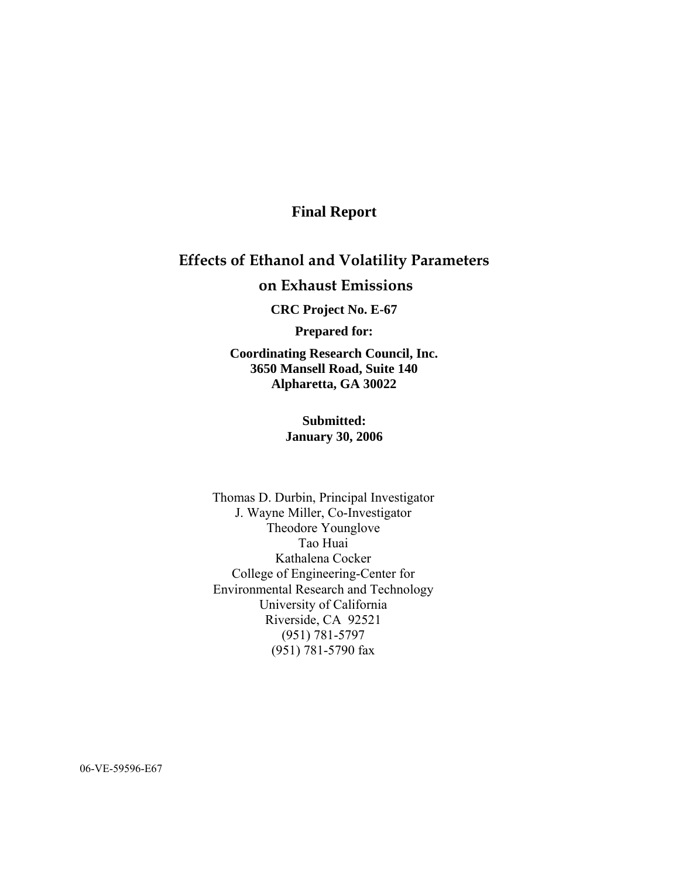## **Final Report**

# **Effects of Ethanol and Volatility Parameters on Exhaust Emissions**

**CRC Project No. E-67** 

**Prepared for:** 

**Coordinating Research Council, Inc. 3650 Mansell Road, Suite 140 Alpharetta, GA 30022** 

#### **Submitted: January 30, 2006**

Thomas D. Durbin, Principal Investigator J. Wayne Miller, Co-Investigator Theodore Younglove Tao Huai Kathalena Cocker College of Engineering-Center for Environmental Research and Technology University of California Riverside, CA 92521 (951) 781-5797 (951) 781-5790 fax

06-VE-59596-E67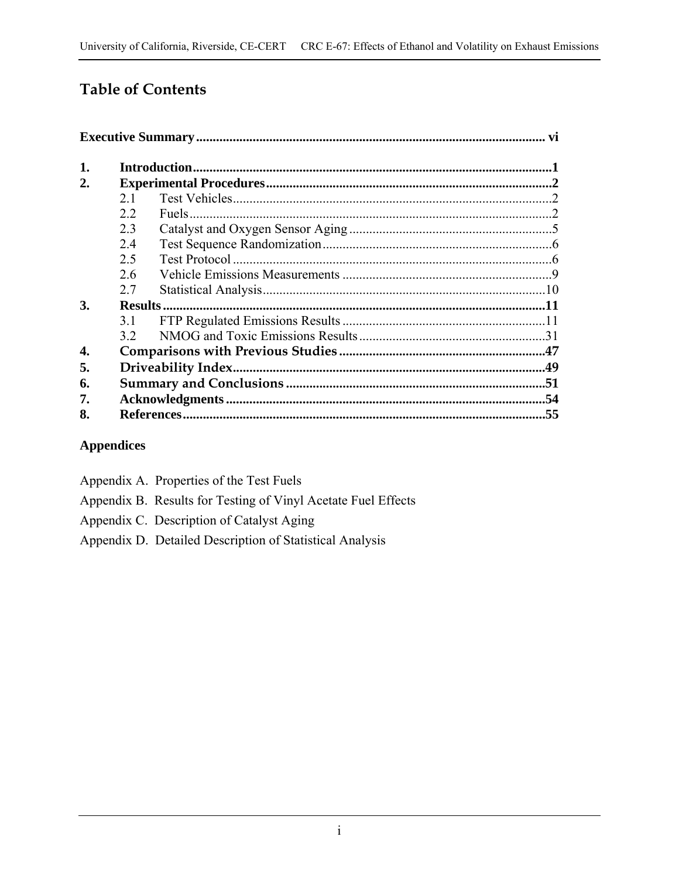# **Table of Contents**

| 1. |     |  |
|----|-----|--|
| 2. |     |  |
|    | 2.1 |  |
|    | 22  |  |
|    | 2.3 |  |
|    | 24  |  |
|    | 2.5 |  |
|    | 2.6 |  |
|    | 2.7 |  |
| 3. |     |  |
|    | 31  |  |
|    | 32  |  |
| 4. |     |  |
| 5. |     |  |
| 6. |     |  |
| 7. |     |  |
| 8. |     |  |

## **Appendices**

Appendix A. Properties of the Test Fuels Appendix B. Results for Testing of Vinyl Acetate Fuel Effects Appendix C. Description of Catalyst Aging Appendix D. Detailed Description of Statistical Analysis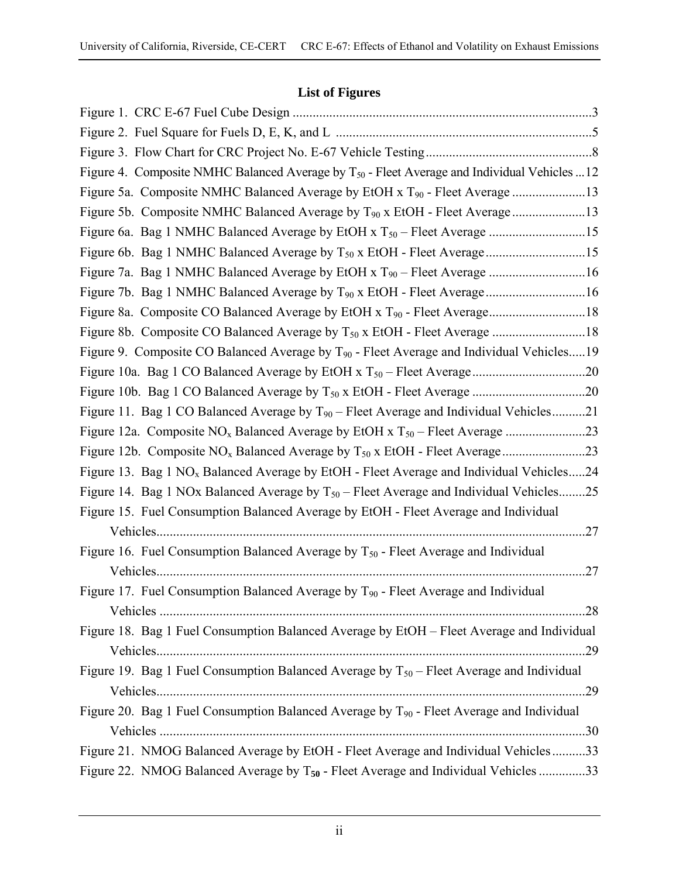## **List of Figures**

| Figure 4. Composite NMHC Balanced Average by T <sub>50</sub> - Fleet Average and Individual Vehicles 12 |
|---------------------------------------------------------------------------------------------------------|
| Figure 5a. Composite NMHC Balanced Average by EtOH x T <sub>90</sub> - Fleet Average 13                 |
| Figure 5b. Composite NMHC Balanced Average by T <sub>90</sub> x EtOH - Fleet Average 13                 |
|                                                                                                         |
|                                                                                                         |
| Figure 7a. Bag 1 NMHC Balanced Average by EtOH x T <sub>90</sub> – Fleet Average 16                     |
| Figure 7b. Bag 1 NMHC Balanced Average by T <sub>90</sub> x EtOH - Fleet Average16                      |
|                                                                                                         |
| Figure 8b. Composite CO Balanced Average by T <sub>50</sub> x EtOH - Fleet Average 18                   |
| Figure 9. Composite CO Balanced Average by T <sub>90</sub> - Fleet Average and Individual Vehicles19    |
|                                                                                                         |
|                                                                                                         |
| Figure 11. Bag 1 CO Balanced Average by T <sub>90</sub> – Fleet Average and Individual Vehicles21       |
|                                                                                                         |
|                                                                                                         |
| Figure 13. Bag 1 NO <sub>x</sub> Balanced Average by EtOH - Fleet Average and Individual Vehicles24     |
| Figure 14. Bag 1 NOx Balanced Average by $T_{50}$ – Fleet Average and Individual Vehicles25             |
| Figure 15. Fuel Consumption Balanced Average by EtOH - Fleet Average and Individual                     |
| .27                                                                                                     |
| Figure 16. Fuel Consumption Balanced Average by $T_{50}$ - Fleet Average and Individual                 |
| .27                                                                                                     |
| Figure 17. Fuel Consumption Balanced Average by T <sub>90</sub> - Fleet Average and Individual          |
|                                                                                                         |
| Figure 18. Bag 1 Fuel Consumption Balanced Average by EtOH - Fleet Average and Individual               |
|                                                                                                         |
| Figure 19. Bag 1 Fuel Consumption Balanced Average by $T_{50}$ – Fleet Average and Individual           |
|                                                                                                         |
| Figure 20. Bag 1 Fuel Consumption Balanced Average by T <sub>90</sub> - Fleet Average and Individual    |
|                                                                                                         |
| Figure 21. NMOG Balanced Average by EtOH - Fleet Average and Individual Vehicles33                      |
| Figure 22. NMOG Balanced Average by T <sub>50</sub> - Fleet Average and Individual Vehicles 33          |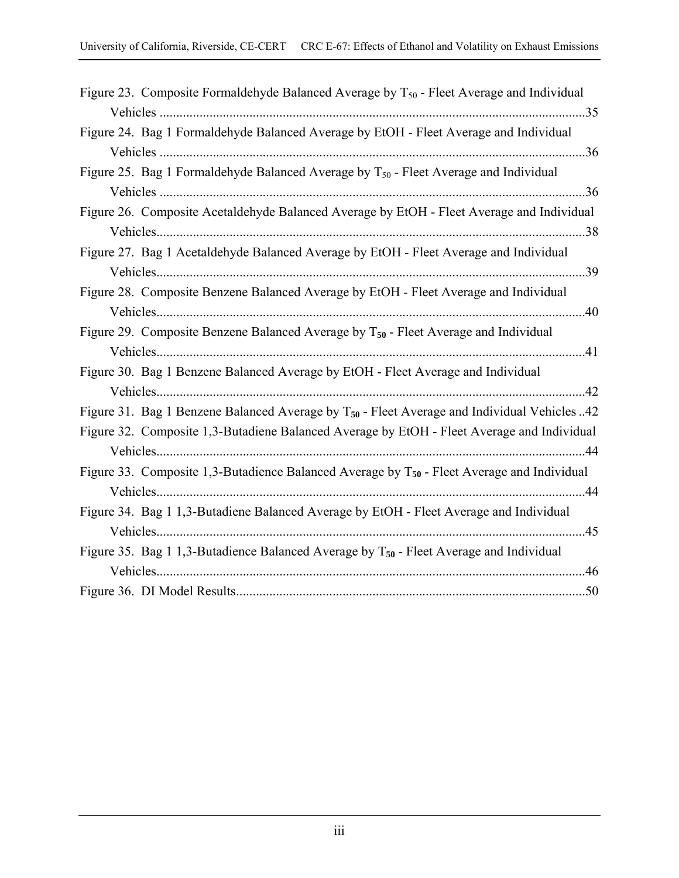| Figure 23. Composite Formaldehyde Balanced Average by $T_{50}$ - Fleet Average and Individual           |
|---------------------------------------------------------------------------------------------------------|
|                                                                                                         |
| Figure 24. Bag 1 Formaldehyde Balanced Average by EtOH - Fleet Average and Individual                   |
|                                                                                                         |
| Figure 25. Bag 1 Formaldehyde Balanced Average by $T_{50}$ - Fleet Average and Individual               |
|                                                                                                         |
| Figure 26. Composite Acetaldehyde Balanced Average by EtOH - Fleet Average and Individual               |
|                                                                                                         |
| Figure 27. Bag 1 Acetaldehyde Balanced Average by EtOH - Fleet Average and Individual                   |
|                                                                                                         |
| Figure 28. Composite Benzene Balanced Average by EtOH - Fleet Average and Individual                    |
|                                                                                                         |
| Figure 29. Composite Benzene Balanced Average by $T_{50}$ - Fleet Average and Individual                |
|                                                                                                         |
| Figure 30. Bag 1 Benzene Balanced Average by EtOH - Fleet Average and Individual                        |
|                                                                                                         |
| Figure 31. Bag 1 Benzene Balanced Average by T <sub>50</sub> - Fleet Average and Individual Vehicles 42 |
| Figure 32. Composite 1,3-Butadiene Balanced Average by EtOH - Fleet Average and Individual              |
|                                                                                                         |
| Figure 33. Composite 1,3-Butadience Balanced Average by $T_{50}$ - Fleet Average and Individual         |
|                                                                                                         |
| Figure 34. Bag 1 1,3-Butadiene Balanced Average by EtOH - Fleet Average and Individual                  |
|                                                                                                         |
| Figure 35. Bag 1 1,3-Butadience Balanced Average by $T_{50}$ - Fleet Average and Individual             |
|                                                                                                         |
|                                                                                                         |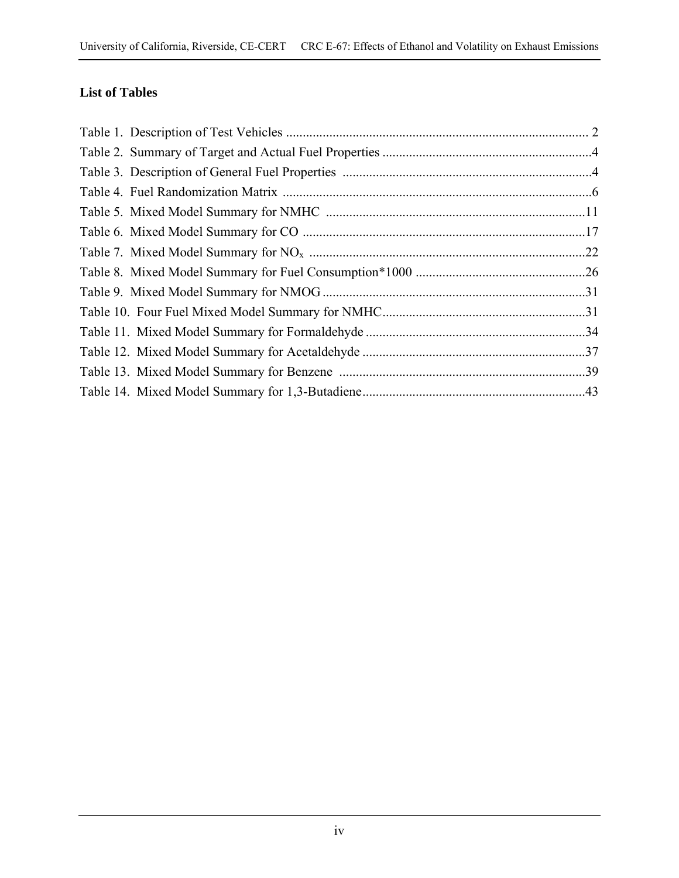## **List of Tables**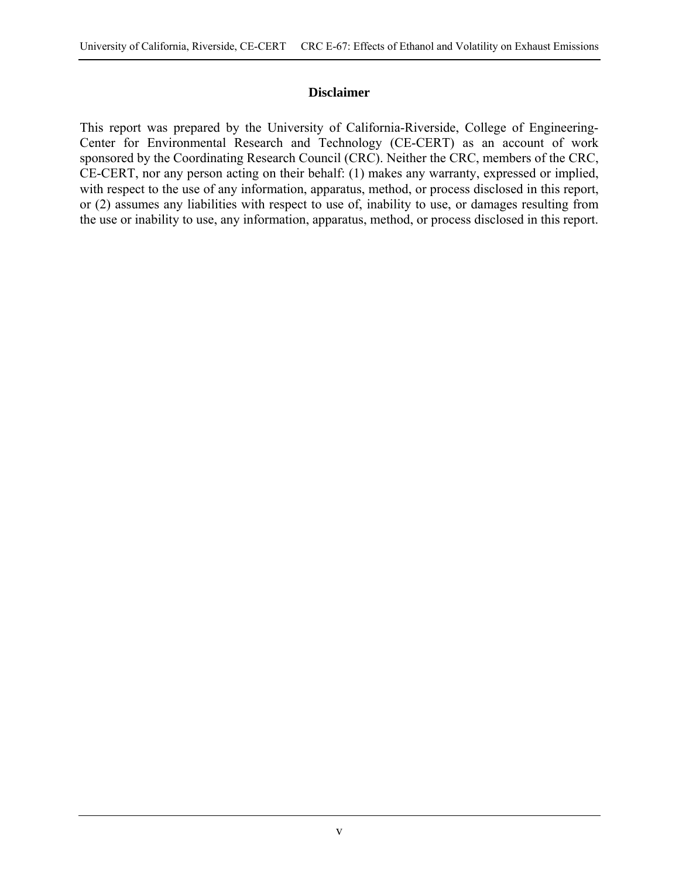#### **Disclaimer**

This report was prepared by the University of California-Riverside, College of Engineering-Center for Environmental Research and Technology (CE-CERT) as an account of work sponsored by the Coordinating Research Council (CRC). Neither the CRC, members of the CRC, CE-CERT, nor any person acting on their behalf: (1) makes any warranty, expressed or implied, with respect to the use of any information, apparatus, method, or process disclosed in this report, or (2) assumes any liabilities with respect to use of, inability to use, or damages resulting from the use or inability to use, any information, apparatus, method, or process disclosed in this report.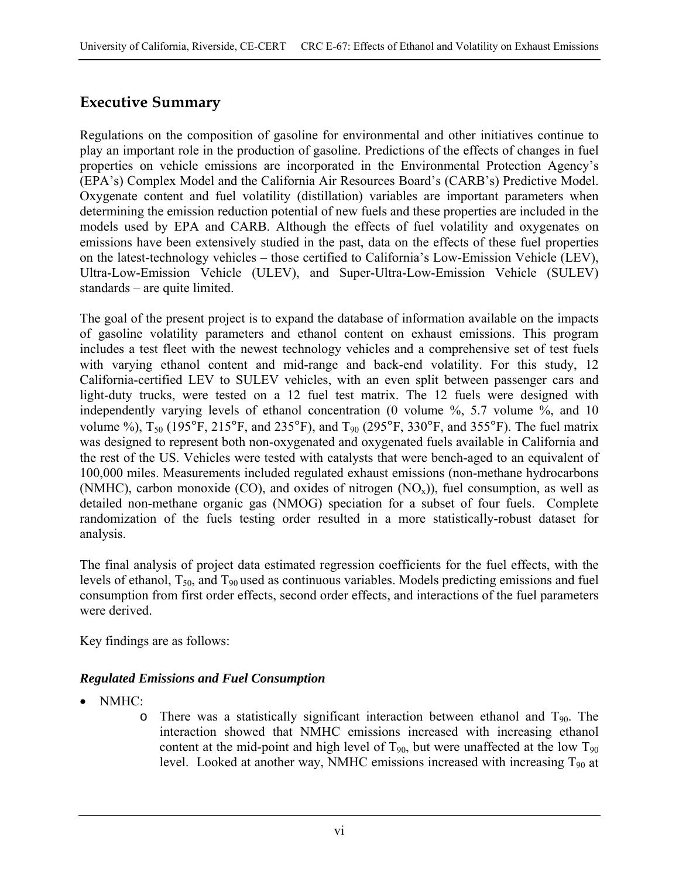## **Executive Summary**

Regulations on the composition of gasoline for environmental and other initiatives continue to play an important role in the production of gasoline. Predictions of the effects of changes in fuel properties on vehicle emissions are incorporated in the Environmental Protection Agency's (EPA's) Complex Model and the California Air Resources Board's (CARB's) Predictive Model. Oxygenate content and fuel volatility (distillation) variables are important parameters when determining the emission reduction potential of new fuels and these properties are included in the models used by EPA and CARB. Although the effects of fuel volatility and oxygenates on emissions have been extensively studied in the past, data on the effects of these fuel properties on the latest-technology vehicles – those certified to California's Low-Emission Vehicle (LEV), Ultra-Low-Emission Vehicle (ULEV), and Super-Ultra-Low-Emission Vehicle (SULEV) standards – are quite limited.

The goal of the present project is to expand the database of information available on the impacts of gasoline volatility parameters and ethanol content on exhaust emissions. This program includes a test fleet with the newest technology vehicles and a comprehensive set of test fuels with varying ethanol content and mid-range and back-end volatility. For this study, 12 California-certified LEV to SULEV vehicles, with an even split between passenger cars and light-duty trucks, were tested on a 12 fuel test matrix. The 12 fuels were designed with independently varying levels of ethanol concentration (0 volume %, 5.7 volume %, and 10 volume %),  $T_{50}$  (195°F, 215°F, and 235°F), and  $T_{90}$  (295°F, 330°F, and 355°F). The fuel matrix was designed to represent both non-oxygenated and oxygenated fuels available in California and the rest of the US. Vehicles were tested with catalysts that were bench-aged to an equivalent of 100,000 miles. Measurements included regulated exhaust emissions (non-methane hydrocarbons (NMHC), carbon monoxide (CO), and oxides of nitrogen  $(NO<sub>x</sub>)$ ), fuel consumption, as well as detailed non-methane organic gas (NMOG) speciation for a subset of four fuels. Complete randomization of the fuels testing order resulted in a more statistically-robust dataset for analysis.

The final analysis of project data estimated regression coefficients for the fuel effects, with the levels of ethanol,  $T_{50}$ , and  $T_{90}$  used as continuous variables. Models predicting emissions and fuel consumption from first order effects, second order effects, and interactions of the fuel parameters were derived.

Key findings are as follows:

## *Regulated Emissions and Fuel Consumption*

- NMHC:
	- o There was a statistically significant interaction between ethanol and  $T_{90}$ . The interaction showed that NMHC emissions increased with increasing ethanol content at the mid-point and high level of  $T_{90}$ , but were unaffected at the low  $T_{90}$ level. Looked at another way, NMHC emissions increased with increasing  $T_{90}$  at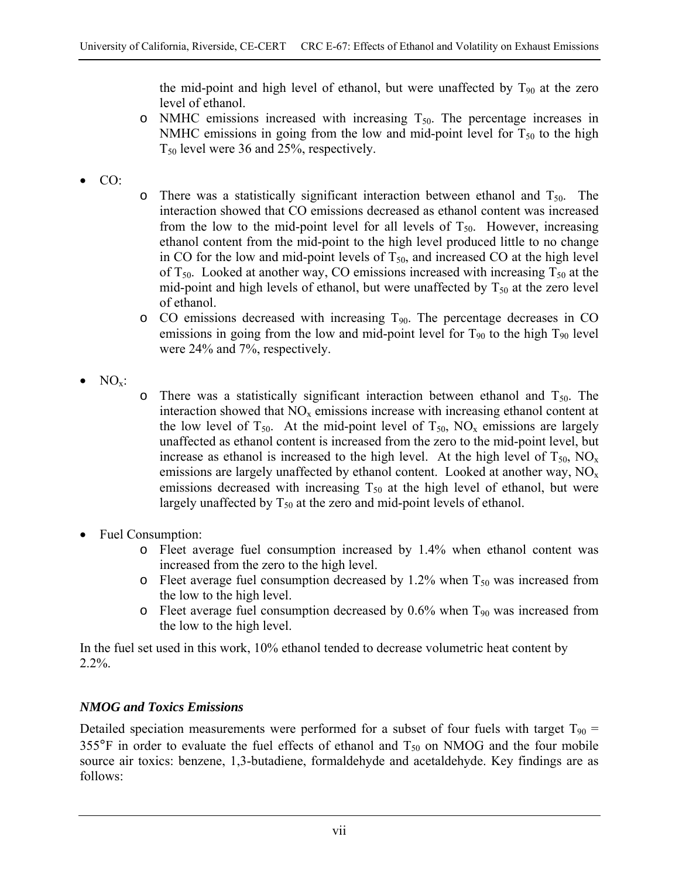the mid-point and high level of ethanol, but were unaffected by  $T_{90}$  at the zero level of ethanol.

- $\circ$  NMHC emissions increased with increasing  $T_{50}$ . The percentage increases in NMHC emissions in going from the low and mid-point level for  $T_{50}$  to the high  $T_{50}$  level were 36 and 25%, respectively.
- CO:
- $\circ$  There was a statistically significant interaction between ethanol and  $T_{50}$ . The interaction showed that CO emissions decreased as ethanol content was increased from the low to the mid-point level for all levels of  $T_{50}$ . However, increasing ethanol content from the mid-point to the high level produced little to no change in CO for the low and mid-point levels of  $T_{50}$ , and increased CO at the high level of  $T_{50}$ . Looked at another way, CO emissions increased with increasing  $T_{50}$  at the mid-point and high levels of ethanol, but were unaffected by  $T_{50}$  at the zero level of ethanol.
- $\circ$  CO emissions decreased with increasing  $T_{90}$ . The percentage decreases in CO emissions in going from the low and mid-point level for  $T_{90}$  to the high  $T_{90}$  level were 24% and 7%, respectively.
- $NO_{x}$ :
- $\circ$  There was a statistically significant interaction between ethanol and  $T_{50}$ . The interaction showed that  $NO<sub>x</sub>$  emissions increase with increasing ethanol content at the low level of  $T_{50}$ . At the mid-point level of  $T_{50}$ , NO<sub>x</sub> emissions are largely unaffected as ethanol content is increased from the zero to the mid-point level, but increase as ethanol is increased to the high level. At the high level of  $T_{50}$ ,  $NO<sub>x</sub>$ emissions are largely unaffected by ethanol content. Looked at another way,  $NO<sub>x</sub>$ emissions decreased with increasing  $T_{50}$  at the high level of ethanol, but were largely unaffected by  $T_{50}$  at the zero and mid-point levels of ethanol.
- Fuel Consumption:
	- o Fleet average fuel consumption increased by 1.4% when ethanol content was increased from the zero to the high level.
	- $\circ$  Fleet average fuel consumption decreased by 1.2% when  $T_{50}$  was increased from the low to the high level.
	- $\circ$  Fleet average fuel consumption decreased by 0.6% when T<sub>90</sub> was increased from the low to the high level.

In the fuel set used in this work, 10% ethanol tended to decrease volumetric heat content by 2.2%.

## *NMOG and Toxics Emissions*

Detailed speciation measurements were performed for a subset of four fuels with target  $T_{90}$  = 355 $\degree$ F in order to evaluate the fuel effects of ethanol and  $T_{50}$  on NMOG and the four mobile source air toxics: benzene, 1,3-butadiene, formaldehyde and acetaldehyde. Key findings are as follows: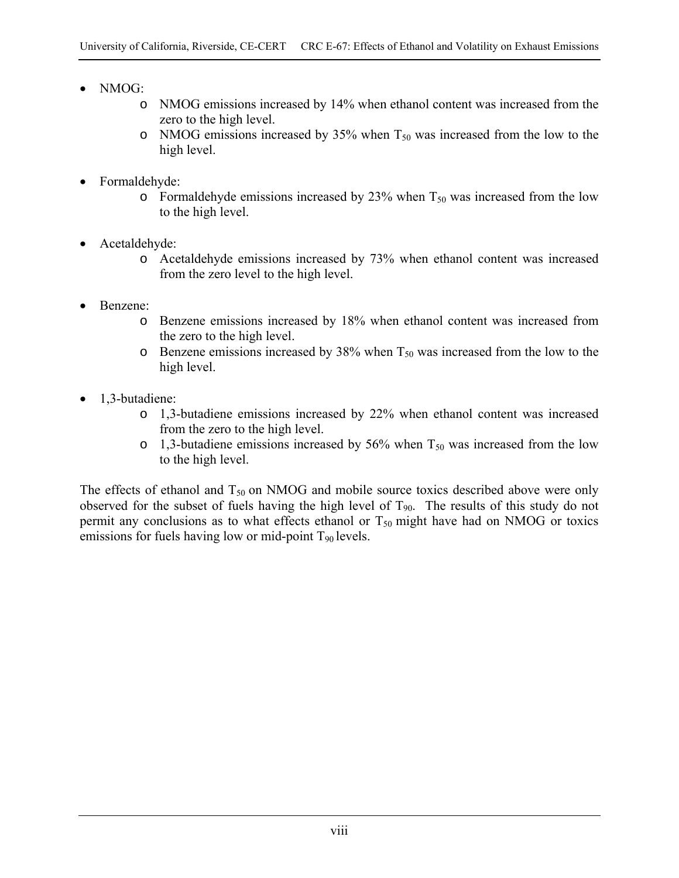- NMOG:
	- o NMOG emissions increased by 14% when ethanol content was increased from the zero to the high level.
	- $\circ$  NMOG emissions increased by 35% when T<sub>50</sub> was increased from the low to the high level.
- Formaldehyde:
	- o Formaldehyde emissions increased by 23% when  $T_{50}$  was increased from the low to the high level.
- Acetaldehyde:
	- o Acetaldehyde emissions increased by 73% when ethanol content was increased from the zero level to the high level.
- Benzene:
	- o Benzene emissions increased by 18% when ethanol content was increased from the zero to the high level.
	- o Benzene emissions increased by 38% when  $T_{50}$  was increased from the low to the high level.
- 1,3-butadiene:
	- o 1,3-butadiene emissions increased by 22% when ethanol content was increased from the zero to the high level.
	- $\circ$  1,3-butadiene emissions increased by 56% when T<sub>50</sub> was increased from the low to the high level.

The effects of ethanol and  $T_{50}$  on NMOG and mobile source toxics described above were only observed for the subset of fuels having the high level of  $T_{90}$ . The results of this study do not permit any conclusions as to what effects ethanol or  $T_{50}$  might have had on NMOG or toxics emissions for fuels having low or mid-point  $T_{90}$  levels.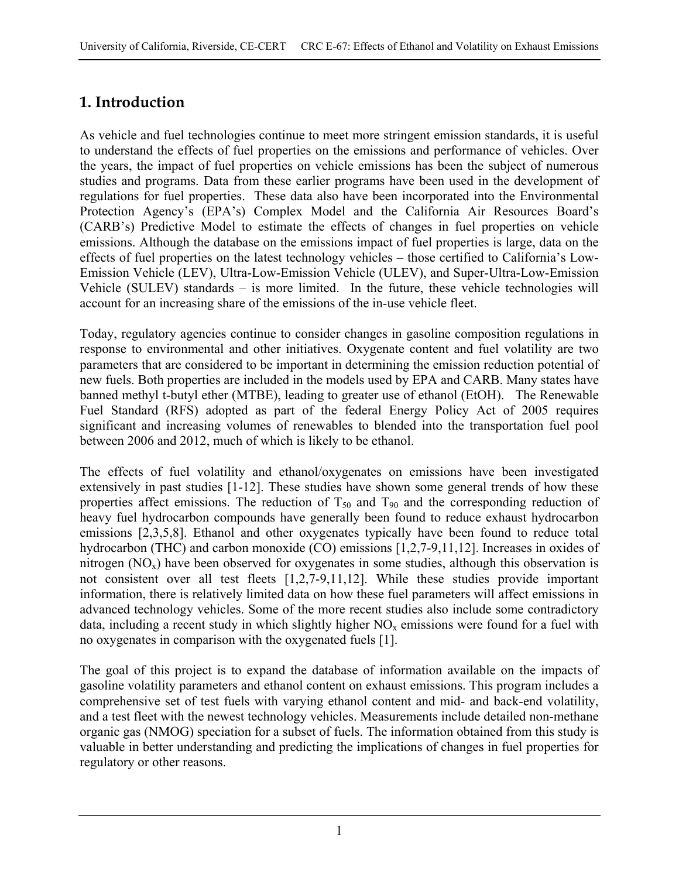# **1. Introduction**

As vehicle and fuel technologies continue to meet more stringent emission standards, it is useful to understand the effects of fuel properties on the emissions and performance of vehicles. Over the years, the impact of fuel properties on vehicle emissions has been the subject of numerous studies and programs. Data from these earlier programs have been used in the development of regulations for fuel properties. These data also have been incorporated into the Environmental Protection Agency's (EPA's) Complex Model and the California Air Resources Board's (CARB's) Predictive Model to estimate the effects of changes in fuel properties on vehicle emissions. Although the database on the emissions impact of fuel properties is large, data on the effects of fuel properties on the latest technology vehicles – those certified to California's Low-Emission Vehicle (LEV), Ultra-Low-Emission Vehicle (ULEV), and Super-Ultra-Low-Emission Vehicle (SULEV) standards – is more limited. In the future, these vehicle technologies will account for an increasing share of the emissions of the in-use vehicle fleet.

Today, regulatory agencies continue to consider changes in gasoline composition regulations in response to environmental and other initiatives. Oxygenate content and fuel volatility are two parameters that are considered to be important in determining the emission reduction potential of new fuels. Both properties are included in the models used by EPA and CARB. Many states have banned methyl t-butyl ether (MTBE), leading to greater use of ethanol (EtOH). The Renewable Fuel Standard (RFS) adopted as part of the federal Energy Policy Act of 2005 requires significant and increasing volumes of renewables to blended into the transportation fuel pool between 2006 and 2012, much of which is likely to be ethanol.

The effects of fuel volatility and ethanol/oxygenates on emissions have been investigated extensively in past studies [1-12]. These studies have shown some general trends of how these properties affect emissions. The reduction of  $T_{50}$  and  $T_{90}$  and the corresponding reduction of heavy fuel hydrocarbon compounds have generally been found to reduce exhaust hydrocarbon emissions [2,3,5,8]. Ethanol and other oxygenates typically have been found to reduce total hydrocarbon (THC) and carbon monoxide (CO) emissions [1,2,7-9,11,12]. Increases in oxides of nitrogen  $(NO_x)$  have been observed for oxygenates in some studies, although this observation is not consistent over all test fleets [1,2,7-9,11,12]. While these studies provide important information, there is relatively limited data on how these fuel parameters will affect emissions in advanced technology vehicles. Some of the more recent studies also include some contradictory data, including a recent study in which slightly higher  $NO<sub>x</sub>$  emissions were found for a fuel with no oxygenates in comparison with the oxygenated fuels [1].

The goal of this project is to expand the database of information available on the impacts of gasoline volatility parameters and ethanol content on exhaust emissions. This program includes a comprehensive set of test fuels with varying ethanol content and mid- and back-end volatility, and a test fleet with the newest technology vehicles. Measurements include detailed non-methane organic gas (NMOG) speciation for a subset of fuels. The information obtained from this study is valuable in better understanding and predicting the implications of changes in fuel properties for regulatory or other reasons.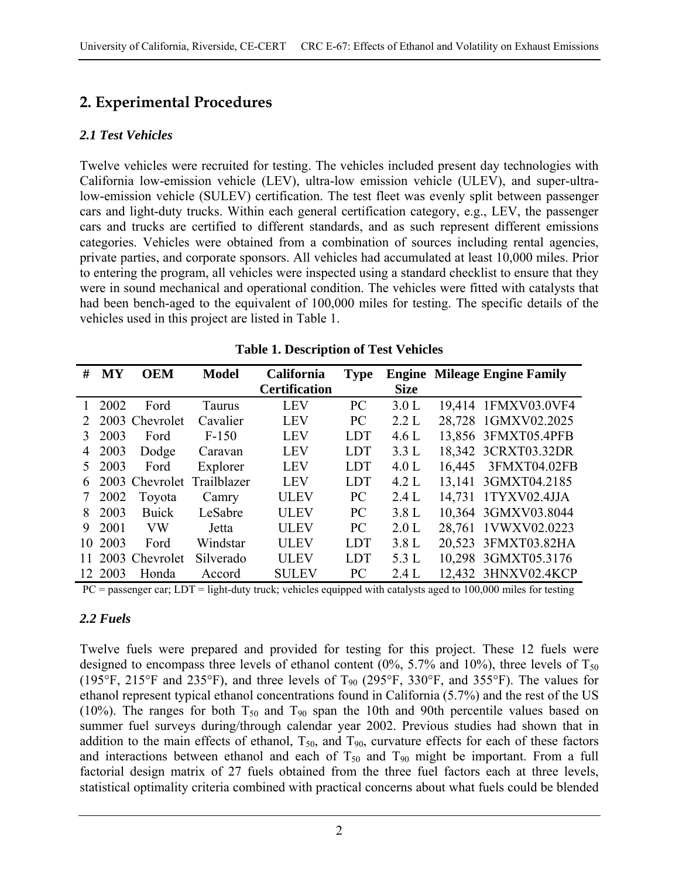# **2. Experimental Procedures**

## *2.1 Test Vehicles*

Twelve vehicles were recruited for testing. The vehicles included present day technologies with California low-emission vehicle (LEV), ultra-low emission vehicle (ULEV), and super-ultralow-emission vehicle (SULEV) certification. The test fleet was evenly split between passenger cars and light-duty trucks. Within each general certification category, e.g., LEV, the passenger cars and trucks are certified to different standards, and as such represent different emissions categories. Vehicles were obtained from a combination of sources including rental agencies, private parties, and corporate sponsors. All vehicles had accumulated at least 10,000 miles. Prior to entering the program, all vehicles were inspected using a standard checklist to ensure that they were in sound mechanical and operational condition. The vehicles were fitted with catalysts that had been bench-aged to the equivalent of 100,000 miles for testing. The specific details of the vehicles used in this project are listed in Table 1.

| #               | MY   | <b>OEM</b>     | <b>Model</b> | California           | <b>Type</b> |             | <b>Engine Mileage Engine Family</b> |
|-----------------|------|----------------|--------------|----------------------|-------------|-------------|-------------------------------------|
|                 |      |                |              | <b>Certification</b> |             | <b>Size</b> |                                     |
|                 | 2002 | Ford           | Taurus       | <b>LEV</b>           | PC          | 3.0 L       | 1FMXV03.0VF4<br>19.414              |
|                 |      | 2003 Chevrolet | Cavalier     | <b>LEV</b>           | PC          | 2.2 L       | 1GMXV02.2025<br>28,728              |
| 3               | 2003 | Ford           | $F-150$      | LEV                  | <b>LDT</b>  | 4.6 L       | 13,856 3FMXT05.4PFB                 |
| 4               | 2003 | Dodge          | Caravan      | <b>LEV</b>           | <b>LDT</b>  | 3.3L        | 18,342 3CRXT03.32DR                 |
| 5.              | 2003 | Ford           | Explorer     | <b>LEV</b>           | <b>LDT</b>  | 4.0 L       | 3FMXT04.02FB<br>16,445              |
| 6               |      | 2003 Chevrolet | Trailblazer  | LEV                  | <b>LDT</b>  | 4.2 L       | 3GMXT04.2185<br>13,141              |
|                 | 2002 | Toyota         | Camry        | <b>ULEV</b>          | PC          | 2.4 L       | 1TYXV02.4JJA<br>14,731              |
| 8               | 2003 | <b>Buick</b>   | LeSabre      | <b>ULEV</b>          | PC          | 3.8 L       | 10,364 3GMXV03.8044                 |
| 9               | 2001 | <b>VW</b>      | Jetta        | <b>ULEV</b>          | PC          | 2.0 L       | 1VWXV02.0223<br>28,761              |
| 10              | 2003 | Ford           | Windstar     | <b>ULEV</b>          | <b>LDT</b>  | 3.8 L       | 3FMXT03.82HA<br>20,523              |
| 11              |      | 2003 Chevrolet | Silverado    | <b>ULEV</b>          | <b>LDT</b>  | 5.3 L       | 3GMXT05.3176<br>10,298              |
| 12 <sup>1</sup> | 2003 | Honda          | Accord       | <b>SULEV</b>         | PC          | 2.4L        | 3HNXV02.4KCP<br>12,432              |

**Table 1. Description of Test Vehicles** 

PC = passenger car; LDT = light-duty truck; vehicles equipped with catalysts aged to 100,000 miles for testing

## *2.2 Fuels*

Twelve fuels were prepared and provided for testing for this project. These 12 fuels were designed to encompass three levels of ethanol content  $(0\%, 5.7\%$  and  $10\%)$ , three levels of  $T_{50}$ (195°F, 215°F and 235°F), and three levels of  $T_{90}$  (295°F, 330°F, and 355°F). The values for ethanol represent typical ethanol concentrations found in California (5.7%) and the rest of the US (10%). The ranges for both  $T_{50}$  and  $T_{90}$  span the 10th and 90th percentile values based on summer fuel surveys during/through calendar year 2002. Previous studies had shown that in addition to the main effects of ethanol,  $T_{50}$ , and  $T_{90}$ , curvature effects for each of these factors and interactions between ethanol and each of  $T_{50}$  and  $T_{90}$  might be important. From a full factorial design matrix of 27 fuels obtained from the three fuel factors each at three levels, statistical optimality criteria combined with practical concerns about what fuels could be blended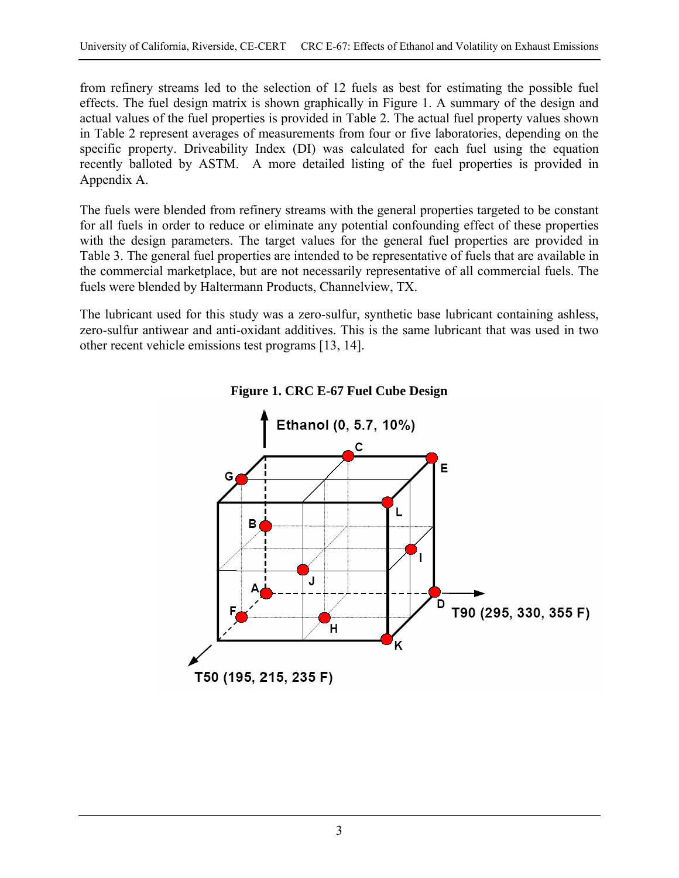from refinery streams led to the selection of 12 fuels as best for estimating the possible fuel effects. The fuel design matrix is shown graphically in Figure 1. A summary of the design and actual values of the fuel properties is provided in Table 2. The actual fuel property values shown in Table 2 represent averages of measurements from four or five laboratories, depending on the specific property. Driveability Index (DI) was calculated for each fuel using the equation recently balloted by ASTM. A more detailed listing of the fuel properties is provided in Appendix A.

The fuels were blended from refinery streams with the general properties targeted to be constant for all fuels in order to reduce or eliminate any potential confounding effect of these properties with the design parameters. The target values for the general fuel properties are provided in Table 3. The general fuel properties are intended to be representative of fuels that are available in the commercial marketplace, but are not necessarily representative of all commercial fuels. The fuels were blended by Haltermann Products, Channelview, TX.

The lubricant used for this study was a zero-sulfur, synthetic base lubricant containing ashless, zero-sulfur antiwear and anti-oxidant additives. This is the same lubricant that was used in two other recent vehicle emissions test programs [13, 14].



**Figure 1. CRC E-67 Fuel Cube Design**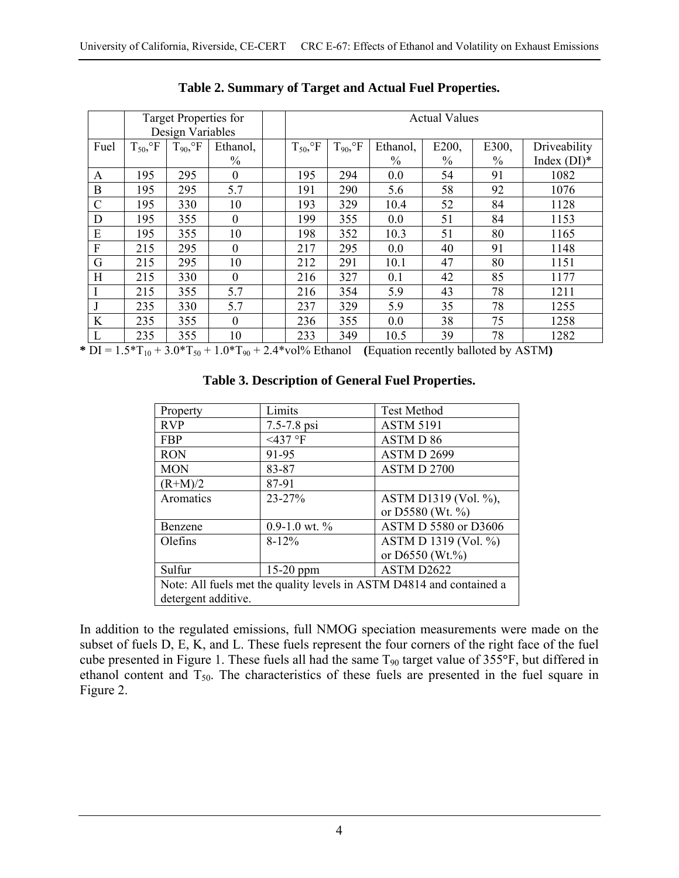| Target Properties for<br>Design Variables |                           |                          |                  |  | <b>Actual Values</b>      |                          |               |       |               |                |
|-------------------------------------------|---------------------------|--------------------------|------------------|--|---------------------------|--------------------------|---------------|-------|---------------|----------------|
| Fuel                                      | $T_{50}$ , ${}^{\circ}$ F | $T_{90}$ , ${}^{\circ}F$ | Ethanol,         |  | $T_{50}$ , ${}^{\circ}$ F | $T_{90}$ , ${}^{\circ}F$ | Ethanol,      | E200, | E300,         | Driveability   |
|                                           |                           |                          | $\frac{0}{0}$    |  |                           |                          | $\frac{0}{0}$ | $\%$  | $\frac{0}{0}$ | Index $(DI)^*$ |
| A                                         | 195                       | 295                      | $\boldsymbol{0}$ |  | 195                       | 294                      | 0.0           | 54    | 91            | 1082           |
| B                                         | 195                       | 295                      | 5.7              |  | 191                       | 290                      | 5.6           | 58    | 92            | 1076           |
| $\mathcal{C}$                             | 195                       | 330                      | 10               |  | 193                       | 329                      | 10.4          | 52    | 84            | 1128           |
| D                                         | 195                       | 355                      | $\mathbf{0}$     |  | 199                       | 355                      | 0.0           | 51    | 84            | 1153           |
| E                                         | 195                       | 355                      | 10               |  | 198                       | 352                      | 10.3          | 51    | 80            | 1165           |
| F                                         | 215                       | 295                      | $\mathbf{0}$     |  | 217                       | 295                      | 0.0           | 40    | 91            | 1148           |
| G                                         | 215                       | 295                      | 10               |  | 212                       | 291                      | 10.1          | 47    | 80            | 1151           |
| H                                         | 215                       | 330                      | $\mathbf{0}$     |  | 216                       | 327                      | 0.1           | 42    | 85            | 1177           |
|                                           | 215                       | 355                      | 5.7              |  | 216                       | 354                      | 5.9           | 43    | 78            | 1211           |
|                                           | 235                       | 330                      | 5.7              |  | 237                       | 329                      | 5.9           | 35    | 78            | 1255           |
| K                                         | 235                       | 355                      | $\theta$         |  | 236                       | 355                      | 0.0           | 38    | 75            | 1258           |
|                                           | 235                       | 355                      | 10               |  | 233                       | 349                      | 10.5          | 39    | 78            | 1282           |

**Table 2. Summary of Target and Actual Fuel Properties.** 

 $*$   $\overline{DI} = 1.5 * T_{10} + 3.0 * T_{50} + 1.0 * T_{90} + 2.4 * \text{vol\%}$  Ethanol (Equation recently balloted by ASTM)

| Property                                                             | Limits          | <b>Test Method</b>   |  |  |  |  |  |  |
|----------------------------------------------------------------------|-----------------|----------------------|--|--|--|--|--|--|
| <b>RVP</b>                                                           | 7.5-7.8 psi     | <b>ASTM 5191</b>     |  |  |  |  |  |  |
| <b>FBP</b>                                                           | $<$ 437 °F      | <b>ASTMD 86</b>      |  |  |  |  |  |  |
| <b>RON</b>                                                           | 91-95           | ASTMD 2699           |  |  |  |  |  |  |
| <b>MON</b>                                                           | 83-87           | ASTM D 2700          |  |  |  |  |  |  |
| $(R+M)/2$                                                            | 87-91           |                      |  |  |  |  |  |  |
| Aromatics                                                            | $23 - 27%$      | ASTM D1319 (Vol. %), |  |  |  |  |  |  |
|                                                                      |                 | or D5580 (Wt. %)     |  |  |  |  |  |  |
| Benzene                                                              | $0.9-1.0$ wt. % | ASTM D 5580 or D3606 |  |  |  |  |  |  |
| Olefins                                                              | $8 - 12\%$      | ASTM D 1319 (Vol. %) |  |  |  |  |  |  |
|                                                                      |                 | or $D6550$ (Wt.%)    |  |  |  |  |  |  |
| Sulfur                                                               | $15-20$ ppm     | ASTM D2622           |  |  |  |  |  |  |
| Note: All fuels met the quality levels in ASTM D4814 and contained a |                 |                      |  |  |  |  |  |  |
| detergent additive.                                                  |                 |                      |  |  |  |  |  |  |

#### **Table 3. Description of General Fuel Properties.**

In addition to the regulated emissions, full NMOG speciation measurements were made on the subset of fuels D, E, K, and L. These fuels represent the four corners of the right face of the fuel cube presented in Figure 1. These fuels all had the same T90 target value of 355**°**F, but differed in ethanol content and  $T_{50}$ . The characteristics of these fuels are presented in the fuel square in Figure 2.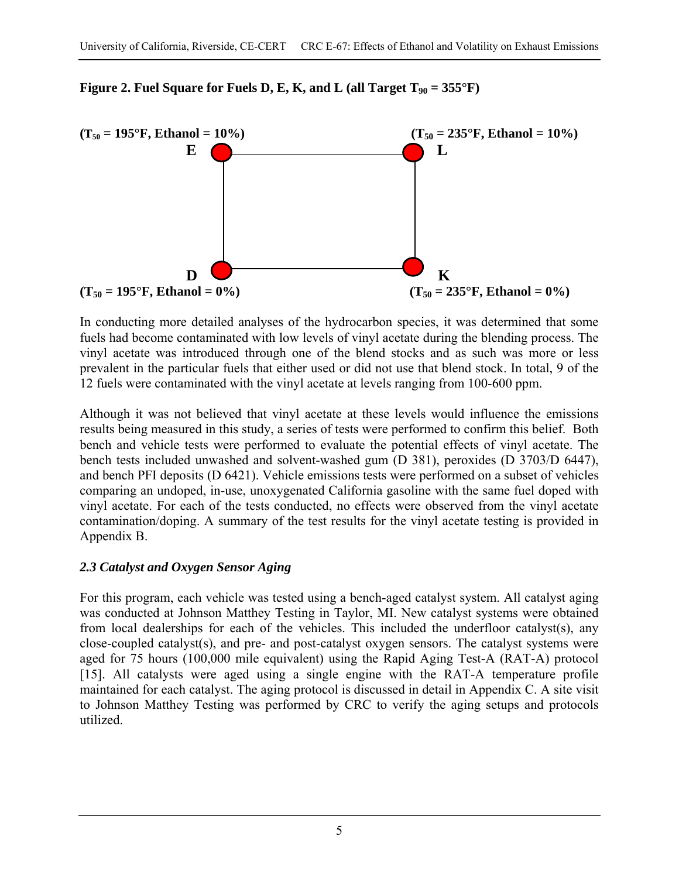

**Figure 2. Fuel Square for Fuels D, E, K, and L (all Target**  $T_{90} = 355^{\circ}F$ **)** 

In conducting more detailed analyses of the hydrocarbon species, it was determined that some fuels had become contaminated with low levels of vinyl acetate during the blending process. The vinyl acetate was introduced through one of the blend stocks and as such was more or less prevalent in the particular fuels that either used or did not use that blend stock. In total, 9 of the 12 fuels were contaminated with the vinyl acetate at levels ranging from 100-600 ppm.

Although it was not believed that vinyl acetate at these levels would influence the emissions results being measured in this study, a series of tests were performed to confirm this belief. Both bench and vehicle tests were performed to evaluate the potential effects of vinyl acetate. The bench tests included unwashed and solvent-washed gum (D 381), peroxides (D 3703/D 6447), and bench PFI deposits (D 6421). Vehicle emissions tests were performed on a subset of vehicles comparing an undoped, in-use, unoxygenated California gasoline with the same fuel doped with vinyl acetate. For each of the tests conducted, no effects were observed from the vinyl acetate contamination/doping. A summary of the test results for the vinyl acetate testing is provided in Appendix B.

## *2.3 Catalyst and Oxygen Sensor Aging*

For this program, each vehicle was tested using a bench-aged catalyst system. All catalyst aging was conducted at Johnson Matthey Testing in Taylor, MI. New catalyst systems were obtained from local dealerships for each of the vehicles. This included the underfloor catalyst(s), any close-coupled catalyst(s), and pre- and post-catalyst oxygen sensors. The catalyst systems were aged for 75 hours (100,000 mile equivalent) using the Rapid Aging Test-A (RAT-A) protocol [15]. All catalysts were aged using a single engine with the RAT-A temperature profile maintained for each catalyst. The aging protocol is discussed in detail in Appendix C. A site visit to Johnson Matthey Testing was performed by CRC to verify the aging setups and protocols utilized.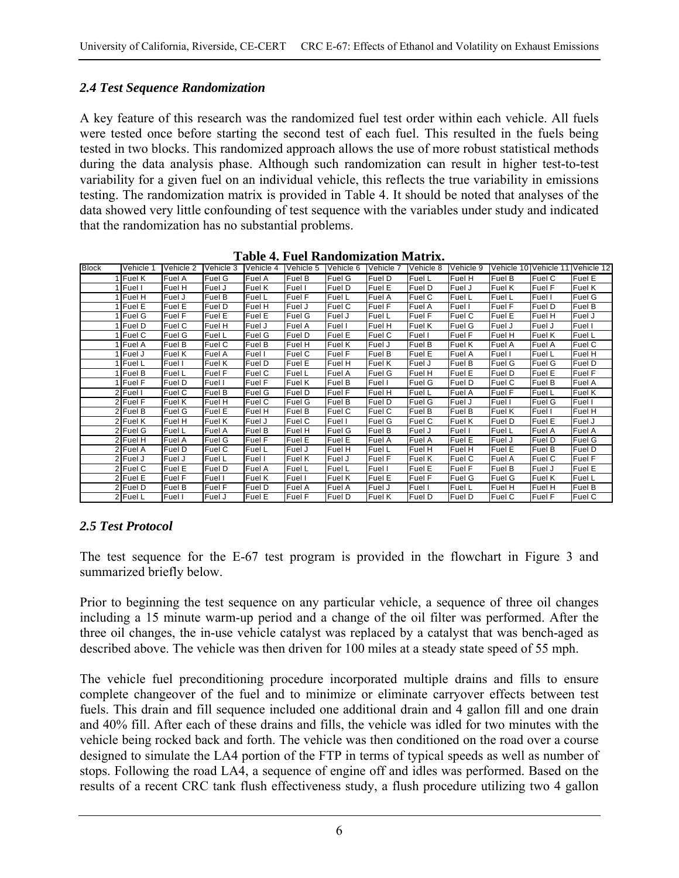## *2.4 Test Sequence Randomization*

A key feature of this research was the randomized fuel test order within each vehicle. All fuels were tested once before starting the second test of each fuel. This resulted in the fuels being tested in two blocks. This randomized approach allows the use of more robust statistical methods during the data analysis phase. Although such randomization can result in higher test-to-test variability for a given fuel on an individual vehicle, this reflects the true variability in emissions testing. The randomization matrix is provided in Table 4. It should be noted that analyses of the data showed very little confounding of test sequence with the variables under study and indicated that the randomization has no substantial problems.

| <b>Block</b> | Vehicle 1     | Vehicle 2 | Vehicle 3 | Vehicle 4     | Vehicle 5     | Vehicle 6 | Vehicle 7 | Vehicle 8 | Vehicle 9     |        |        | Vehicle 10 Vehicle 11 Vehicle 12 |
|--------------|---------------|-----------|-----------|---------------|---------------|-----------|-----------|-----------|---------------|--------|--------|----------------------------------|
|              | 1 Fuel K      | Fuel A    | Fuel G    | Fuel A        | Fuel B        | Fuel G    | Fuel D    | Fuel L    | Fuel H        | Fuel B | Fuel C | Fuel E                           |
|              | Fuel I        | Fuel H    | Fuel J    | <b>Fuel K</b> | Fuel I        | Fuel D    | Fuel E    | Fuel D    | Fuel J        | Fuel K | Fuel F | Fuel K                           |
|              | Fuel H        | Fuel J    | Fuel B    | Fuel L        | Fuel F        | Fuel L    | Fuel A    | Fuel C    | Fuel L        | Fuel L | Fuel I | Fuel G                           |
|              | Fuel E        | Fuel E    | Fuel D    | Fuel H        | Fuel J        | Fuel C    | Fuel F    | Fuel A    | Fuel I        | Fuel F | Fuel D | Fuel B                           |
|              | Fuel G        | Fuel F    | Fuel E    | Fuel E        | <b>Fuel G</b> | Fuel J    | Fuel L    | Fuel F    | Fuel C        | Fuel E | Fuel H | Fuel J                           |
|              | 1 Fuel D      | Fuel C    | Fuel H    | Fuel J        | Fuel A        | Fuel I    | Fuel H    | Fuel K    | Fuel G        | Fuel J | Fuel J | Fuel I                           |
|              | <b>Fuel C</b> | Fuel G    | Fuel L    | Fuel G        | Fuel D        | Fuel E    | Fuel C    | Fuel I    | Fuel F        | Fuel H | Fuel K | Fuel L                           |
|              | 1 Fuel A      | Fuel B    | Fuel C    | Fuel B        | Fuel H        | Fuel K    | Fuel J    | Fuel B    | Fuel K        | Fuel A | Fuel A | Fuel C                           |
|              | 1 Fuel J      | Fuel K    | Fuel A    | Fuel I        | Fuel C        | Fuel F    | Fuel B    | Fuel E    | Fuel A        | Fuel I | Fuel L | Fuel H                           |
|              | 1 Fuel L      | Fuel I    | Fuel K    | Fuel D        | Fuel E        | Fuel H    | Fuel K    | Fuel J    | Fuel B        | Fuel G | Fuel G | Fuel D                           |
|              | 1 Fuel B      | Fuel L    | Fuel F    | Fuel C        | Fuel L        | Fuel A    | Fuel G    | Fuel H    | Fuel E        | Fuel D | Fuel E | Fuel F                           |
|              | 1 Fuel F      | Fuel D    | Fuel I    | Fuel F        | Fuel K        | Fuel B    | Fuel I    | Fuel G    | Fuel D        | Fuel C | Fuel B | Fuel A                           |
|              | 2 Fuel I      | Fuel C    | Fuel B    | Fuel G        | Fuel D        | Fuel F    | Fuel H    | Fuel L    | Fuel A        | Fuel F | Fuel L | Fuel K                           |
|              | 2 Fuel F      | Fuel K    | Fuel H    | Fuel C        | <b>Fuel G</b> | Fuel B    | Fuel D    | Fuel G    | Fuel J        | Fuel I | Fuel G | Fuel I                           |
|              | 2 Fuel B      | Fuel G    | Fuel E    | Fuel H        | Fuel B        | Fuel C    | Fuel C    | Fuel B    | Fuel B        | Fuel K | Fuel I | Fuel H                           |
|              | 2 Fuel K      | Fuel H    | Fuel K    | Fuel J        | Fuel C        | Fuel I    | Fuel G    | Fuel C    | Fuel K        | Fuel D | Fuel E | Fuel J                           |
|              | 2 Fuel G      | Fuel L    | Fuel A    | Fuel B        | Fuel H        | Fuel G    | Fuel B    | Fuel J    | Fuel I        | Fuel L | Fuel A | Fuel A                           |
|              | 2 Fuel H      | Fuel A    | Fuel G    | Fuel F        | Fuel E        | Fuel E    | Fuel A    | Fuel A    | Fuel E        | Fuel J | Fuel D | Fuel G                           |
|              | 2 Fuel A      | Fuel D    | Fuel C    | Fuel L        | Fuel J        | Fuel H    | Fuel L    | Fuel H    | Fuel H        | Fuel E | Fuel B | Fuel D                           |
|              | 2 Fuel J      | Fuel J    | Fuel L    | Fuel I        | Fuel K        | Fuel J    | Fuel F    | Fuel K    | Fuel C        | Fuel A | Fuel C | Fuel F                           |
|              | 2 Fuel C      | Fuel E    | Fuel D    | Fuel A        | Fuel L        | Fuel L    | Fuel I    | Fuel E    | Fuel F        | Fuel B | Fuel J | Fuel E                           |
|              | 2 Fuel E      | Fuel F    | Fuel I    | Fuel K        | Fuel I        | Fuel K    | Fuel E    | Fuel F    | <b>Fuel G</b> | Fuel G | Fuel K | Fuel L                           |
|              | 2 Fuel D      | Fuel B    | Fuel F    | Fuel D        | Fuel A        | Fuel A    | Fuel J    | Fuel I    | Fuel L        | Fuel H | Fuel H | Fuel B                           |
|              | 2 Fuel L      | Fuel I    | Fuel J    | Fuel E        | Fuel F        | Fuel D    | Fuel K    | Fuel D    | Fuel D        | Fuel C | Fuel F | Fuel C                           |

**Table 4. Fuel Randomization Matrix.**

## *2.5 Test Protocol*

The test sequence for the E-67 test program is provided in the flowchart in Figure 3 and summarized briefly below.

Prior to beginning the test sequence on any particular vehicle, a sequence of three oil changes including a 15 minute warm-up period and a change of the oil filter was performed. After the three oil changes, the in-use vehicle catalyst was replaced by a catalyst that was bench-aged as described above. The vehicle was then driven for 100 miles at a steady state speed of 55 mph.

The vehicle fuel preconditioning procedure incorporated multiple drains and fills to ensure complete changeover of the fuel and to minimize or eliminate carryover effects between test fuels. This drain and fill sequence included one additional drain and 4 gallon fill and one drain and 40% fill. After each of these drains and fills, the vehicle was idled for two minutes with the vehicle being rocked back and forth. The vehicle was then conditioned on the road over a course designed to simulate the LA4 portion of the FTP in terms of typical speeds as well as number of stops. Following the road LA4, a sequence of engine off and idles was performed. Based on the results of a recent CRC tank flush effectiveness study, a flush procedure utilizing two 4 gallon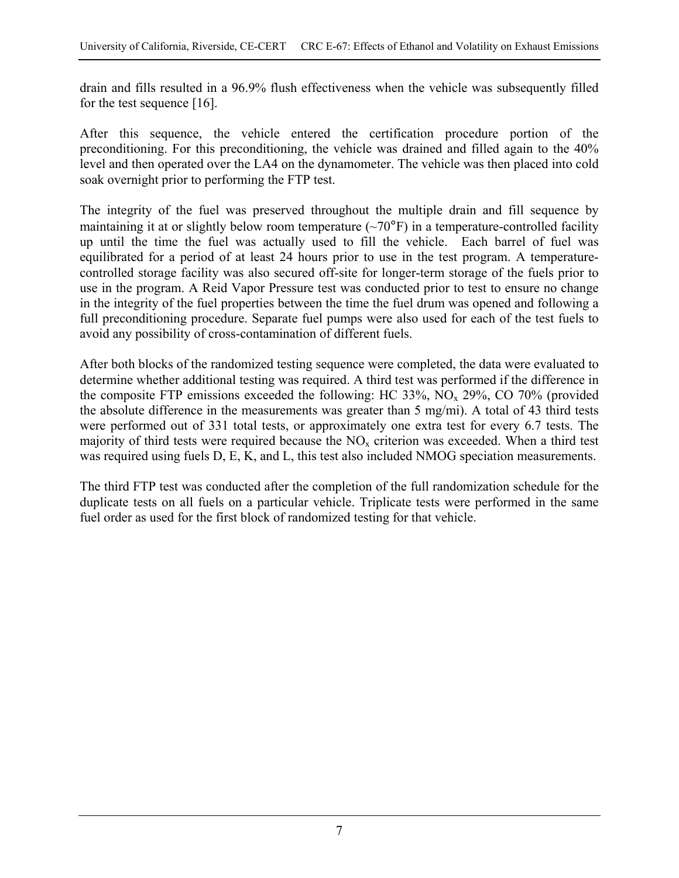drain and fills resulted in a 96.9% flush effectiveness when the vehicle was subsequently filled for the test sequence [16].

After this sequence, the vehicle entered the certification procedure portion of the preconditioning. For this preconditioning, the vehicle was drained and filled again to the 40% level and then operated over the LA4 on the dynamometer. The vehicle was then placed into cold soak overnight prior to performing the FTP test.

The integrity of the fuel was preserved throughout the multiple drain and fill sequence by maintaining it at or slightly below room temperature  $({\sim}70^{\circ}F)$  in a temperature-controlled facility up until the time the fuel was actually used to fill the vehicle. Each barrel of fuel was equilibrated for a period of at least 24 hours prior to use in the test program. A temperaturecontrolled storage facility was also secured off-site for longer-term storage of the fuels prior to use in the program. A Reid Vapor Pressure test was conducted prior to test to ensure no change in the integrity of the fuel properties between the time the fuel drum was opened and following a full preconditioning procedure. Separate fuel pumps were also used for each of the test fuels to avoid any possibility of cross-contamination of different fuels.

After both blocks of the randomized testing sequence were completed, the data were evaluated to determine whether additional testing was required. A third test was performed if the difference in the composite FTP emissions exceeded the following: HC  $33\%$ , NO<sub>x</sub>  $29\%$ , CO  $70\%$  (provided the absolute difference in the measurements was greater than 5 mg/mi). A total of 43 third tests were performed out of 331 total tests, or approximately one extra test for every 6.7 tests. The majority of third tests were required because the  $NO<sub>x</sub>$  criterion was exceeded. When a third test was required using fuels D, E, K, and L, this test also included NMOG speciation measurements.

The third FTP test was conducted after the completion of the full randomization schedule for the duplicate tests on all fuels on a particular vehicle. Triplicate tests were performed in the same fuel order as used for the first block of randomized testing for that vehicle.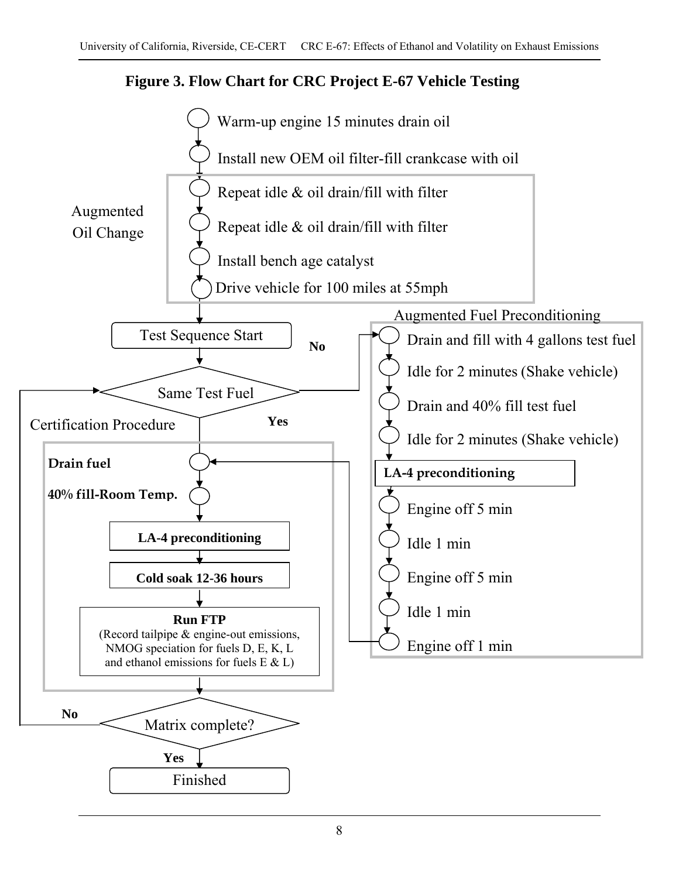

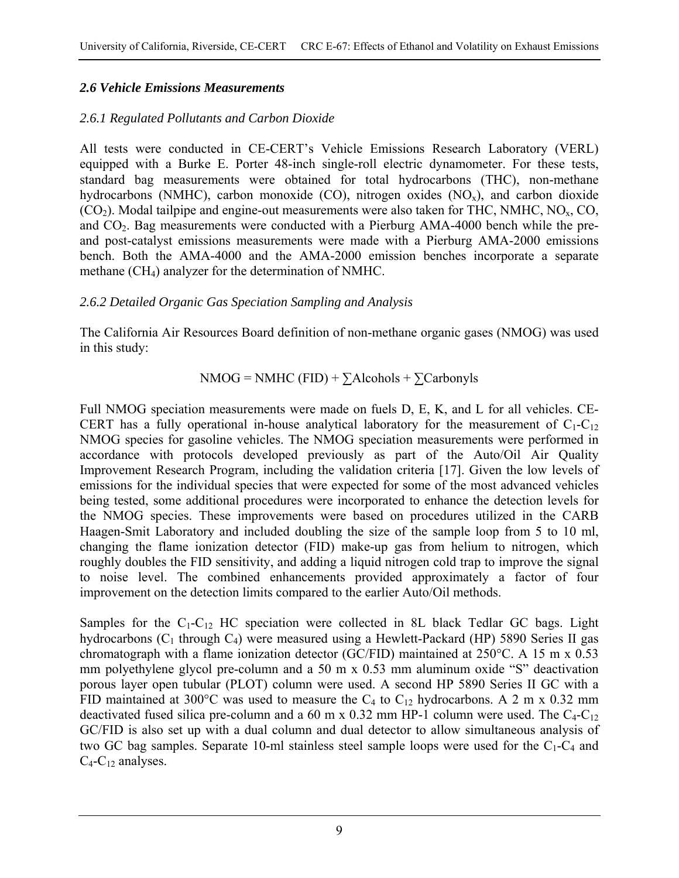#### *2.6 Vehicle Emissions Measurements*

#### *2.6.1 Regulated Pollutants and Carbon Dioxide*

All tests were conducted in CE-CERT's Vehicle Emissions Research Laboratory (VERL) equipped with a Burke E. Porter 48-inch single-roll electric dynamometer. For these tests, standard bag measurements were obtained for total hydrocarbons (THC), non-methane hydrocarbons (NMHC), carbon monoxide (CO), nitrogen oxides  $(NO<sub>x</sub>)$ , and carbon dioxide  $(CO<sub>2</sub>)$ . Modal tailpipe and engine-out measurements were also taken for THC, NMHC, NO<sub>x</sub>, CO, and  $CO<sub>2</sub>$ . Bag measurements were conducted with a Pierburg AMA-4000 bench while the preand post-catalyst emissions measurements were made with a Pierburg AMA-2000 emissions bench. Both the AMA-4000 and the AMA-2000 emission benches incorporate a separate methane (CH4) analyzer for the determination of NMHC.

#### *2.6.2 Detailed Organic Gas Speciation Sampling and Analysis*

The California Air Resources Board definition of non-methane organic gases (NMOG) was used in this study:

$$
NMOG = NMHC (FID) + \sum Alcohols + \sum Carbonyls
$$

Full NMOG speciation measurements were made on fuels D, E, K, and L for all vehicles. CE-CERT has a fully operational in-house analytical laboratory for the measurement of  $C_1-C_{12}$ NMOG species for gasoline vehicles. The NMOG speciation measurements were performed in accordance with protocols developed previously as part of the Auto/Oil Air Quality Improvement Research Program, including the validation criteria [17]. Given the low levels of emissions for the individual species that were expected for some of the most advanced vehicles being tested, some additional procedures were incorporated to enhance the detection levels for the NMOG species. These improvements were based on procedures utilized in the CARB Haagen-Smit Laboratory and included doubling the size of the sample loop from 5 to 10 ml, changing the flame ionization detector (FID) make-up gas from helium to nitrogen, which roughly doubles the FID sensitivity, and adding a liquid nitrogen cold trap to improve the signal to noise level. The combined enhancements provided approximately a factor of four improvement on the detection limits compared to the earlier Auto/Oil methods.

Samples for the  $C_1-C_{12}$  HC speciation were collected in 8L black Tedlar GC bags. Light hydrocarbons ( $C_1$  through  $C_4$ ) were measured using a Hewlett-Packard (HP) 5890 Series II gas chromatograph with a flame ionization detector (GC/FID) maintained at 250°C. A 15 m x 0.53 mm polyethylene glycol pre-column and a 50 m x 0.53 mm aluminum oxide "S" deactivation porous layer open tubular (PLOT) column were used. A second HP 5890 Series II GC with a FID maintained at 300°C was used to measure the  $C_4$  to  $C_{12}$  hydrocarbons. A 2 m x 0.32 mm deactivated fused silica pre-column and a 60 m x 0.32 mm HP-1 column were used. The  $C_4$ - $C_{12}$ GC/FID is also set up with a dual column and dual detector to allow simultaneous analysis of two GC bag samples. Separate 10-ml stainless steel sample loops were used for the  $C_1-C_4$  and  $C_4$ - $C_{12}$  analyses.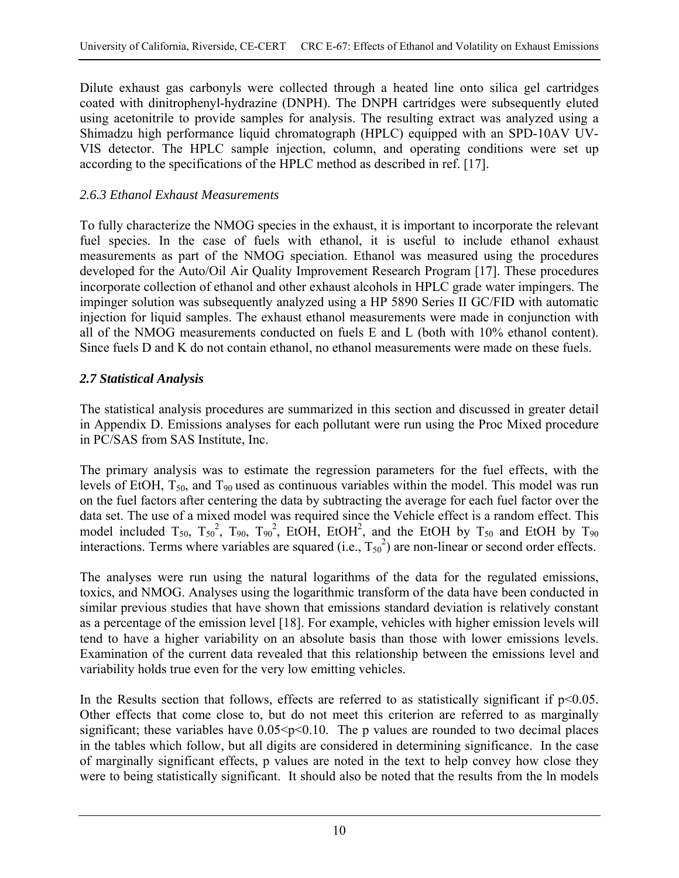Dilute exhaust gas carbonyls were collected through a heated line onto silica gel cartridges coated with dinitrophenyl-hydrazine (DNPH). The DNPH cartridges were subsequently eluted using acetonitrile to provide samples for analysis. The resulting extract was analyzed using a Shimadzu high performance liquid chromatograph (HPLC) equipped with an SPD-10AV UV-VIS detector. The HPLC sample injection, column, and operating conditions were set up according to the specifications of the HPLC method as described in ref. [17].

## *2.6.3 Ethanol Exhaust Measurements*

To fully characterize the NMOG species in the exhaust, it is important to incorporate the relevant fuel species. In the case of fuels with ethanol, it is useful to include ethanol exhaust measurements as part of the NMOG speciation. Ethanol was measured using the procedures developed for the Auto/Oil Air Quality Improvement Research Program [17]. These procedures incorporate collection of ethanol and other exhaust alcohols in HPLC grade water impingers. The impinger solution was subsequently analyzed using a HP 5890 Series II GC/FID with automatic injection for liquid samples. The exhaust ethanol measurements were made in conjunction with all of the NMOG measurements conducted on fuels E and L (both with 10% ethanol content). Since fuels D and K do not contain ethanol, no ethanol measurements were made on these fuels.

## *2.7 Statistical Analysis*

The statistical analysis procedures are summarized in this section and discussed in greater detail in Appendix D. Emissions analyses for each pollutant were run using the Proc Mixed procedure in PC/SAS from SAS Institute, Inc.

The primary analysis was to estimate the regression parameters for the fuel effects, with the levels of EtOH,  $T_{50}$ , and  $T_{90}$  used as continuous variables within the model. This model was run on the fuel factors after centering the data by subtracting the average for each fuel factor over the data set. The use of a mixed model was required since the Vehicle effect is a random effect. This model included  $T_{50}$ ,  $T_{50}^2$ ,  $T_{90}$ ,  $T_{90}^2$ , EtOH, EtOH<sup>2</sup>, and the EtOH by  $T_{50}$  and EtOH by  $T_{90}$ interactions. Terms where variables are squared  $(i.e., T_{50}^2)$  are non-linear or second order effects.

The analyses were run using the natural logarithms of the data for the regulated emissions, toxics, and NMOG. Analyses using the logarithmic transform of the data have been conducted in similar previous studies that have shown that emissions standard deviation is relatively constant as a percentage of the emission level [18]. For example, vehicles with higher emission levels will tend to have a higher variability on an absolute basis than those with lower emissions levels. Examination of the current data revealed that this relationship between the emissions level and variability holds true even for the very low emitting vehicles.

In the Results section that follows, effects are referred to as statistically significant if  $p<0.05$ . Other effects that come close to, but do not meet this criterion are referred to as marginally significant; these variables have  $0.05 \le p \le 0.10$ . The p values are rounded to two decimal places in the tables which follow, but all digits are considered in determining significance. In the case of marginally significant effects, p values are noted in the text to help convey how close they were to being statistically significant. It should also be noted that the results from the ln models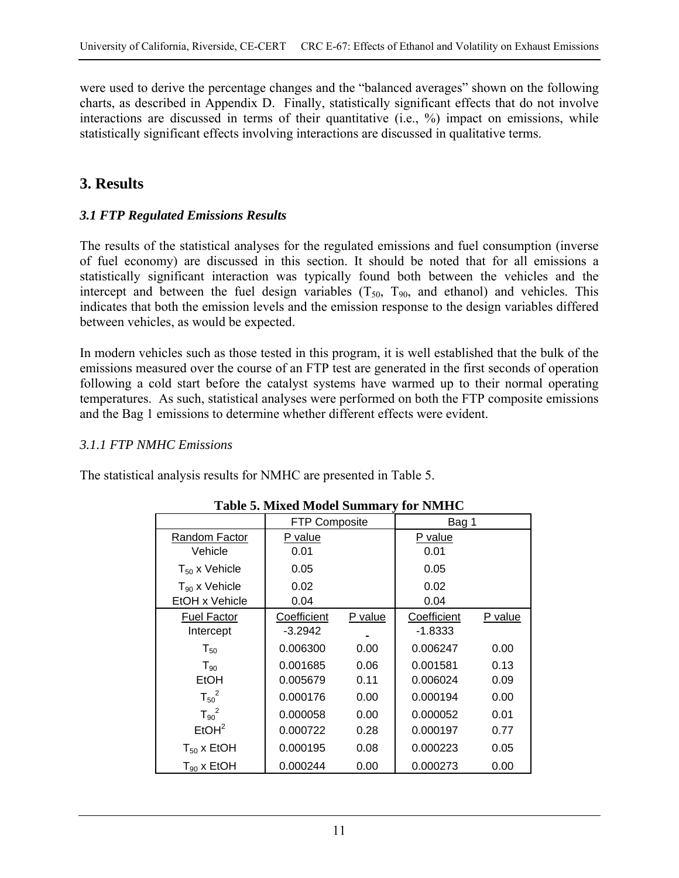were used to derive the percentage changes and the "balanced averages" shown on the following charts, as described in Appendix D. Finally, statistically significant effects that do not involve interactions are discussed in terms of their quantitative (i.e., %) impact on emissions, while statistically significant effects involving interactions are discussed in qualitative terms.

## **3. Results**

#### *3.1 FTP Regulated Emissions Results*

The results of the statistical analyses for the regulated emissions and fuel consumption (inverse of fuel economy) are discussed in this section. It should be noted that for all emissions a statistically significant interaction was typically found both between the vehicles and the intercept and between the fuel design variables  $(T_{50}, T_{90},$  and ethanol) and vehicles. This indicates that both the emission levels and the emission response to the design variables differed between vehicles, as would be expected.

In modern vehicles such as those tested in this program, it is well established that the bulk of the emissions measured over the course of an FTP test are generated in the first seconds of operation following a cold start before the catalyst systems have warmed up to their normal operating temperatures. As such, statistical analyses were performed on both the FTP composite emissions and the Bag 1 emissions to determine whether different effects were evident.

#### *3.1.1 FTP NMHC Emissions*

The statistical analysis results for NMHC are presented in Table 5.

|                    | <b>FTP Composite</b> |         | Bag 1       |         |
|--------------------|----------------------|---------|-------------|---------|
| Random Factor      | P value              |         | P value     |         |
| Vehicle            | 0.01                 |         | 0.01        |         |
| $T_{50}$ x Vehicle | 0.05                 |         | 0.05        |         |
| $T_{90}$ x Vehicle | 0.02                 |         | 0.02        |         |
| EtOH x Vehicle     | 0.04                 |         | 0.04        |         |
| <b>Fuel Factor</b> | Coefficient          | P value | Coefficient | P value |
| Intercept          | $-3.2942$            |         | $-1.8333$   |         |
| $T_{50}$           | 0.006300             | 0.00    | 0.006247    | 0.00    |
| $T_{90}$           | 0.001685             | 0.06    | 0.001581    | 0.13    |
| EtOH               | 0.005679             | 0.11    | 0.006024    | 0.09    |
| $T_{50}^2$         | 0.000176             | 0.00    | 0.000194    | 0.00    |
| $T_{90}^2$         | 0.000058             | 0.00    | 0.000052    | 0.01    |
| EtOH <sup>2</sup>  | 0.000722             | 0.28    | 0.000197    | 0.77    |
| $T_{50}$ x EtOH    | 0.000195             | 0.08    | 0.000223    | 0.05    |
| $T_{90}$ x EtOH    | 0.000244             | 0.00    | 0.000273    | 0.00    |

#### **Table 5. Mixed Model Summary for NMHC**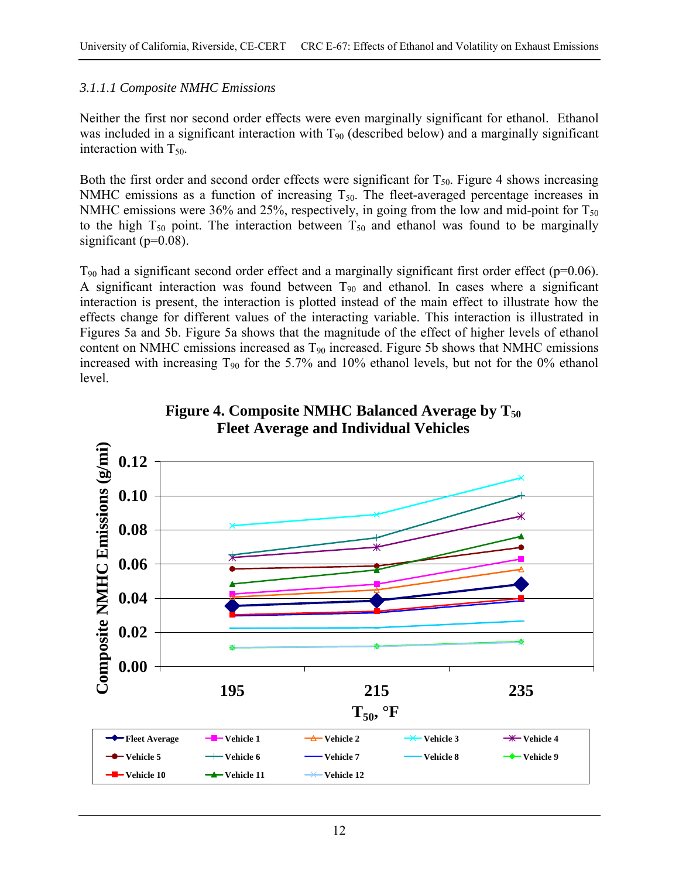#### *3.1.1.1 Composite NMHC Emissions*

Neither the first nor second order effects were even marginally significant for ethanol. Ethanol was included in a significant interaction with  $T_{90}$  (described below) and a marginally significant interaction with  $T_{50}$ .

Both the first order and second order effects were significant for  $T_{50}$ . Figure 4 shows increasing NMHC emissions as a function of increasing  $T_{50}$ . The fleet-averaged percentage increases in NMHC emissions were 36% and 25%, respectively, in going from the low and mid-point for  $T_{50}$ to the high  $T_{50}$  point. The interaction between  $T_{50}$  and ethanol was found to be marginally significant ( $p=0.08$ ).

 $T_{90}$  had a significant second order effect and a marginally significant first order effect (p=0.06). A significant interaction was found between  $T_{90}$  and ethanol. In cases where a significant interaction is present, the interaction is plotted instead of the main effect to illustrate how the effects change for different values of the interacting variable. This interaction is illustrated in Figures 5a and 5b. Figure 5a shows that the magnitude of the effect of higher levels of ethanol content on NMHC emissions increased as  $T_{90}$  increased. Figure 5b shows that NMHC emissions increased with increasing  $T_{90}$  for the 5.7% and 10% ethanol levels, but not for the 0% ethanol level.



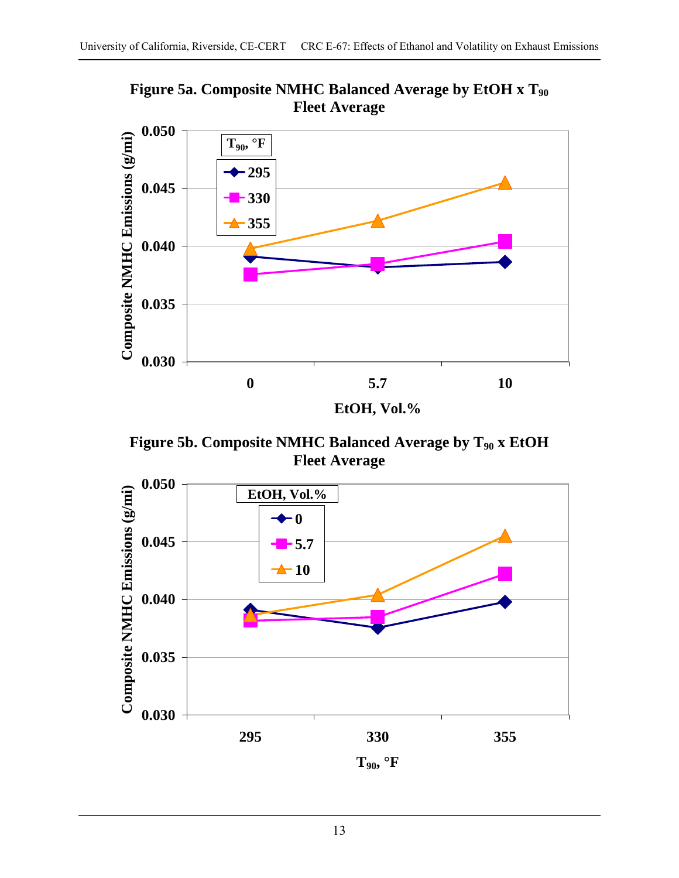

**Figure 5a. Composite NMHC Balanced Average by EtOH x T90 Fleet Average** 

Figure 5b. Composite NMHC Balanced Average by T<sub>90</sub> x EtOH **Fleet Average** 

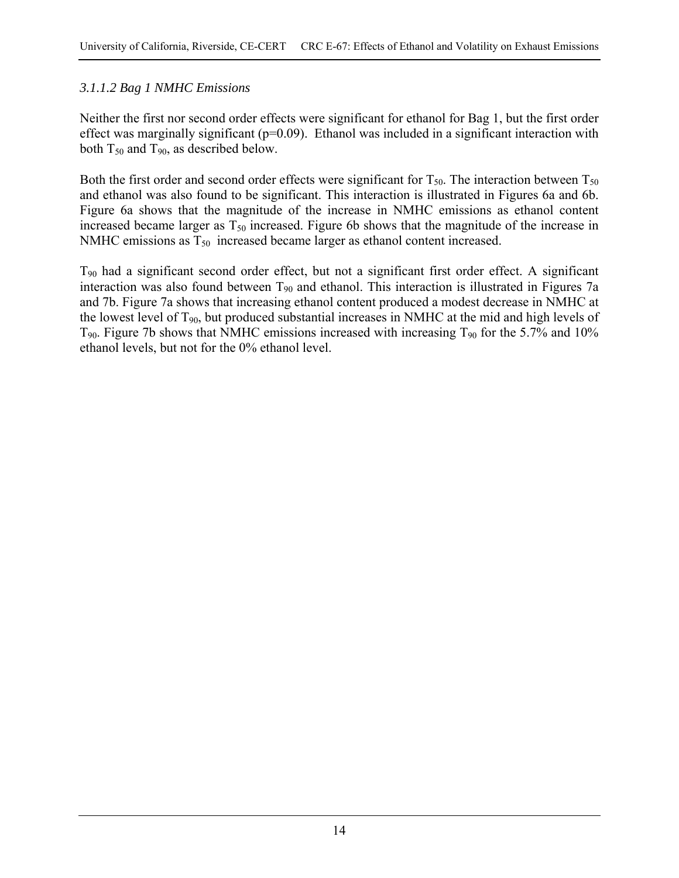## *3.1.1.2 Bag 1 NMHC Emissions*

Neither the first nor second order effects were significant for ethanol for Bag 1, but the first order effect was marginally significant ( $p=0.09$ ). Ethanol was included in a significant interaction with both  $T_{50}$  and  $T_{90}$ , as described below.

Both the first order and second order effects were significant for  $T_{50}$ . The interaction between  $T_{50}$ and ethanol was also found to be significant. This interaction is illustrated in Figures 6a and 6b. Figure 6a shows that the magnitude of the increase in NMHC emissions as ethanol content increased became larger as  $T_{50}$  increased. Figure 6b shows that the magnitude of the increase in NMHC emissions as  $T_{50}$  increased became larger as ethanol content increased.

T90 had a significant second order effect, but not a significant first order effect. A significant interaction was also found between  $T_{90}$  and ethanol. This interaction is illustrated in Figures 7a and 7b. Figure 7a shows that increasing ethanol content produced a modest decrease in NMHC at the lowest level of  $T_{90}$ , but produced substantial increases in NMHC at the mid and high levels of  $T_{90}$ . Figure 7b shows that NMHC emissions increased with increasing  $T_{90}$  for the 5.7% and 10% ethanol levels, but not for the 0% ethanol level.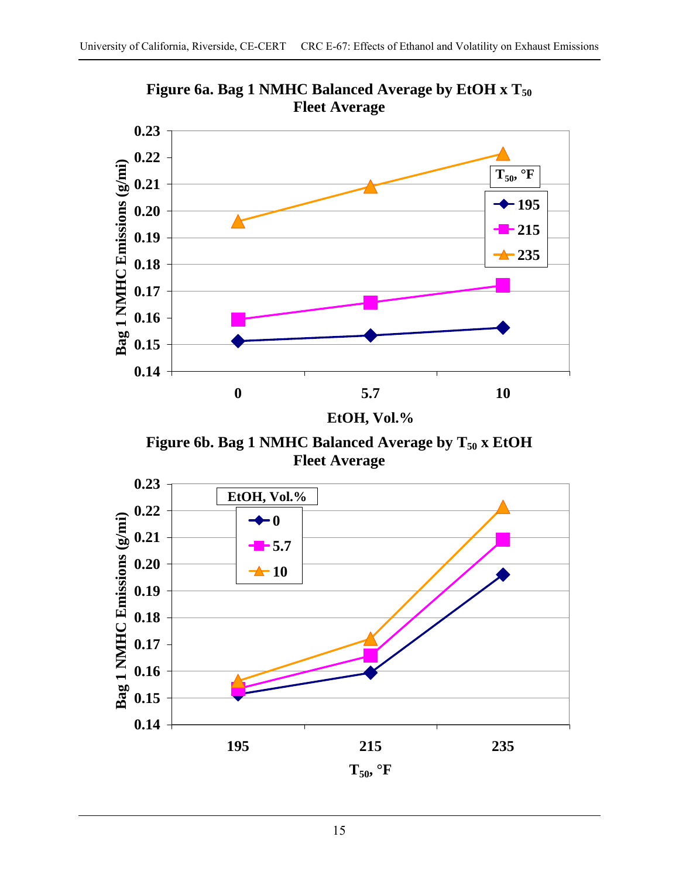

Figure 6a. Bag 1 NMHC Balanced Average by EtOH x T<sub>50</sub> **Fleet Average** 

**EtOH, Vol.%**

Figure 6b. Bag 1 NMHC Balanced Average by T<sub>50</sub> x EtOH **Fleet Average** 

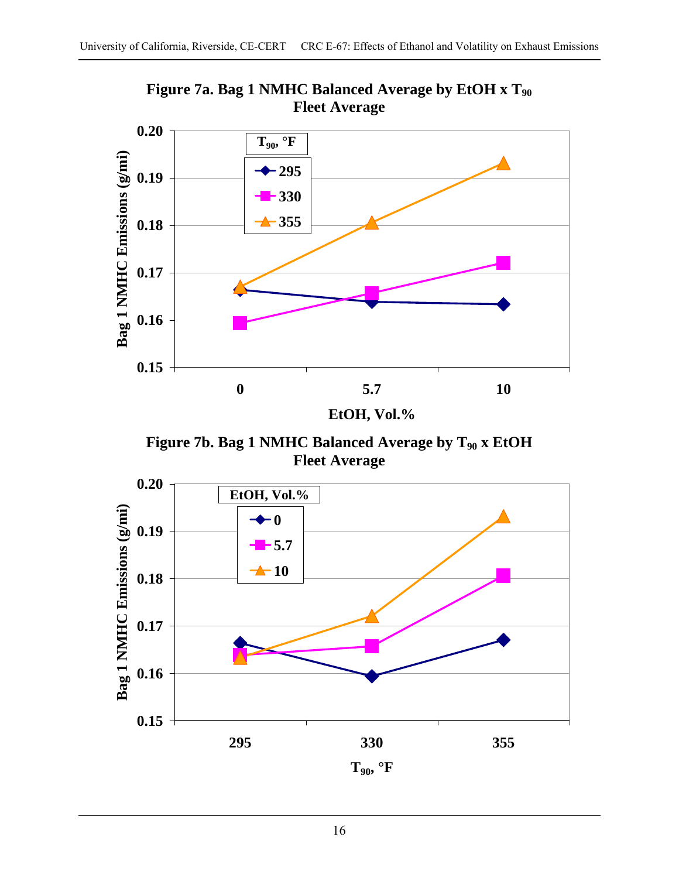

**Figure 7a. Bag 1 NMHC Balanced Average by EtOH x T90 Fleet Average** 

**EtOH, Vol.%**

Figure 7b. Bag 1 NMHC Balanced Average by T<sub>90</sub> x EtOH **Fleet Average** 

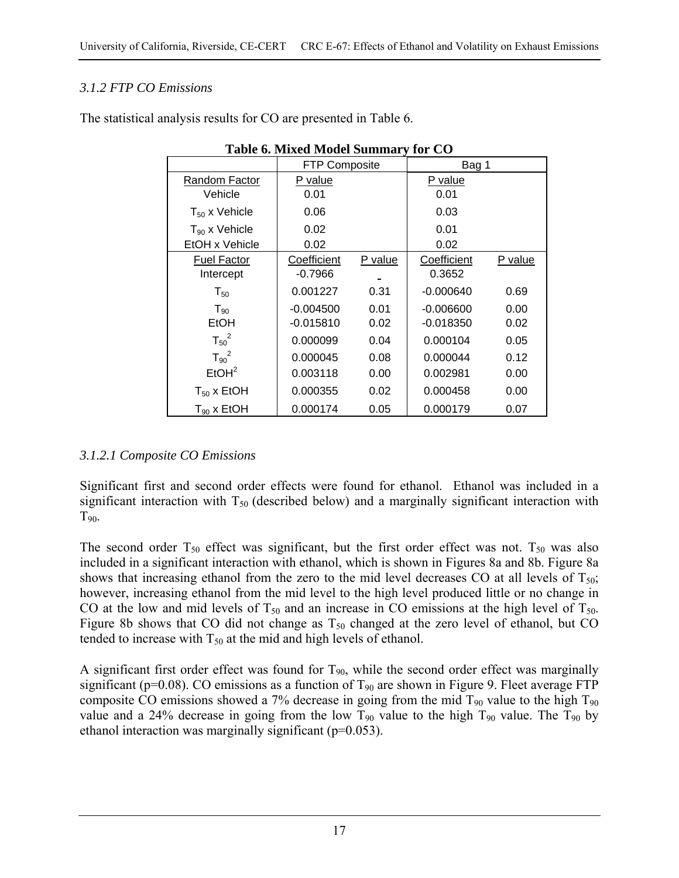## *3.1.2 FTP CO Emissions*

| Table 0. Maxia Mouch Bunning y for CO |                      |         |             |         |  |  |  |  |
|---------------------------------------|----------------------|---------|-------------|---------|--|--|--|--|
|                                       | <b>FTP Composite</b> |         | Bag 1       |         |  |  |  |  |
| Random Factor                         | P value              |         | P value     |         |  |  |  |  |
| Vehicle                               | 0.01                 |         | 0.01        |         |  |  |  |  |
| $T_{50}$ x Vehicle                    | 0.06                 |         | 0.03        |         |  |  |  |  |
| $T_{90}$ x Vehicle                    | 0.02                 |         | 0.01        |         |  |  |  |  |
| EtOH x Vehicle                        | 0.02                 |         | 0.02        |         |  |  |  |  |
| <b>Fuel Factor</b>                    | Coefficient          | P value | Coefficient | P value |  |  |  |  |
| Intercept                             | $-0.7966$            |         | 0.3652      |         |  |  |  |  |
| $\mathsf{T}_{50}$                     | 0.001227             | 0.31    | $-0.000640$ | 0.69    |  |  |  |  |
| $T_{.90}$                             | $-0.004500$          | 0.01    | $-0.006600$ | 0.00    |  |  |  |  |
| EtOH                                  | $-0.015810$          | 0.02    | -0.018350   | 0.02    |  |  |  |  |
| $T_{50}^2$                            | 0.000099             | 0.04    | 0.000104    | 0.05    |  |  |  |  |
| $T_{90}^2$                            | 0.000045             | 0.08    | 0.000044    | 0.12    |  |  |  |  |
| EtOH <sup>2</sup>                     | 0.003118             | 0.00    | 0.002981    | 0.00    |  |  |  |  |
| $T_{50}$ x EtOH                       | 0.000355             | 0.02    | 0.000458    | 0.00    |  |  |  |  |
| $T_{90}$ x EtOH                       | 0.000174             | 0.05    | 0.000179    | 0.07    |  |  |  |  |

**Table 6. Mixed Model Summary for CO** 

## *3.1.2.1 Composite CO Emissions*

Significant first and second order effects were found for ethanol. Ethanol was included in a significant interaction with  $T_{50}$  (described below) and a marginally significant interaction with  $T_{90}$ .

The second order  $T_{50}$  effect was significant, but the first order effect was not.  $T_{50}$  was also included in a significant interaction with ethanol, which is shown in Figures 8a and 8b. Figure 8a shows that increasing ethanol from the zero to the mid level decreases CO at all levels of  $T_{50}$ ; however, increasing ethanol from the mid level to the high level produced little or no change in CO at the low and mid levels of  $T_{50}$  and an increase in CO emissions at the high level of  $T_{50}$ . Figure 8b shows that CO did not change as  $T_{50}$  changed at the zero level of ethanol, but CO tended to increase with  $T_{50}$  at the mid and high levels of ethanol.

A significant first order effect was found for  $T_{90}$ , while the second order effect was marginally significant ( $p=0.08$ ). CO emissions as a function of  $T_{90}$  are shown in Figure 9. Fleet average FTP composite CO emissions showed a 7% decrease in going from the mid  $T_{90}$  value to the high  $T_{90}$ value and a 24% decrease in going from the low  $T_{90}$  value to the high  $T_{90}$  value. The  $T_{90}$  by ethanol interaction was marginally significant ( $p=0.053$ ).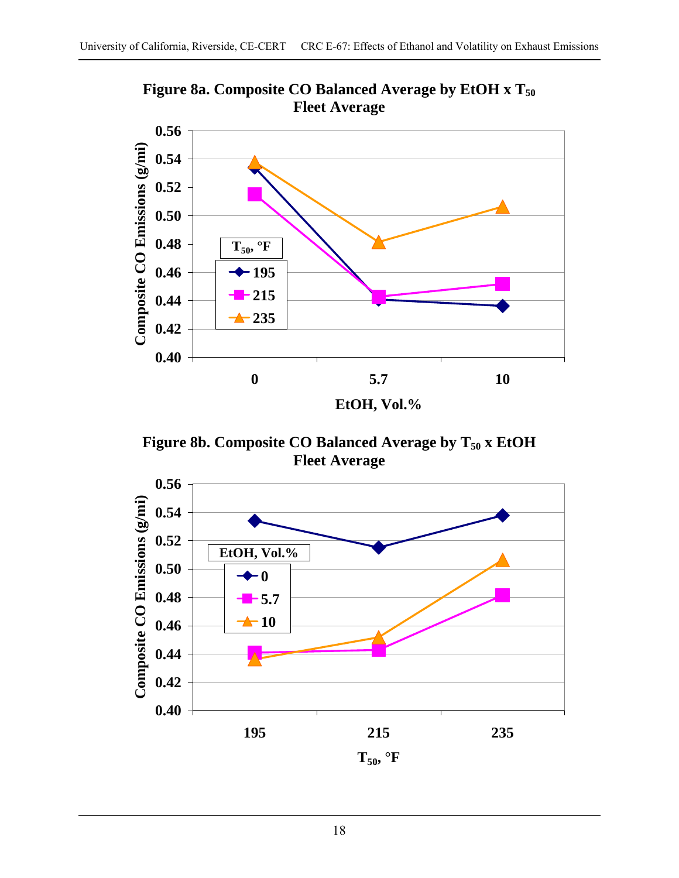

Figure 8a. Composite CO Balanced Average by EtOH x T<sub>50</sub> **Fleet Average** 

Figure 8b. Composite CO Balanced Average by T<sub>50</sub> x EtOH **Fleet Average** 

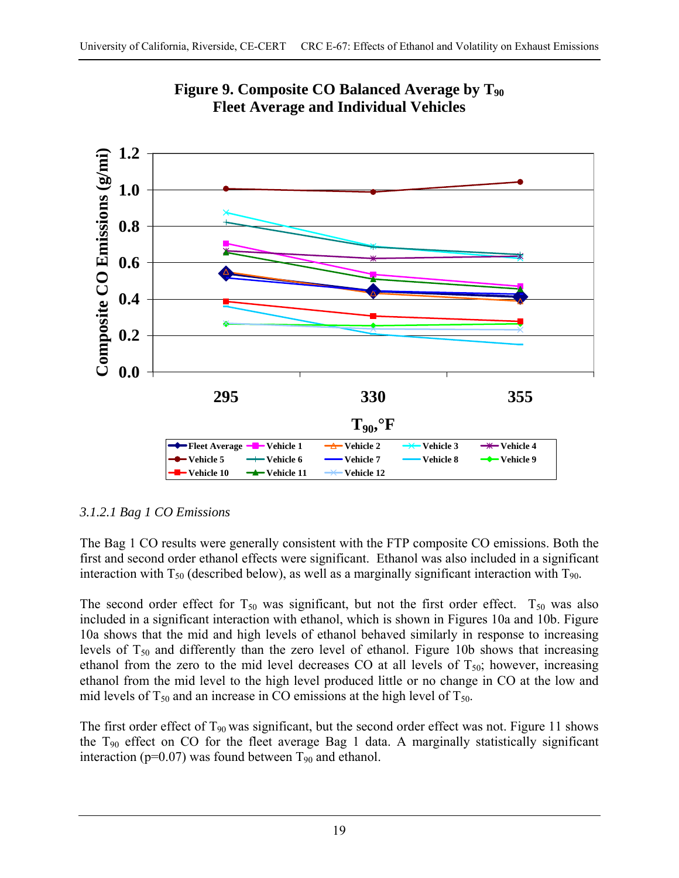

**Figure 9. Composite CO Balanced Average by T90 Fleet Average and Individual Vehicles** 

## *3.1.2.1 Bag 1 CO Emissions*

The Bag 1 CO results were generally consistent with the FTP composite CO emissions. Both the first and second order ethanol effects were significant. Ethanol was also included in a significant interaction with  $T_{50}$  (described below), as well as a marginally significant interaction with  $T_{90}$ .

The second order effect for  $T_{50}$  was significant, but not the first order effect.  $T_{50}$  was also included in a significant interaction with ethanol, which is shown in Figures 10a and 10b. Figure 10a shows that the mid and high levels of ethanol behaved similarly in response to increasing levels of  $T_{50}$  and differently than the zero level of ethanol. Figure 10b shows that increasing ethanol from the zero to the mid level decreases CO at all levels of  $T_{50}$ ; however, increasing ethanol from the mid level to the high level produced little or no change in CO at the low and mid levels of  $T_{50}$  and an increase in CO emissions at the high level of  $T_{50}$ .

The first order effect of  $T_{90}$  was significant, but the second order effect was not. Figure 11 shows the T90 effect on CO for the fleet average Bag 1 data. A marginally statistically significant interaction ( $p=0.07$ ) was found between  $T_{90}$  and ethanol.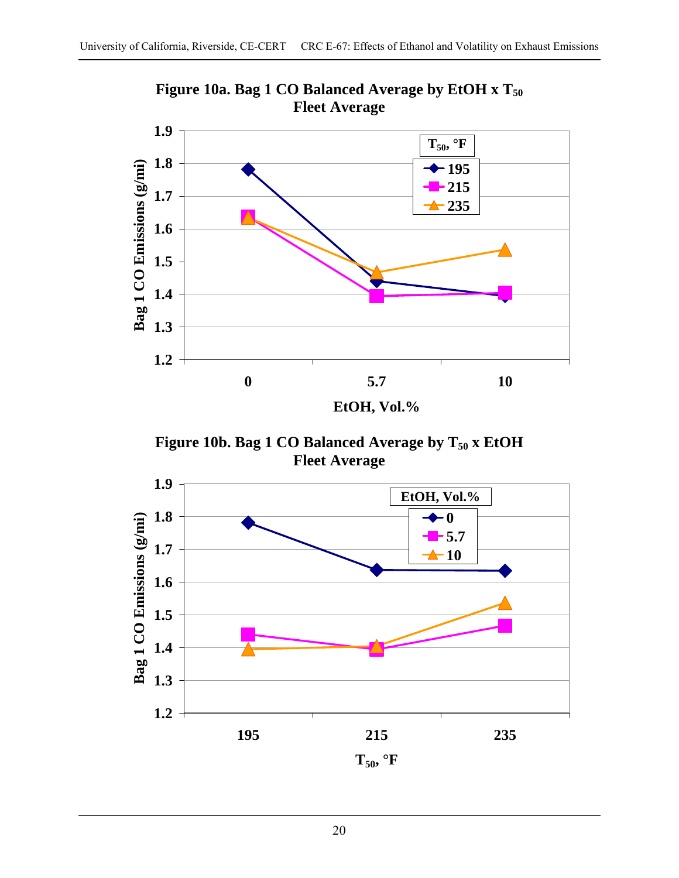

Figure 10a. Bag 1 CO Balanced Average by EtOH x T<sub>50</sub> **Fleet Average** 

Figure 10b. Bag 1 CO Balanced Average by T<sub>50</sub> x EtOH **Fleet Average** 

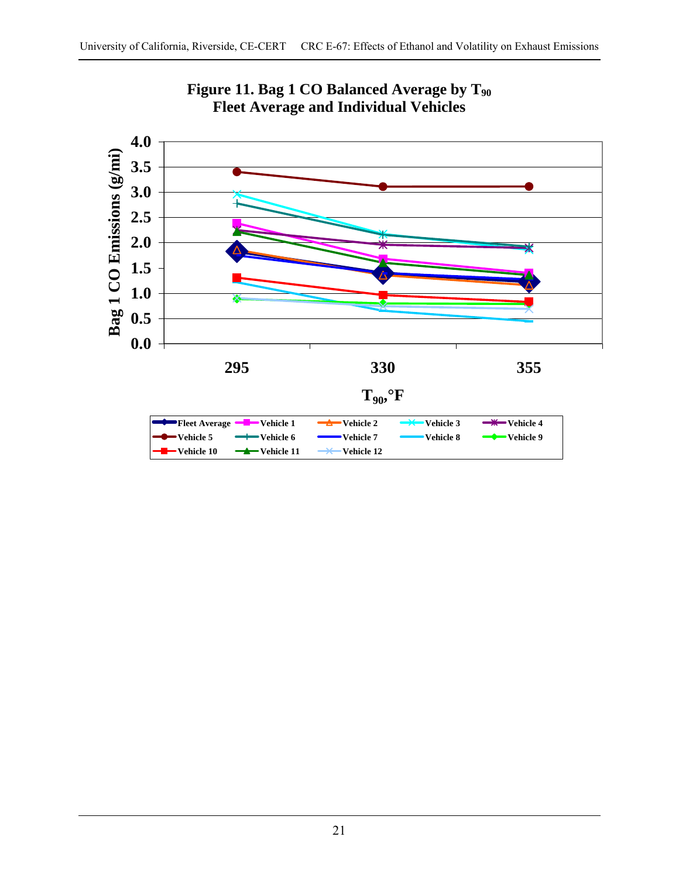

Figure 11. Bag 1 CO Balanced Average by T<sub>90</sub> **Fleet Average and Individual Vehicles**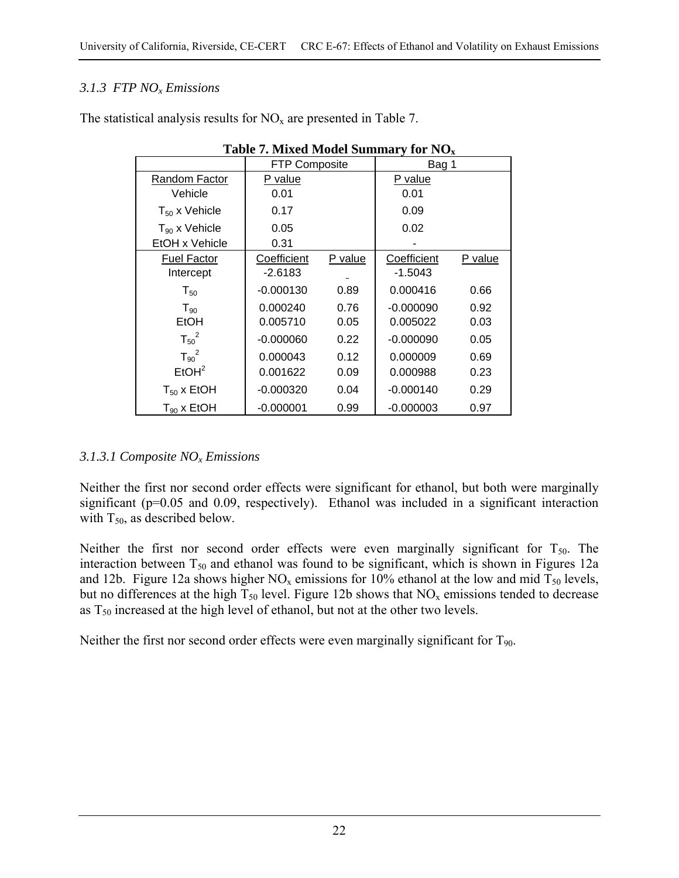## *3.1.3 FTP NOx Emissions*

| $\ldots$<br>$\sim$   |                      |         |                |         |  |  |  |  |  |
|----------------------|----------------------|---------|----------------|---------|--|--|--|--|--|
|                      | <b>FTP Composite</b> |         | Bag 1          |         |  |  |  |  |  |
| <b>Random Factor</b> | P value              |         | <u>P value</u> |         |  |  |  |  |  |
| Vehicle              | 0.01                 |         | 0.01           |         |  |  |  |  |  |
| $T_{50}$ x Vehicle   | 0.17                 |         | 0.09           |         |  |  |  |  |  |
| $T_{90}$ x Vehicle   | 0.05                 |         | 0.02           |         |  |  |  |  |  |
| EtOH x Vehicle       | 0.31                 |         |                |         |  |  |  |  |  |
| <b>Fuel Factor</b>   | Coefficient          | P value | Coefficient    | P value |  |  |  |  |  |
| Intercept            | $-2.6183$            |         | $-1.5043$      |         |  |  |  |  |  |
| $T_{50}$             | $-0.000130$          | 0.89    | 0.000416       | 0.66    |  |  |  |  |  |
| $T_{90}$             | 0.000240             | 0.76    | $-0.000090$    | 0.92    |  |  |  |  |  |
| EtOH                 | 0.005710             | 0.05    | 0.005022       | 0.03    |  |  |  |  |  |
| $T_{50}^2$           | $-0.000060$          | 0.22    | $-0.000090$    | 0.05    |  |  |  |  |  |
| $T_{90}^2$           | 0.000043             | 0.12    | 0.000009       | 0.69    |  |  |  |  |  |
| EtOH <sup>2</sup>    | 0.001622             | 0.09    | 0.000988       | 0.23    |  |  |  |  |  |
| $T_{50}$ x EtOH      | $-0.000320$          | 0.04    | $-0.000140$    | 0.29    |  |  |  |  |  |
| $T_{90}$ x EtOH      | $-0.000001$          | 0.99    | $-0.000003$    | 0.97    |  |  |  |  |  |

The statistical analysis results for  $NO<sub>x</sub>$  are presented in Table 7.

#### **Table 7. Mixed Model Summary for NOx**

## *3.1.3.1 Composite NOx Emissions*

Neither the first nor second order effects were significant for ethanol, but both were marginally significant (p=0.05 and 0.09, respectively). Ethanol was included in a significant interaction with  $T_{50}$ , as described below.

Neither the first nor second order effects were even marginally significant for  $T_{50}$ . The interaction between  $T_{50}$  and ethanol was found to be significant, which is shown in Figures 12a and 12b. Figure 12a shows higher  $NO<sub>x</sub>$  emissions for 10% ethanol at the low and mid  $T<sub>50</sub>$  levels, but no differences at the high  $T_{50}$  level. Figure 12b shows that NO<sub>x</sub> emissions tended to decrease as  $T_{50}$  increased at the high level of ethanol, but not at the other two levels.

Neither the first nor second order effects were even marginally significant for  $T_{90}$ .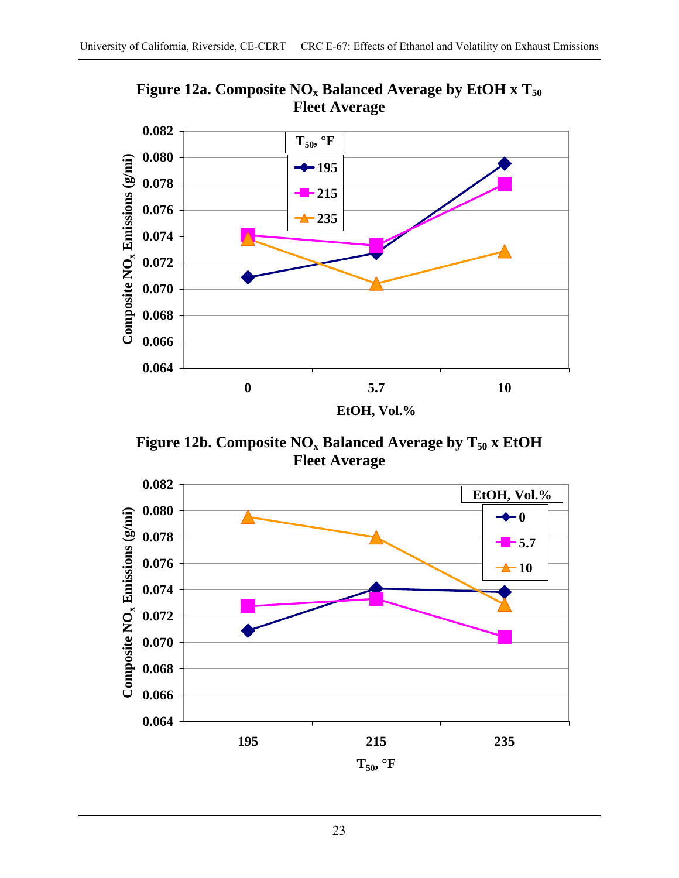

Figure 12a. Composite NO<sub>x</sub> Balanced Average by EtOH x T<sub>50</sub> **Fleet Average** 

Figure 12b. Composite NO<sub>x</sub> Balanced Average by T<sub>50</sub> x EtOH **Fleet Average** 

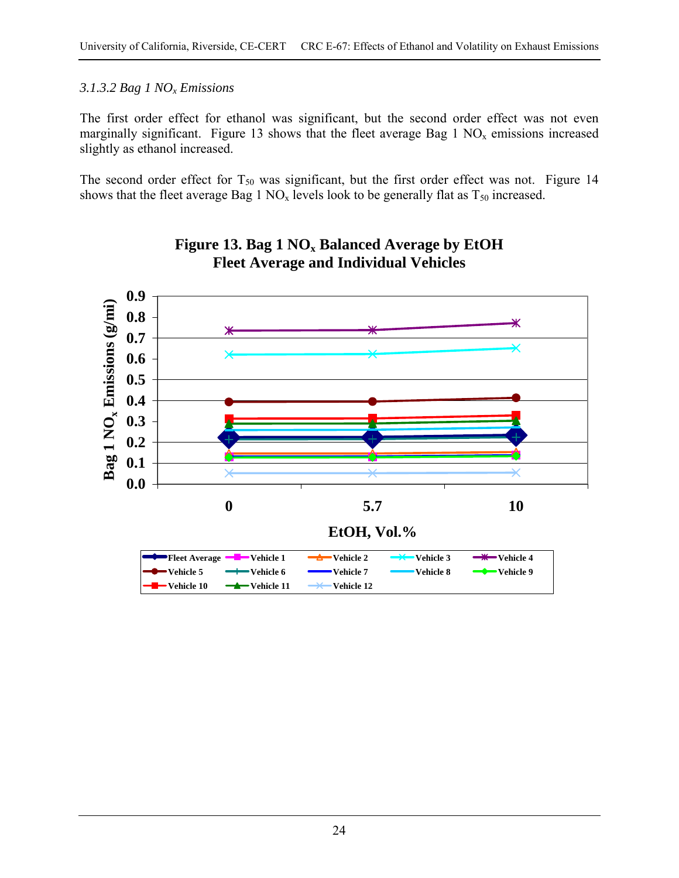#### *3.1.3.2 Bag 1 NOx Emissions*

The first order effect for ethanol was significant, but the second order effect was not even marginally significant. Figure 13 shows that the fleet average Bag 1  $NO<sub>x</sub>$  emissions increased slightly as ethanol increased.

The second order effect for  $T_{50}$  was significant, but the first order effect was not. Figure 14 shows that the fleet average Bag 1  $NO<sub>x</sub>$  levels look to be generally flat as  $T<sub>50</sub>$  increased.



## **Figure 13. Bag 1 NOx Balanced Average by EtOH Fleet Average and Individual Vehicles**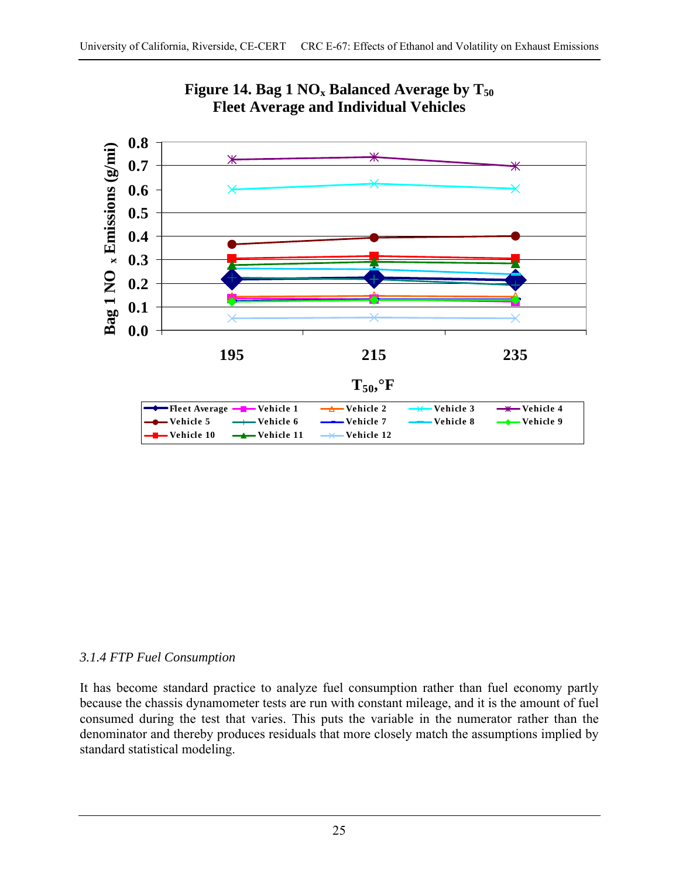



## *3.1.4 FTP Fuel Consumption*

It has become standard practice to analyze fuel consumption rather than fuel economy partly because the chassis dynamometer tests are run with constant mileage, and it is the amount of fuel consumed during the test that varies. This puts the variable in the numerator rather than the denominator and thereby produces residuals that more closely match the assumptions implied by standard statistical modeling.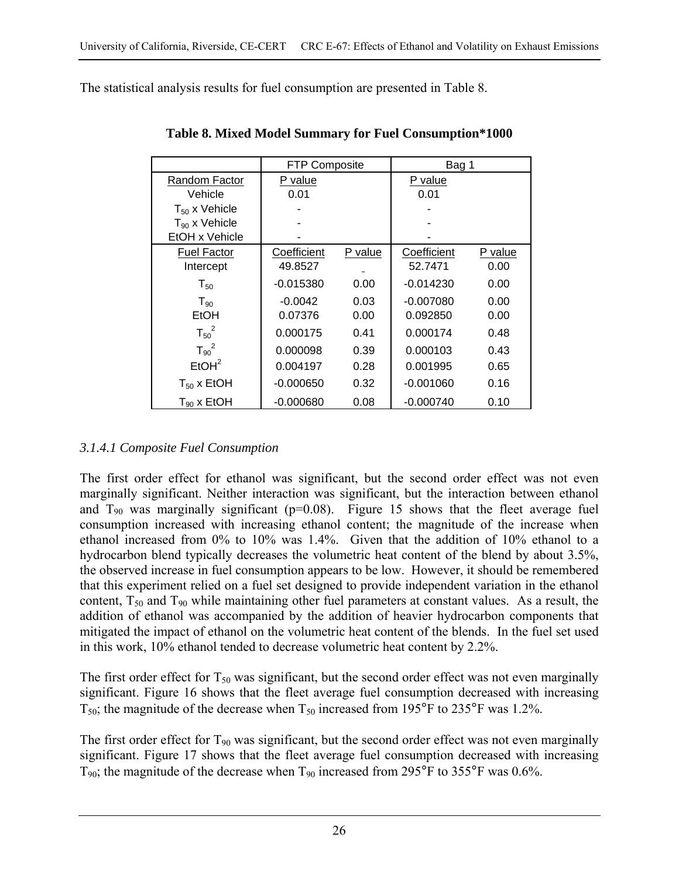The statistical analysis results for fuel consumption are presented in Table 8.

|                    | <b>FTP Composite</b> |         | Bag 1       |         |
|--------------------|----------------------|---------|-------------|---------|
| Random Factor      | P value              |         | P value     |         |
| Vehicle            | 0.01                 |         | 0.01        |         |
| $T_{50}$ x Vehicle |                      |         |             |         |
| $T_{90}$ x Vehicle |                      |         |             |         |
| EtOH x Vehicle     |                      |         |             |         |
| <b>Fuel Factor</b> | Coefficient          | P value | Coefficient | P value |
| Intercept          | 49.8527              |         | 52.7471     | 0.00    |
| $T_{50}$           | $-0.015380$          | 0.00    | $-0.014230$ | 0.00    |
| $T_{.90}$          | $-0.0042$            | 0.03    | $-0.007080$ | 0.00    |
| EtOH               | 0.07376              | 0.00    | 0.092850    | 0.00    |
| $T_{50}^2$         | 0.000175             | 0.41    | 0.000174    | 0.48    |
| $T_{90}^2$         | 0.000098             | 0.39    | 0.000103    | 0.43    |
| EtOH <sup>2</sup>  | 0.004197             | 0.28    | 0.001995    | 0.65    |
| $T_{50}$ x EtOH    | $-0.000650$          | 0.32    | $-0.001060$ | 0.16    |
| $T_{90}$ x EtOH    | $-0.000680$          | 0.08    | $-0.000740$ | 0.10    |

**Table 8. Mixed Model Summary for Fuel Consumption\*1000** 

## *3.1.4.1 Composite Fuel Consumption*

The first order effect for ethanol was significant, but the second order effect was not even marginally significant. Neither interaction was significant, but the interaction between ethanol and  $T_{90}$  was marginally significant (p=0.08). Figure 15 shows that the fleet average fuel consumption increased with increasing ethanol content; the magnitude of the increase when ethanol increased from 0% to 10% was 1.4%. Given that the addition of 10% ethanol to a hydrocarbon blend typically decreases the volumetric heat content of the blend by about 3.5%, the observed increase in fuel consumption appears to be low. However, it should be remembered that this experiment relied on a fuel set designed to provide independent variation in the ethanol content,  $T_{50}$  and  $T_{90}$  while maintaining other fuel parameters at constant values. As a result, the addition of ethanol was accompanied by the addition of heavier hydrocarbon components that mitigated the impact of ethanol on the volumetric heat content of the blends. In the fuel set used in this work, 10% ethanol tended to decrease volumetric heat content by 2.2%.

The first order effect for  $T_{50}$  was significant, but the second order effect was not even marginally significant. Figure 16 shows that the fleet average fuel consumption decreased with increasing  $T_{50}$ ; the magnitude of the decrease when  $T_{50}$  increased from 195°F to 235°F was 1.2%.

The first order effect for  $T_{90}$  was significant, but the second order effect was not even marginally significant. Figure 17 shows that the fleet average fuel consumption decreased with increasing  $T_{90}$ ; the magnitude of the decrease when  $T_{90}$  increased from 295°F to 355°F was 0.6%.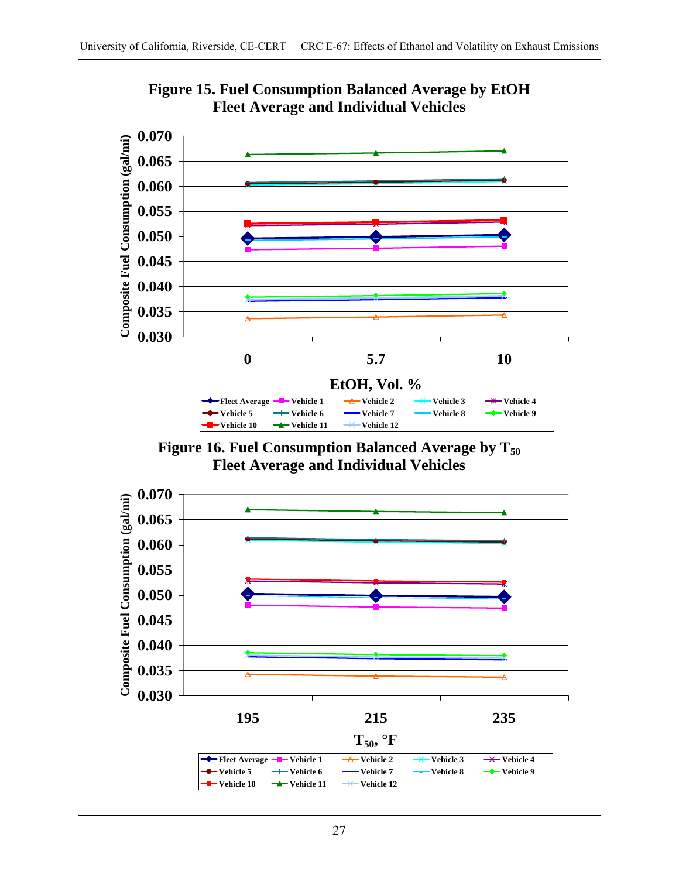

**Figure 15. Fuel Consumption Balanced Average by EtOH Fleet Average and Individual Vehicles** 

Figure 16. Fuel Consumption Balanced Average by T<sub>50</sub> **Fleet Average and Individual Vehicles**

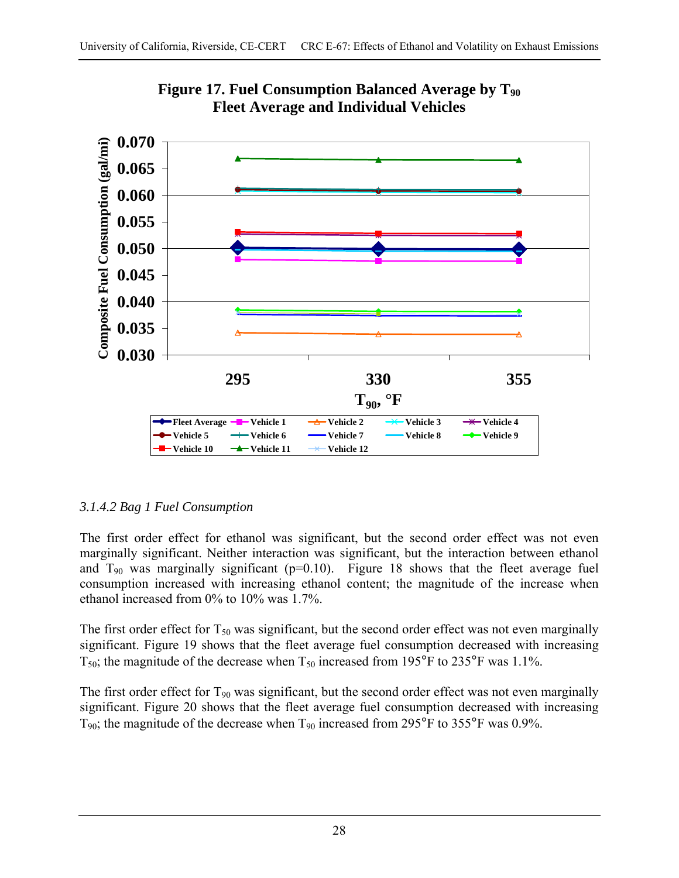



# *3.1.4.2 Bag 1 Fuel Consumption*

The first order effect for ethanol was significant, but the second order effect was not even marginally significant. Neither interaction was significant, but the interaction between ethanol and  $T_{90}$  was marginally significant (p=0.10). Figure 18 shows that the fleet average fuel consumption increased with increasing ethanol content; the magnitude of the increase when ethanol increased from 0% to 10% was 1.7%.

The first order effect for  $T_{50}$  was significant, but the second order effect was not even marginally significant. Figure 19 shows that the fleet average fuel consumption decreased with increasing  $T_{50}$ ; the magnitude of the decrease when  $T_{50}$  increased from 195°F to 235°F was 1.1%.

The first order effect for  $T_{90}$  was significant, but the second order effect was not even marginally significant. Figure 20 shows that the fleet average fuel consumption decreased with increasing  $T_{90}$ ; the magnitude of the decrease when  $T_{90}$  increased from 295°F to 355°F was 0.9%.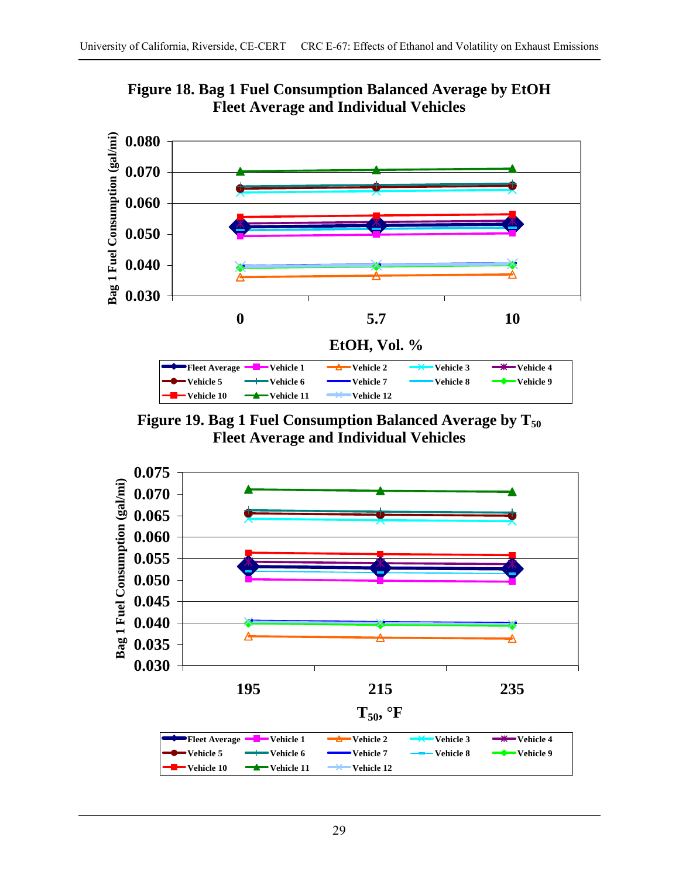

**Figure 18. Bag 1 Fuel Consumption Balanced Average by EtOH Fleet Average and Individual Vehicles** 

Figure 19. Bag 1 Fuel Consumption Balanced Average by T<sub>50</sub> **Fleet Average and Individual Vehicles** 

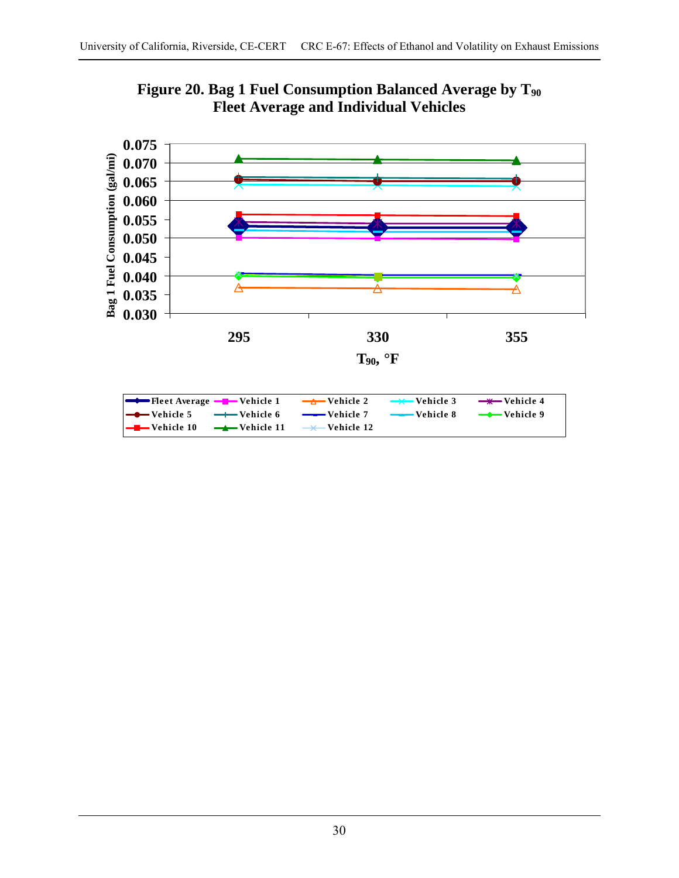



| <b>The Example 1</b> The t Average $-\blacksquare$ Vehicle 1 $\rightarrow \blacksquare$ Vehicle 2 $\rightarrow \blacksquare$ Vehicle 3 $\rightarrow \blacksquare$ Vehicle 4 |  |  |
|-----------------------------------------------------------------------------------------------------------------------------------------------------------------------------|--|--|
| Vehicle 5 → Vehicle 6 → Vehicle 7 → Vehicle 8 → Vehicle 9                                                                                                                   |  |  |
| $\left  \begin{array}{ccc} \text{--} \text{--} \end{array} \right $ Vehicle 10 $\quad$ $\rightarrow$ Vehicle 12 $\quad$ Vehicle 12                                          |  |  |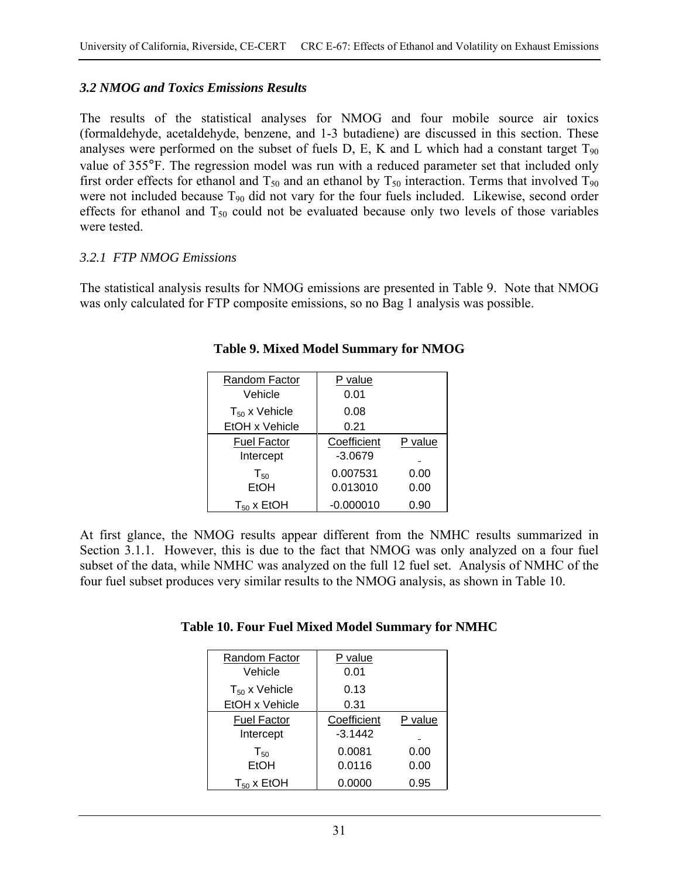## *3.2 NMOG and Toxics Emissions Results*

The results of the statistical analyses for NMOG and four mobile source air toxics (formaldehyde, acetaldehyde, benzene, and 1-3 butadiene) are discussed in this section. These analyses were performed on the subset of fuels D, E, K and L which had a constant target  $T_{90}$ value of 355°F. The regression model was run with a reduced parameter set that included only first order effects for ethanol and  $T_{50}$  and an ethanol by  $T_{50}$  interaction. Terms that involved  $T_{90}$ were not included because T<sub>90</sub> did not vary for the four fuels included. Likewise, second order effects for ethanol and  $T_{50}$  could not be evaluated because only two levels of those variables were tested.

### *3.2.1 FTP NMOG Emissions*

The statistical analysis results for NMOG emissions are presented in Table 9. Note that NMOG was only calculated for FTP composite emissions, so no Bag 1 analysis was possible.

| Random Factor<br>Vehicle        | P value<br>0.01          |              |
|---------------------------------|--------------------------|--------------|
| $T_{50}$ x Vehicle              | 0.08                     |              |
| EtOH x Vehicle                  | 0.21                     |              |
| <b>Fuel Factor</b><br>Intercept | Coefficient<br>$-3.0679$ | P value      |
| $T_{50}$<br>EtOH                | 0.007531<br>0.013010     | 0.00<br>0.00 |
| $T_{50}$ x EtOH                 | $-0.000010$              | 0.90         |

**Table 9. Mixed Model Summary for NMOG** 

At first glance, the NMOG results appear different from the NMHC results summarized in Section 3.1.1. However, this is due to the fact that NMOG was only analyzed on a four fuel subset of the data, while NMHC was analyzed on the full 12 fuel set. Analysis of NMHC of the four fuel subset produces very similar results to the NMOG analysis, as shown in Table 10.

| Table 10. Four Fuel Mixed Model Summary for NMHC |
|--------------------------------------------------|
|--------------------------------------------------|

| Random Factor<br>Vehicle        | P value<br>0.01          |         |
|---------------------------------|--------------------------|---------|
| $T_{50}$ x Vehicle              | 0.13                     |         |
| EtOH x Vehicle                  | 0.31                     |         |
| <b>Fuel Factor</b><br>Intercept | Coefficient<br>$-3.1442$ | P value |
| $T_{50}$                        | 0.0081                   | 0.00    |
| EtOH                            | 0.0116                   | 0.00    |
| $T_{50}$ x EtOH                 | 0.0000                   | 0.95    |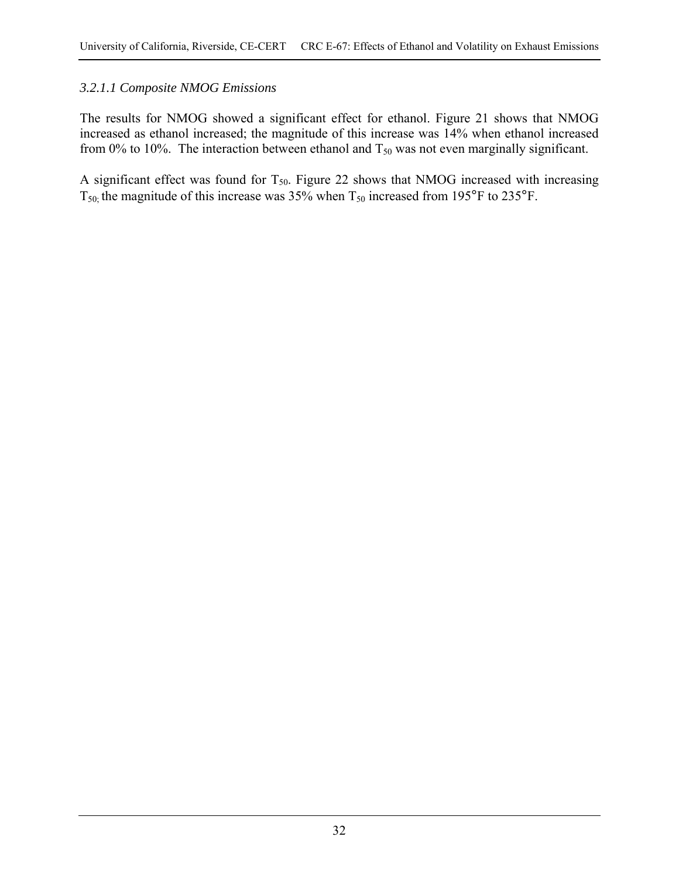### *3.2.1.1 Composite NMOG Emissions*

The results for NMOG showed a significant effect for ethanol. Figure 21 shows that NMOG increased as ethanol increased; the magnitude of this increase was 14% when ethanol increased from 0% to 10%. The interaction between ethanol and  $T_{50}$  was not even marginally significant.

A significant effect was found for  $T_{50}$ . Figure 22 shows that NMOG increased with increasing  $T_{50}$ ; the magnitude of this increase was 35% when  $T_{50}$  increased from 195°F to 235°F.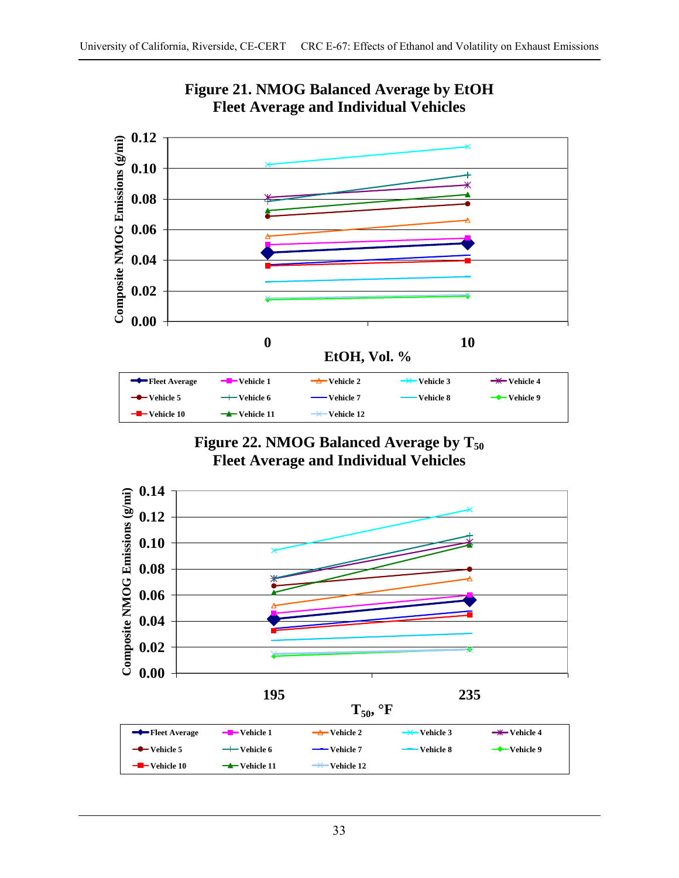





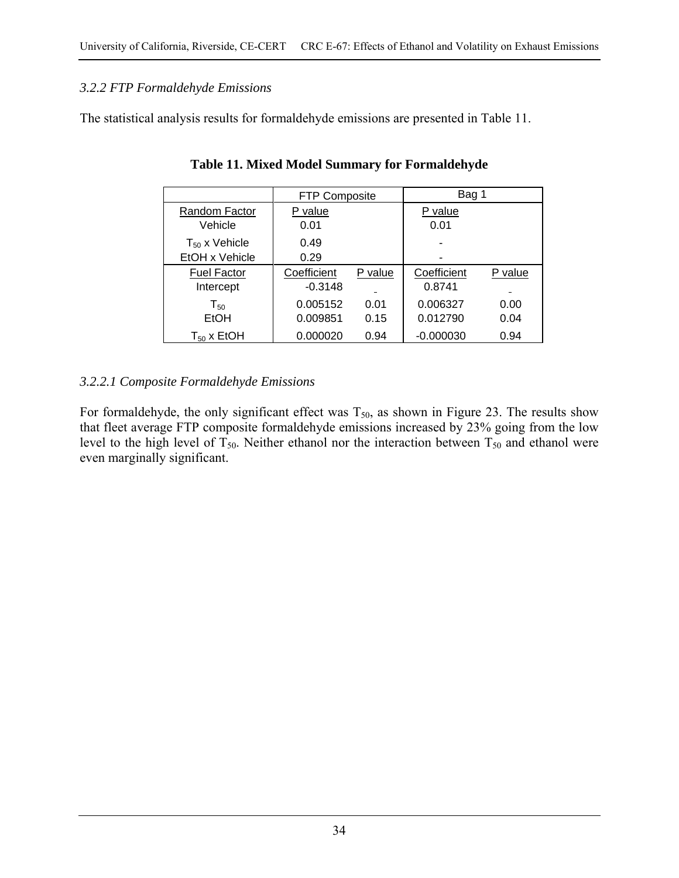## *3.2.2 FTP Formaldehyde Emissions*

The statistical analysis results for formaldehyde emissions are presented in Table 11.

|                                      | <b>FTP Composite</b>     |              | Bag 1                 |              |  |  |
|--------------------------------------|--------------------------|--------------|-----------------------|--------------|--|--|
| Random Factor<br>Vehicle             | P value<br>0.01          |              | P value<br>0.01       |              |  |  |
| $T_{50}$ x Vehicle<br>EtOH x Vehicle | 0.49<br>0.29             |              |                       |              |  |  |
| <b>Fuel Factor</b><br>Intercept      | Coefficient<br>$-0.3148$ | P value      | Coefficient<br>0.8741 | P value      |  |  |
| $T_{50}$<br>EtOH                     | 0.005152<br>0.009851     | 0.01<br>0.15 | 0.006327<br>0.012790  | 0.00<br>0.04 |  |  |
| $T_{50}$ x EtOH                      | 0.000020                 | 0.94         | $-0.000030$           | 0.94         |  |  |

**Table 11. Mixed Model Summary for Formaldehyde** 

## *3.2.2.1 Composite Formaldehyde Emissions*

For formaldehyde, the only significant effect was  $T_{50}$ , as shown in Figure 23. The results show that fleet average FTP composite formaldehyde emissions increased by 23% going from the low level to the high level of  $T_{50}$ . Neither ethanol nor the interaction between  $T_{50}$  and ethanol were even marginally significant.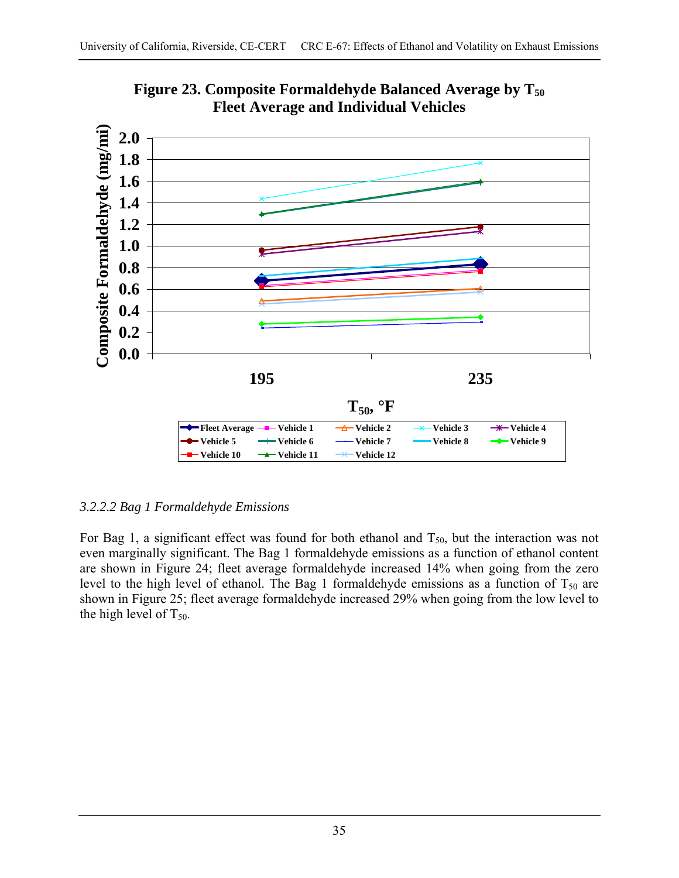

Figure 23. Composite Formaldehyde Balanced Average by T<sub>50</sub> **Fleet Average and Individual Vehicles** 

## *3.2.2.2 Bag 1 Formaldehyde Emissions*

For Bag 1, a significant effect was found for both ethanol and  $T_{50}$ , but the interaction was not even marginally significant. The Bag 1 formaldehyde emissions as a function of ethanol content are shown in Figure 24; fleet average formaldehyde increased 14% when going from the zero level to the high level of ethanol. The Bag 1 formaldehyde emissions as a function of  $T_{50}$  are shown in Figure 25; fleet average formaldehyde increased 29% when going from the low level to the high level of  $T_{50}$ .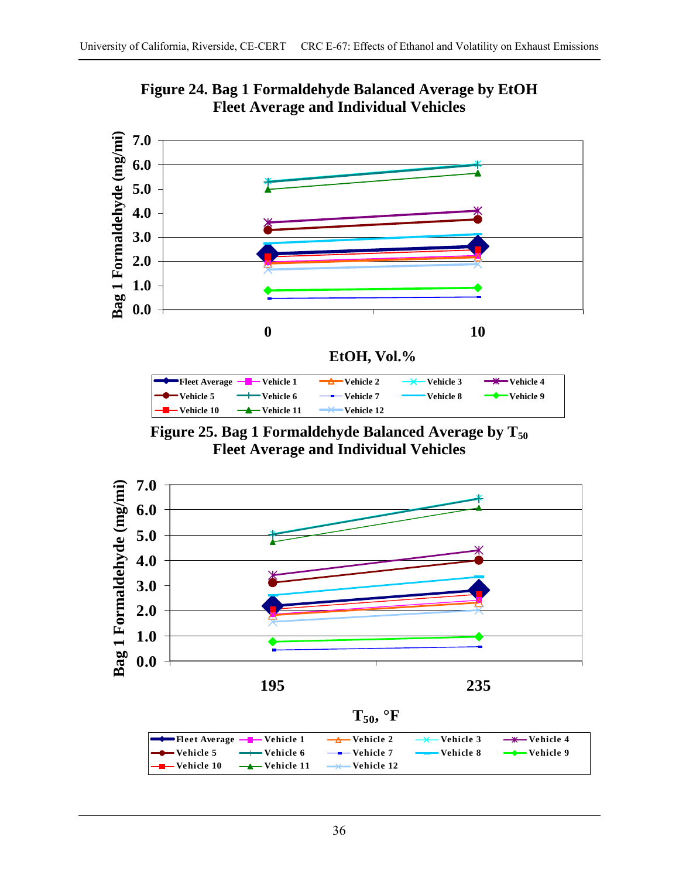

**Figure 24. Bag 1 Formaldehyde Balanced Average by EtOH Fleet Average and Individual Vehicles** 

Figure 25. Bag 1 Formaldehyde Balanced Average by T<sub>50</sub> **Fleet Average and Individual Vehicles** 



**T50, °F**

| <b>I</b> Fleet Average $-\blacksquare$ Vehicle 1 $\rightarrow$ Vehicle 2 $\rightarrow$ Vehicle 3 $\rightarrow$ Vehicle 4   |  |  |
|----------------------------------------------------------------------------------------------------------------------------|--|--|
| <del>● V</del> ehicle 5 → Vehicle 6 → Vehicle 7 → Vehicle 8 → Vehicle 9                                                    |  |  |
| $\left\lfloor -\right\rfloor$ Vehicle 10 $\left\lfloor -\right\rfloor$ Vehicle 11 $\left\lfloor -\right\rfloor$ Vehicle 12 |  |  |
|                                                                                                                            |  |  |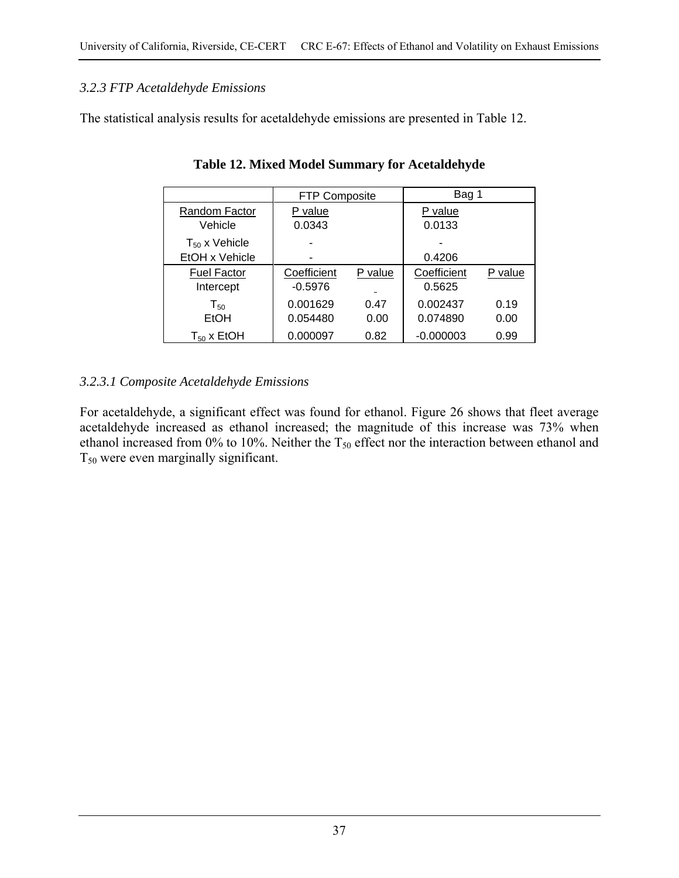## *3.2.3 FTP Acetaldehyde Emissions*

The statistical analysis results for acetaldehyde emissions are presented in Table 12.

|                                      | <b>FTP Composite</b>     |                                     | Bag 1                 |              |  |
|--------------------------------------|--------------------------|-------------------------------------|-----------------------|--------------|--|
| Random Factor<br>Vehicle             | P value<br>0.0343        |                                     | P value<br>0.0133     |              |  |
| $T_{50}$ x Vehicle<br>EtOH x Vehicle |                          |                                     | 0.4206                |              |  |
| <b>Fuel Factor</b><br>Intercept      | Coefficient<br>$-0.5976$ | P value<br>$\overline{\phantom{0}}$ | Coefficient<br>0.5625 | P value      |  |
| $\mathsf{T}_{50}$<br>EtOH            | 0.001629<br>0.054480     | 0.47<br>0.00                        | 0.002437<br>0.074890  | 0.19<br>0.00 |  |
| $T_{50}$ x EtOH                      | 0.000097                 | 0.82                                | $-0.000003$           | 0.99         |  |

**Table 12. Mixed Model Summary for Acetaldehyde** 

## *3.2.3.1 Composite Acetaldehyde Emissions*

For acetaldehyde, a significant effect was found for ethanol. Figure 26 shows that fleet average acetaldehyde increased as ethanol increased; the magnitude of this increase was 73% when ethanol increased from 0% to 10%. Neither the  $T_{50}$  effect nor the interaction between ethanol and  $T_{50}$  were even marginally significant.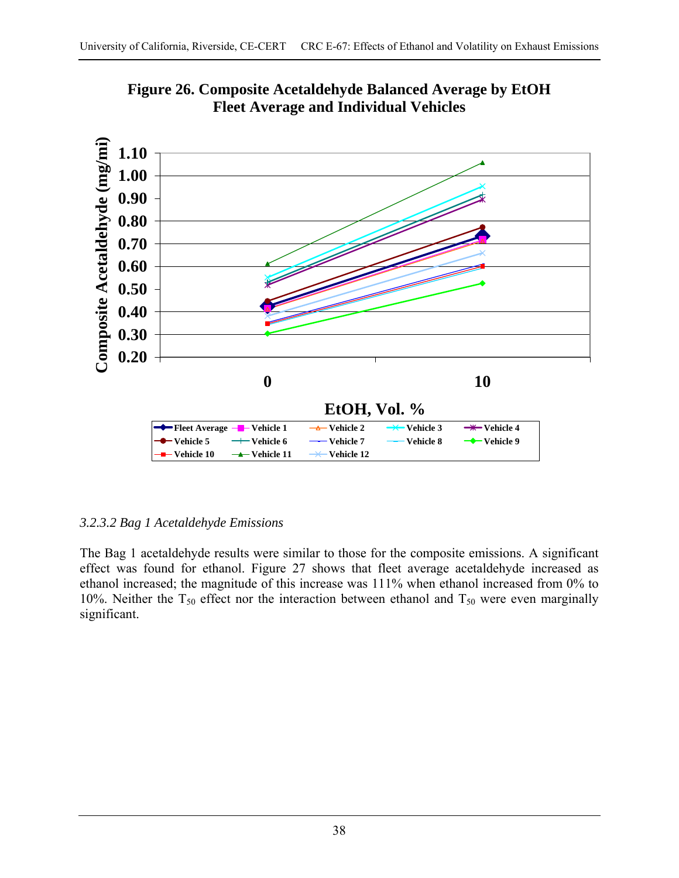

**Figure 26. Composite Acetaldehyde Balanced Average by EtOH Fleet Average and Individual Vehicles** 

## *3.2.3.2 Bag 1 Acetaldehyde Emissions*

The Bag 1 acetaldehyde results were similar to those for the composite emissions. A significant effect was found for ethanol. Figure 27 shows that fleet average acetaldehyde increased as ethanol increased; the magnitude of this increase was 111% when ethanol increased from 0% to 10%. Neither the  $T_{50}$  effect nor the interaction between ethanol and  $T_{50}$  were even marginally significant.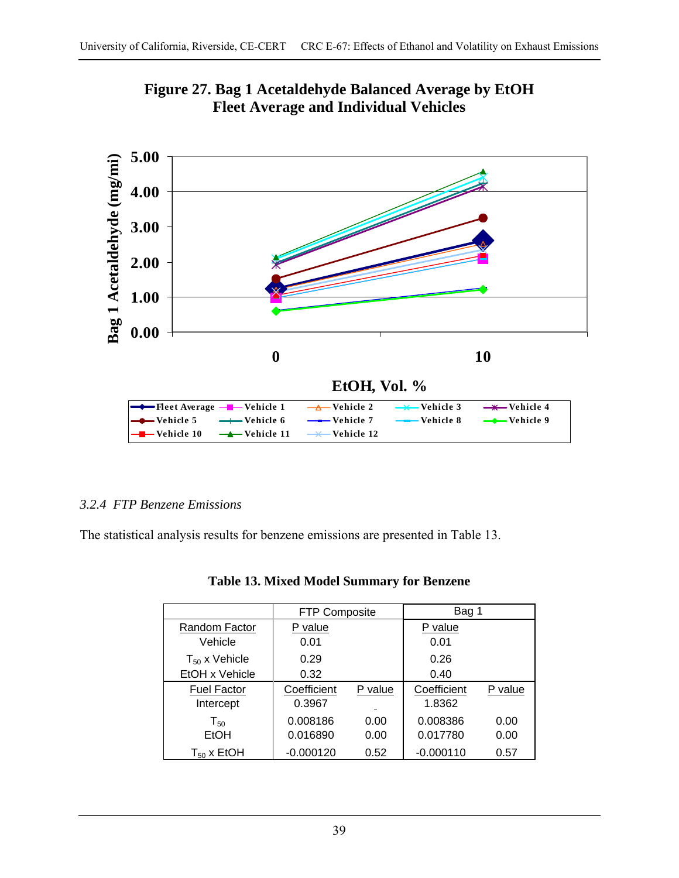



## *3.2.4 FTP Benzene Emissions*

The statistical analysis results for benzene emissions are presented in Table 13.

|                    | <b>FTP Composite</b> |         | Bag 1       |         |  |
|--------------------|----------------------|---------|-------------|---------|--|
| Random Factor      | P value              |         | P value     |         |  |
| Vehicle            | 0.01                 |         | 0.01        |         |  |
| $T_{50}$ x Vehicle | 0.29                 |         | 0.26        |         |  |
| EtOH x Vehicle     | 0.32                 |         | 0.40        |         |  |
| <b>Fuel Factor</b> | Coefficient          | P value | Coefficient | P value |  |
| Intercept          | 0.3967               |         | 1.8362      |         |  |
| $T_{50}$           | 0.008186             | 0.00    | 0.008386    | 0.00    |  |
| EtOH               | 0.016890             | 0.00    | 0.017780    | 0.00    |  |
| $T_{50}$ x EtOH    | $-0.000120$          | 0.52    | $-0.000110$ | 0.57    |  |

|  |  | <b>Table 13. Mixed Model Summary for Benzene</b> |  |
|--|--|--------------------------------------------------|--|
|  |  |                                                  |  |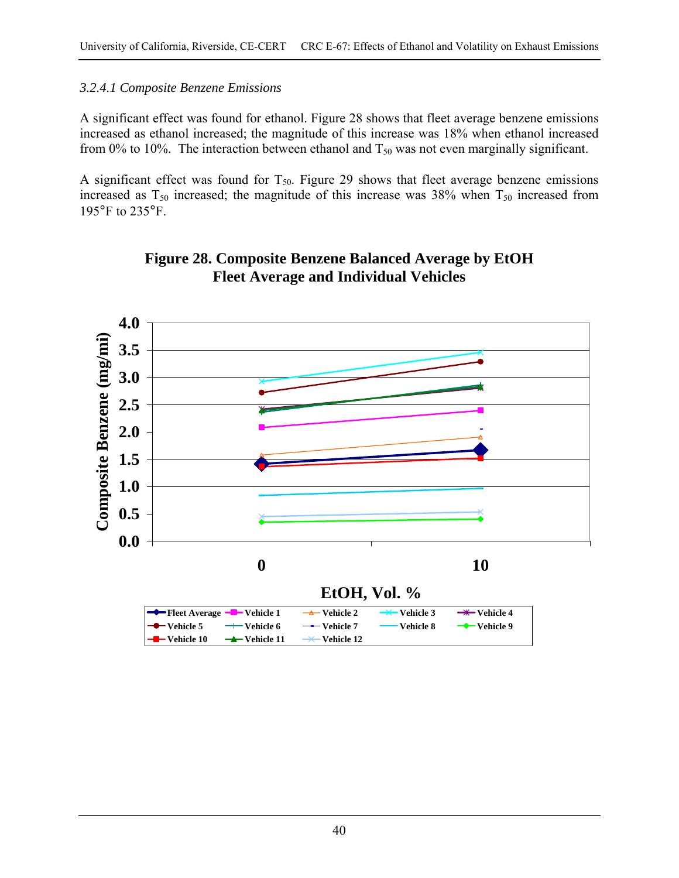## *3.2.4.1 Composite Benzene Emissions*

A significant effect was found for ethanol. Figure 28 shows that fleet average benzene emissions increased as ethanol increased; the magnitude of this increase was 18% when ethanol increased from 0% to 10%. The interaction between ethanol and  $T_{50}$  was not even marginally significant.

A significant effect was found for  $T_{50}$ . Figure 29 shows that fleet average benzene emissions increased as  $T_{50}$  increased; the magnitude of this increase was 38% when  $T_{50}$  increased from 195°F to 235°F.



# **Figure 28. Composite Benzene Balanced Average by EtOH Fleet Average and Individual Vehicles**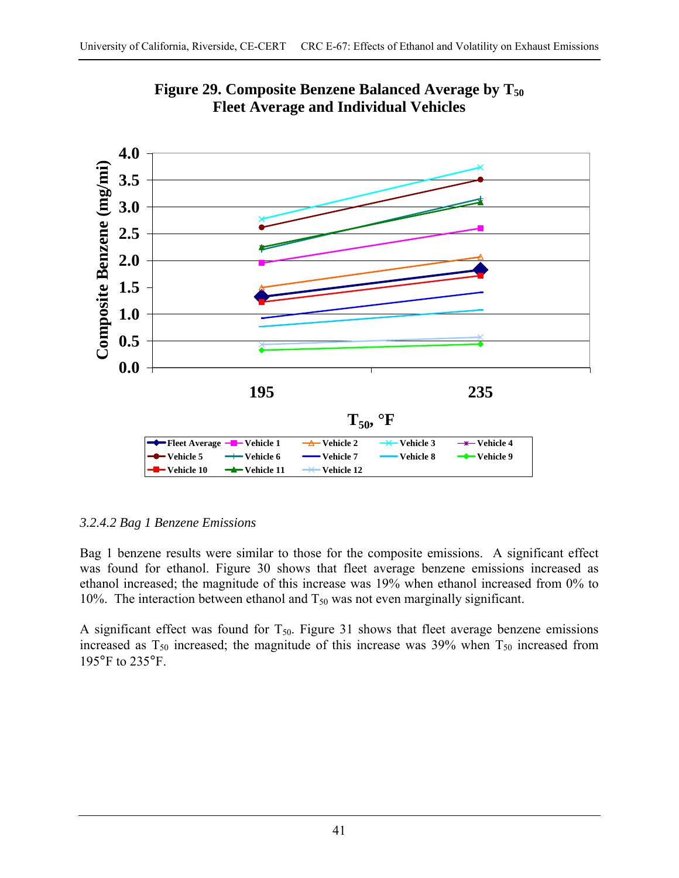



## *3.2.4.2 Bag 1 Benzene Emissions*

Bag 1 benzene results were similar to those for the composite emissions. A significant effect was found for ethanol. Figure 30 shows that fleet average benzene emissions increased as ethanol increased; the magnitude of this increase was 19% when ethanol increased from 0% to 10%. The interaction between ethanol and  $T_{50}$  was not even marginally significant.

A significant effect was found for  $T_{50}$ . Figure 31 shows that fleet average benzene emissions increased as  $T_{50}$  increased; the magnitude of this increase was 39% when  $T_{50}$  increased from 195°F to 235°F.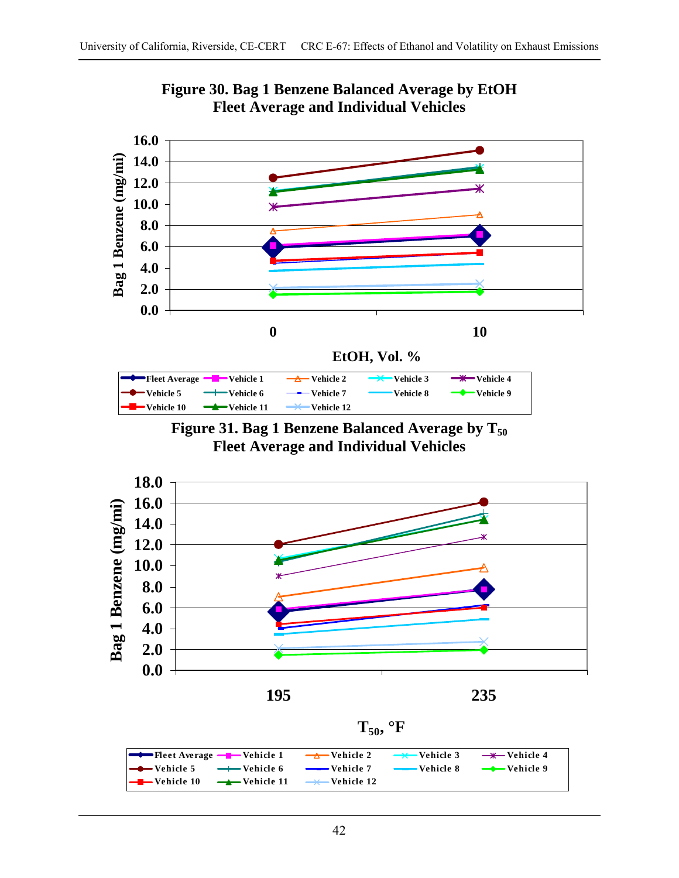

**Figure 30. Bag 1 Benzene Balanced Average by EtOH Fleet Average and Individual Vehicles** 







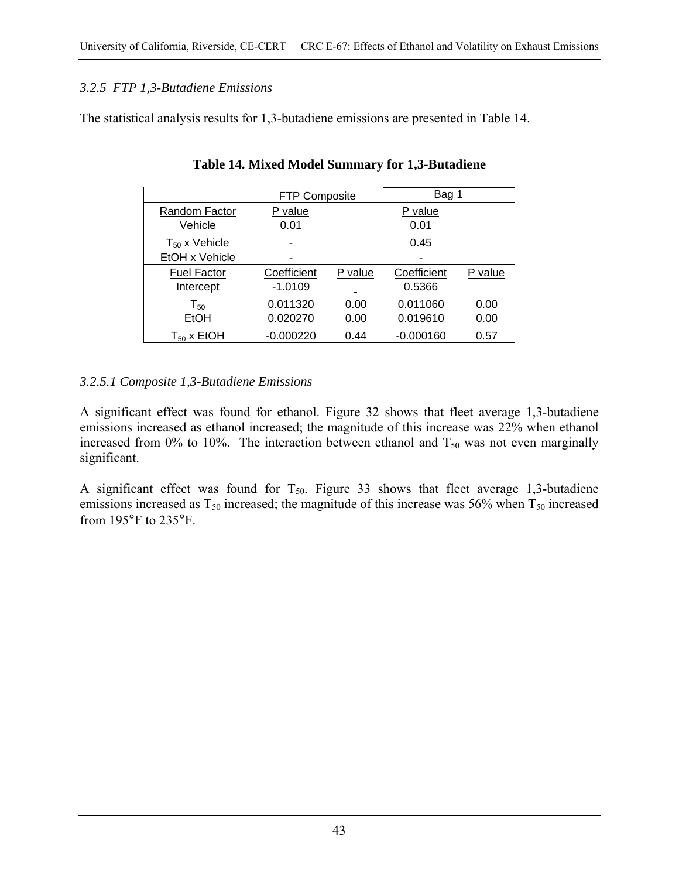## *3.2.5 FTP 1,3-Butadiene Emissions*

The statistical analysis results for 1,3-butadiene emissions are presented in Table 14.

|                    | <b>FTP Composite</b> |         | Bag 1       |         |  |
|--------------------|----------------------|---------|-------------|---------|--|
| Random Factor      | P value              |         | P value     |         |  |
| Vehicle            | 0.01                 |         | 0.01        |         |  |
| $T_{50}$ x Vehicle |                      |         | 0.45        |         |  |
| EtOH x Vehicle     |                      |         |             |         |  |
| <b>Fuel Factor</b> | Coefficient          | P value | Coefficient | P value |  |
| Intercept          | $-1.0109$            | -       | 0.5366      |         |  |
| $T_{50}$           | 0.011320             | 0.00    | 0.011060    | 0.00    |  |
| EtOH               | 0.020270             | 0.00    | 0.019610    | 0.00    |  |
| $T_{50}$ x EtOH    | $-0.000220$          | 0.44    | -0.000160   | 0.57    |  |

**Table 14. Mixed Model Summary for 1,3-Butadiene** 

## *3.2.5.1 Composite 1,3-Butadiene Emissions*

A significant effect was found for ethanol. Figure 32 shows that fleet average 1,3-butadiene emissions increased as ethanol increased; the magnitude of this increase was 22% when ethanol increased from 0% to 10%. The interaction between ethanol and  $T_{50}$  was not even marginally significant.

A significant effect was found for  $T_{50}$ . Figure 33 shows that fleet average 1,3-butadiene emissions increased as  $T_{50}$  increased; the magnitude of this increase was 56% when  $T_{50}$  increased from 195°F to 235°F.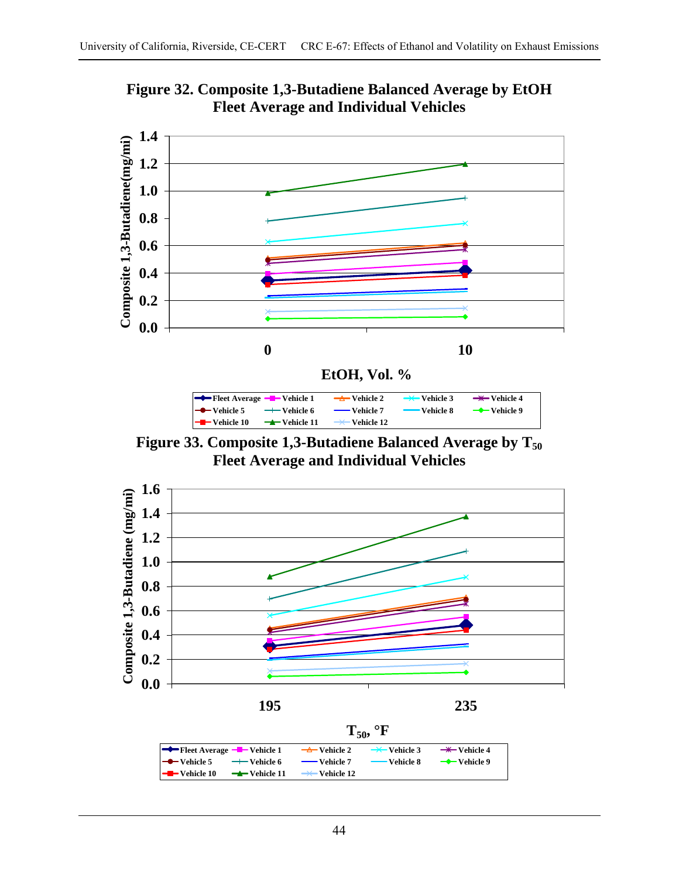

**Figure 32. Composite 1,3-Butadiene Balanced Average by EtOH Fleet Average and Individual Vehicles** 

Figure 33. Composite 1,3-Butadiene Balanced Average by T<sub>50</sub> **Fleet Average and Individual Vehicles** 

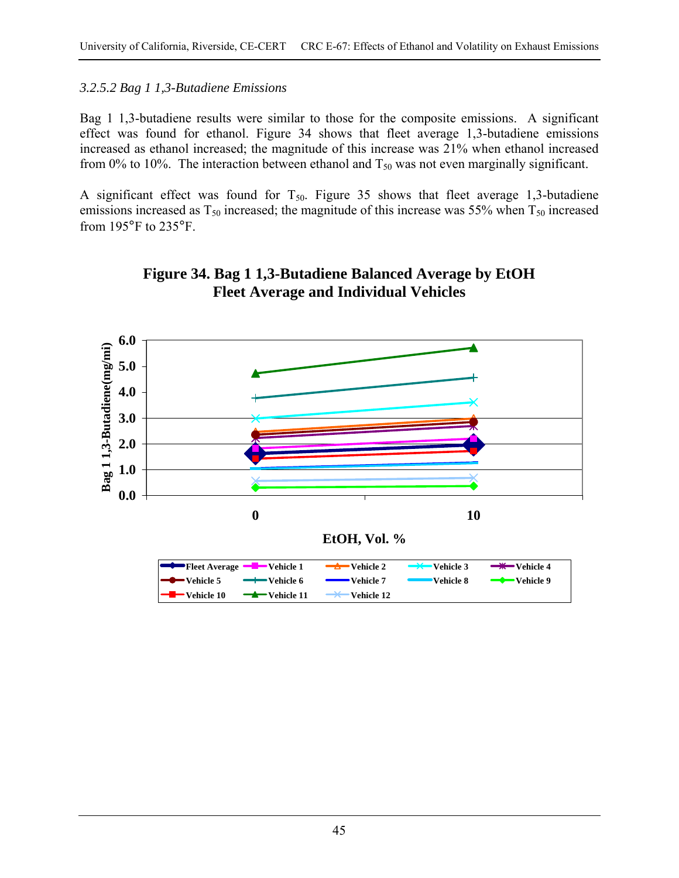### *3.2.5.2 Bag 1 1,3-Butadiene Emissions*

Bag 1 1,3-butadiene results were similar to those for the composite emissions. A significant effect was found for ethanol. Figure 34 shows that fleet average 1,3-butadiene emissions increased as ethanol increased; the magnitude of this increase was 21% when ethanol increased from 0% to 10%. The interaction between ethanol and  $T_{50}$  was not even marginally significant.

A significant effect was found for  $T_{50}$ . Figure 35 shows that fleet average 1,3-butadiene emissions increased as  $T_{50}$  increased; the magnitude of this increase was 55% when  $T_{50}$  increased from 195°F to 235°F.



# **Figure 34. Bag 1 1,3-Butadiene Balanced Average by EtOH Fleet Average and Individual Vehicles**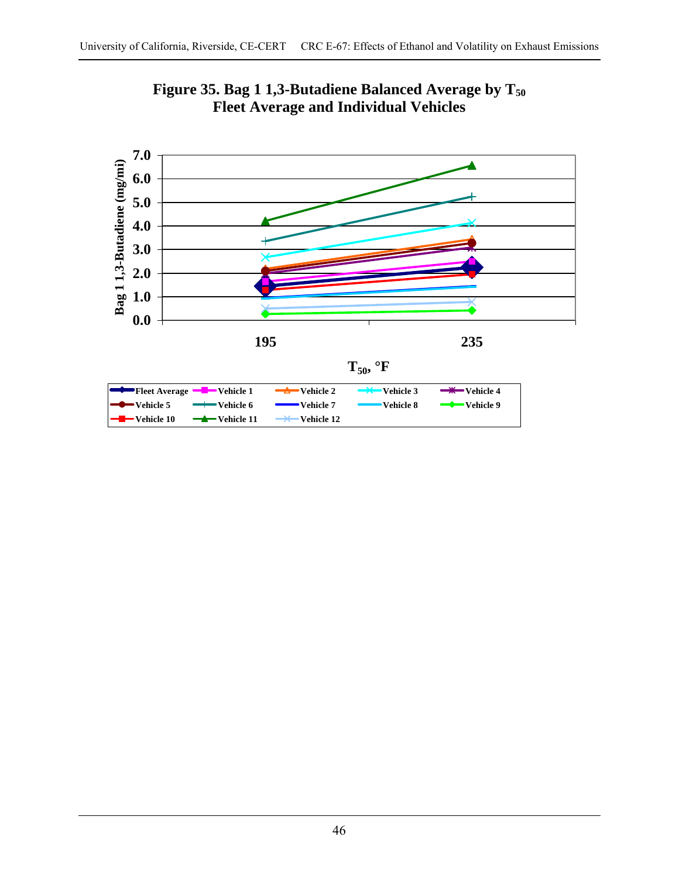

Figure 35. Bag 1 1,3-Butadiene Balanced Average by T<sub>50</sub> **Fleet Average and Individual Vehicles**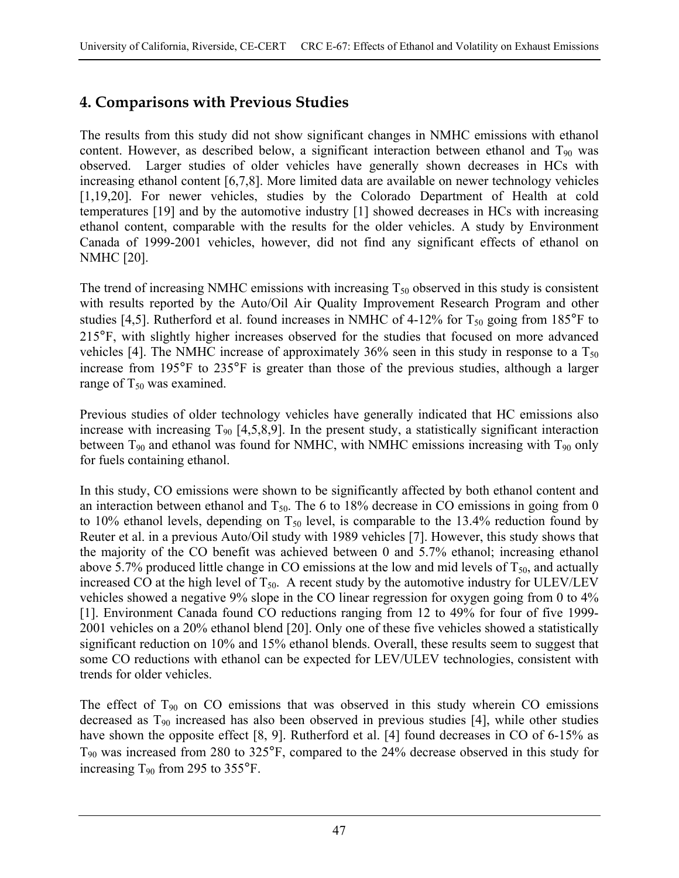# **4. Comparisons with Previous Studies**

The results from this study did not show significant changes in NMHC emissions with ethanol content. However, as described below, a significant interaction between ethanol and  $T_{90}$  was observed. Larger studies of older vehicles have generally shown decreases in HCs with increasing ethanol content [6,7,8]. More limited data are available on newer technology vehicles [1,19,20]. For newer vehicles, studies by the Colorado Department of Health at cold temperatures [19] and by the automotive industry [1] showed decreases in HCs with increasing ethanol content, comparable with the results for the older vehicles. A study by Environment Canada of 1999-2001 vehicles, however, did not find any significant effects of ethanol on NMHC [20].

The trend of increasing NMHC emissions with increasing  $T_{50}$  observed in this study is consistent with results reported by the Auto/Oil Air Quality Improvement Research Program and other studies [4,5]. Rutherford et al. found increases in NMHC of 4-12% for  $T_{50}$  going from 185°F to 215°F, with slightly higher increases observed for the studies that focused on more advanced vehicles [4]. The NMHC increase of approximately  $36\%$  seen in this study in response to a  $T_{50}$ increase from 195°F to 235°F is greater than those of the previous studies, although a larger range of  $T_{50}$  was examined.

Previous studies of older technology vehicles have generally indicated that HC emissions also increase with increasing  $T_{90}$  [4,5,8,9]. In the present study, a statistically significant interaction between  $T_{90}$  and ethanol was found for NMHC, with NMHC emissions increasing with  $T_{90}$  only for fuels containing ethanol.

In this study, CO emissions were shown to be significantly affected by both ethanol content and an interaction between ethanol and  $T_{50}$ . The 6 to 18% decrease in CO emissions in going from 0 to 10% ethanol levels, depending on  $T_{50}$  level, is comparable to the 13.4% reduction found by Reuter et al. in a previous Auto/Oil study with 1989 vehicles [7]. However, this study shows that the majority of the CO benefit was achieved between 0 and 5.7% ethanol; increasing ethanol above 5.7% produced little change in CO emissions at the low and mid levels of  $T_{50}$ , and actually increased CO at the high level of  $T_{50}$ . A recent study by the automotive industry for ULEV/LEV vehicles showed a negative 9% slope in the CO linear regression for oxygen going from 0 to 4% [1]. Environment Canada found CO reductions ranging from 12 to 49% for four of five 1999- 2001 vehicles on a 20% ethanol blend [20]. Only one of these five vehicles showed a statistically significant reduction on 10% and 15% ethanol blends. Overall, these results seem to suggest that some CO reductions with ethanol can be expected for LEV/ULEV technologies, consistent with trends for older vehicles.

The effect of  $T_{90}$  on CO emissions that was observed in this study wherein CO emissions decreased as  $T_{90}$  increased has also been observed in previous studies [4], while other studies have shown the opposite effect [8, 9]. Rutherford et al. [4] found decreases in CO of 6-15% as T90 was increased from 280 to 325°F, compared to the 24% decrease observed in this study for increasing  $T_{90}$  from 295 to 355°F.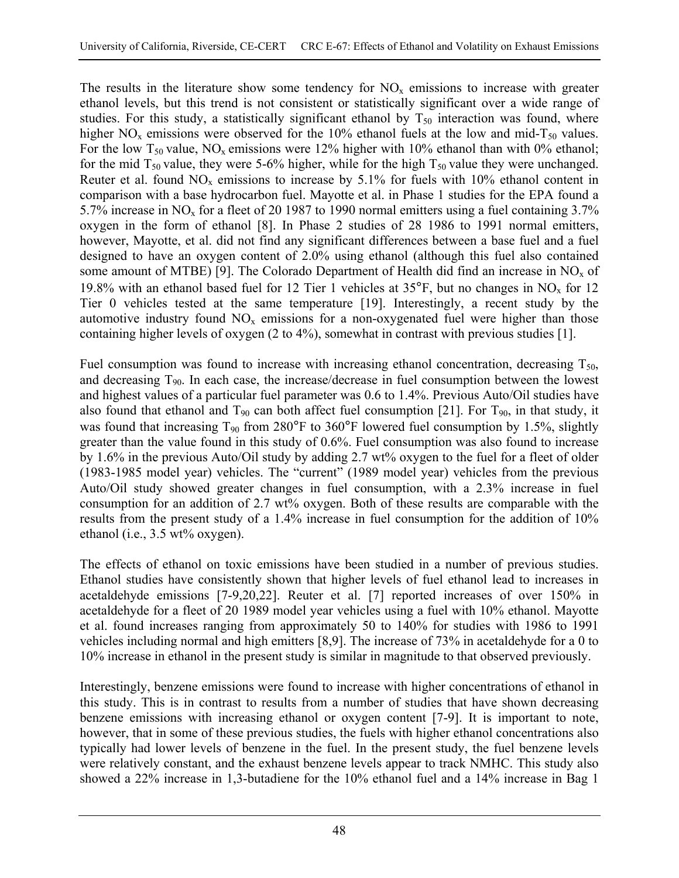The results in the literature show some tendency for  $NO<sub>x</sub>$  emissions to increase with greater ethanol levels, but this trend is not consistent or statistically significant over a wide range of studies. For this study, a statistically significant ethanol by  $T_{50}$  interaction was found, where higher NO<sub>x</sub> emissions were observed for the 10% ethanol fuels at the low and mid-T<sub>50</sub> values. For the low  $T_{50}$  value, NO<sub>x</sub> emissions were 12% higher with 10% ethanol than with 0% ethanol; for the mid  $T_{50}$  value, they were 5-6% higher, while for the high  $T_{50}$  value they were unchanged. Reuter et al. found  $NO<sub>x</sub>$  emissions to increase by 5.1% for fuels with 10% ethanol content in comparison with a base hydrocarbon fuel. Mayotte et al. in Phase 1 studies for the EPA found a 5.7% increase in  $NO<sub>x</sub>$  for a fleet of 20 1987 to 1990 normal emitters using a fuel containing 3.7% oxygen in the form of ethanol [8]. In Phase 2 studies of 28 1986 to 1991 normal emitters, however, Mayotte, et al. did not find any significant differences between a base fuel and a fuel designed to have an oxygen content of 2.0% using ethanol (although this fuel also contained some amount of MTBE) [9]. The Colorado Department of Health did find an increase in  $NO<sub>x</sub>$  of 19.8% with an ethanol based fuel for 12 Tier 1 vehicles at  $35^{\circ}$ F, but no changes in NO<sub>x</sub> for 12 Tier 0 vehicles tested at the same temperature [19]. Interestingly, a recent study by the automotive industry found  $NO<sub>x</sub>$  emissions for a non-oxygenated fuel were higher than those containing higher levels of oxygen (2 to 4%), somewhat in contrast with previous studies [1].

Fuel consumption was found to increase with increasing ethanol concentration, decreasing  $T_{50}$ , and decreasing  $T_{90}$ . In each case, the increase/decrease in fuel consumption between the lowest and highest values of a particular fuel parameter was 0.6 to 1.4%. Previous Auto/Oil studies have also found that ethanol and  $T_{90}$  can both affect fuel consumption [21]. For  $T_{90}$ , in that study, it was found that increasing  $T_{90}$  from 280°F to 360°F lowered fuel consumption by 1.5%, slightly greater than the value found in this study of 0.6%. Fuel consumption was also found to increase by 1.6% in the previous Auto/Oil study by adding 2.7 wt% oxygen to the fuel for a fleet of older (1983-1985 model year) vehicles. The "current" (1989 model year) vehicles from the previous Auto/Oil study showed greater changes in fuel consumption, with a 2.3% increase in fuel consumption for an addition of 2.7 wt% oxygen. Both of these results are comparable with the results from the present study of a 1.4% increase in fuel consumption for the addition of 10% ethanol (i.e., 3.5 wt% oxygen).

The effects of ethanol on toxic emissions have been studied in a number of previous studies. Ethanol studies have consistently shown that higher levels of fuel ethanol lead to increases in acetaldehyde emissions [7-9,20,22]. Reuter et al. [7] reported increases of over 150% in acetaldehyde for a fleet of 20 1989 model year vehicles using a fuel with 10% ethanol. Mayotte et al. found increases ranging from approximately 50 to 140% for studies with 1986 to 1991 vehicles including normal and high emitters [8,9]. The increase of 73% in acetaldehyde for a 0 to 10% increase in ethanol in the present study is similar in magnitude to that observed previously.

Interestingly, benzene emissions were found to increase with higher concentrations of ethanol in this study. This is in contrast to results from a number of studies that have shown decreasing benzene emissions with increasing ethanol or oxygen content [7-9]. It is important to note, however, that in some of these previous studies, the fuels with higher ethanol concentrations also typically had lower levels of benzene in the fuel. In the present study, the fuel benzene levels were relatively constant, and the exhaust benzene levels appear to track NMHC. This study also showed a 22% increase in 1,3-butadiene for the 10% ethanol fuel and a 14% increase in Bag 1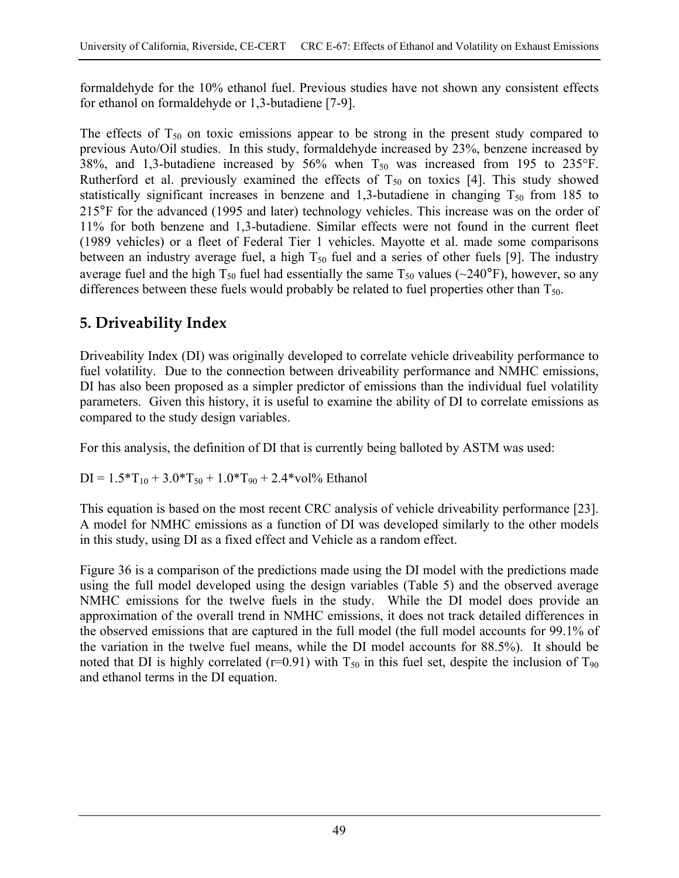formaldehyde for the 10% ethanol fuel. Previous studies have not shown any consistent effects for ethanol on formaldehyde or 1,3-butadiene [7-9].

The effects of  $T_{50}$  on toxic emissions appear to be strong in the present study compared to previous Auto/Oil studies. In this study, formaldehyde increased by 23%, benzene increased by 38%, and 1,3-butadiene increased by 56% when  $T_{50}$  was increased from 195 to 235°F. Rutherford et al. previously examined the effects of  $T_{50}$  on toxics [4]. This study showed statistically significant increases in benzene and 1,3-butadiene in changing  $T_{50}$  from 185 to 215°F for the advanced (1995 and later) technology vehicles. This increase was on the order of 11% for both benzene and 1,3-butadiene. Similar effects were not found in the current fleet (1989 vehicles) or a fleet of Federal Tier 1 vehicles. Mayotte et al. made some comparisons between an industry average fuel, a high  $T_{50}$  fuel and a series of other fuels [9]. The industry average fuel and the high  $T_{50}$  fuel had essentially the same  $T_{50}$  values (~240°F), however, so any differences between these fuels would probably be related to fuel properties other than  $T_{50}$ .

# **5. Driveability Index**

Driveability Index (DI) was originally developed to correlate vehicle driveability performance to fuel volatility. Due to the connection between driveability performance and NMHC emissions, DI has also been proposed as a simpler predictor of emissions than the individual fuel volatility parameters. Given this history, it is useful to examine the ability of DI to correlate emissions as compared to the study design variables.

For this analysis, the definition of DI that is currently being balloted by ASTM was used:

$$
DI = 1.5 * T_{10} + 3.0 * T_{50} + 1.0 * T_{90} + 2.4 * vol\% \text{ Ethanol}
$$

This equation is based on the most recent CRC analysis of vehicle driveability performance [23]. A model for NMHC emissions as a function of DI was developed similarly to the other models in this study, using DI as a fixed effect and Vehicle as a random effect.

Figure 36 is a comparison of the predictions made using the DI model with the predictions made using the full model developed using the design variables (Table 5) and the observed average NMHC emissions for the twelve fuels in the study. While the DI model does provide an approximation of the overall trend in NMHC emissions, it does not track detailed differences in the observed emissions that are captured in the full model (the full model accounts for 99.1% of the variation in the twelve fuel means, while the DI model accounts for 88.5%). It should be noted that DI is highly correlated (r=0.91) with  $T_{50}$  in this fuel set, despite the inclusion of  $T_{90}$ and ethanol terms in the DI equation.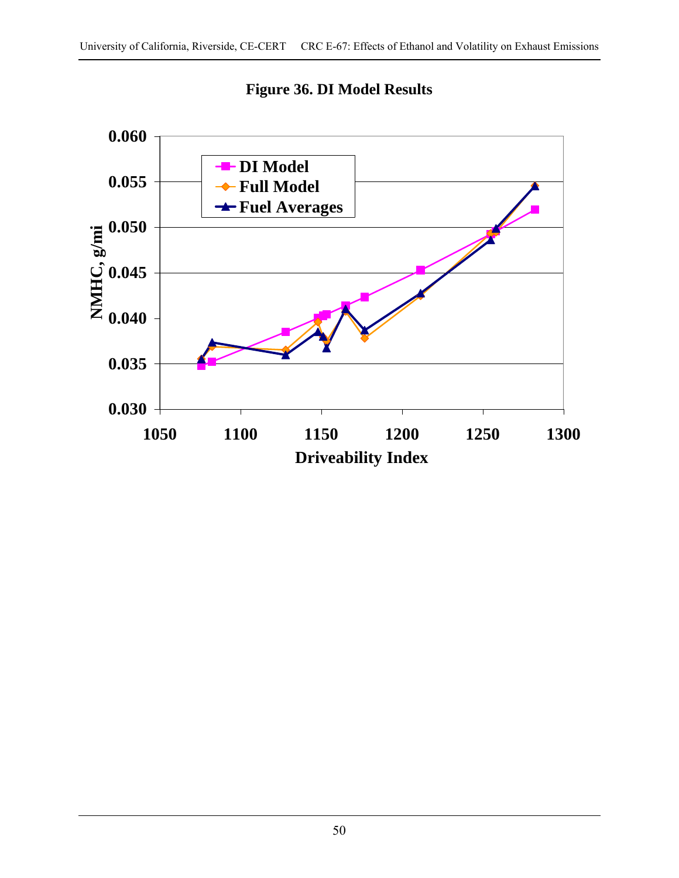

**Figure 36. DI Model Results**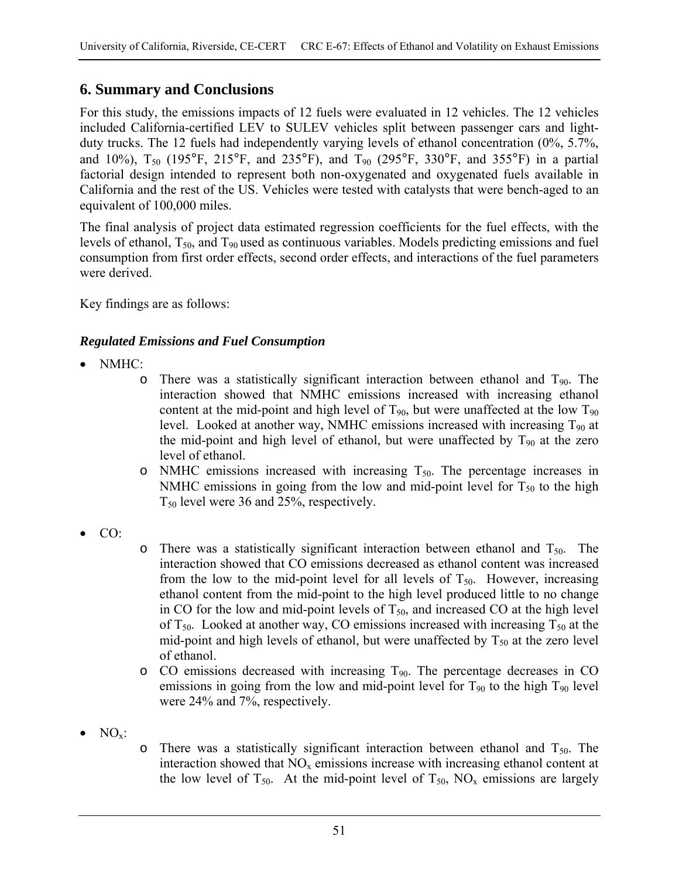# **6. Summary and Conclusions**

For this study, the emissions impacts of 12 fuels were evaluated in 12 vehicles. The 12 vehicles included California-certified LEV to SULEV vehicles split between passenger cars and lightduty trucks. The 12 fuels had independently varying levels of ethanol concentration (0%, 5.7%, and 10%),  $T_{50}$  (195°F, 215°F, and 235°F), and  $T_{90}$  (295°F, 330°F, and 355°F) in a partial factorial design intended to represent both non-oxygenated and oxygenated fuels available in California and the rest of the US. Vehicles were tested with catalysts that were bench-aged to an equivalent of 100,000 miles.

The final analysis of project data estimated regression coefficients for the fuel effects, with the levels of ethanol,  $T_{50}$ , and  $T_{90}$  used as continuous variables. Models predicting emissions and fuel consumption from first order effects, second order effects, and interactions of the fuel parameters were derived.

Key findings are as follows:

## *Regulated Emissions and Fuel Consumption*

- NMHC:
	- $\circ$  There was a statistically significant interaction between ethanol and T<sub>90</sub>. The interaction showed that NMHC emissions increased with increasing ethanol content at the mid-point and high level of  $T_{90}$ , but were unaffected at the low  $T_{90}$ level. Looked at another way, NMHC emissions increased with increasing  $T_{90}$  at the mid-point and high level of ethanol, but were unaffected by  $T_{90}$  at the zero level of ethanol.
	- $\circ$  NMHC emissions increased with increasing  $T_{50}$ . The percentage increases in NMHC emissions in going from the low and mid-point level for  $T_{50}$  to the high T50 level were 36 and 25%, respectively.
- CO:
- $\circ$  There was a statistically significant interaction between ethanol and T<sub>50</sub>. The interaction showed that CO emissions decreased as ethanol content was increased from the low to the mid-point level for all levels of  $T_{50}$ . However, increasing ethanol content from the mid-point to the high level produced little to no change in CO for the low and mid-point levels of  $T_{50}$ , and increased CO at the high level of  $T_{50}$ . Looked at another way, CO emissions increased with increasing  $T_{50}$  at the mid-point and high levels of ethanol, but were unaffected by  $T_{50}$  at the zero level of ethanol.
- $\circ$  CO emissions decreased with increasing  $T_{90}$ . The percentage decreases in CO emissions in going from the low and mid-point level for  $T_{90}$  to the high  $T_{90}$  level were 24% and 7%, respectively.
- $\bullet$  NO<sub>x</sub>:
- $\circ$  There was a statistically significant interaction between ethanol and  $T_{50}$ . The interaction showed that  $NO<sub>x</sub>$  emissions increase with increasing ethanol content at the low level of  $T_{50}$ . At the mid-point level of  $T_{50}$ , NO<sub>x</sub> emissions are largely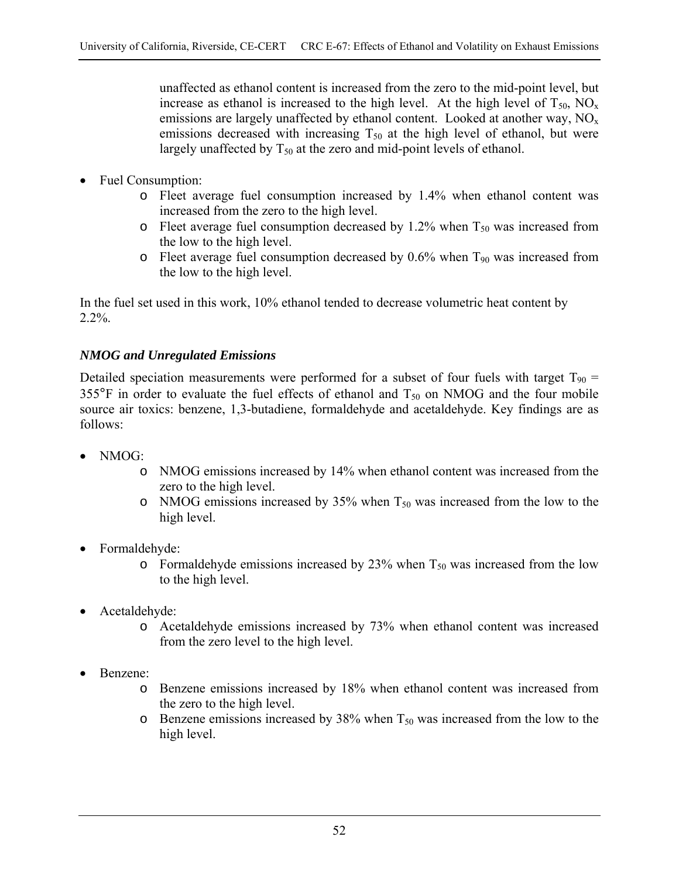unaffected as ethanol content is increased from the zero to the mid-point level, but increase as ethanol is increased to the high level. At the high level of  $T_{50}$ ,  $NO<sub>x</sub>$ emissions are largely unaffected by ethanol content. Looked at another way,  $NO<sub>x</sub>$ emissions decreased with increasing  $T_{50}$  at the high level of ethanol, but were largely unaffected by  $T_{50}$  at the zero and mid-point levels of ethanol.

- Fuel Consumption:
	- o Fleet average fuel consumption increased by 1.4% when ethanol content was increased from the zero to the high level.
	- $\circ$  Fleet average fuel consumption decreased by 1.2% when  $T_{50}$  was increased from the low to the high level.
	- $\circ$  Fleet average fuel consumption decreased by 0.6% when  $T_{90}$  was increased from the low to the high level.

In the fuel set used in this work, 10% ethanol tended to decrease volumetric heat content by  $2.2\%$ .

# *NMOG and Unregulated Emissions*

Detailed speciation measurements were performed for a subset of four fuels with target  $T_{90}$  = 355 $\degree$ F in order to evaluate the fuel effects of ethanol and  $T_{50}$  on NMOG and the four mobile source air toxics: benzene, 1,3-butadiene, formaldehyde and acetaldehyde. Key findings are as follows:

- NMOG:
	- o NMOG emissions increased by 14% when ethanol content was increased from the zero to the high level.
	- o NMOG emissions increased by 35% when  $T_{50}$  was increased from the low to the high level.
- Formaldehyde:
	- $\circ$  Formaldehyde emissions increased by 23% when T<sub>50</sub> was increased from the low to the high level.
- Acetaldehyde:
	- o Acetaldehyde emissions increased by 73% when ethanol content was increased from the zero level to the high level.
- Benzene:
	- o Benzene emissions increased by 18% when ethanol content was increased from the zero to the high level.
	- $\circ$  Benzene emissions increased by 38% when  $T_{50}$  was increased from the low to the high level.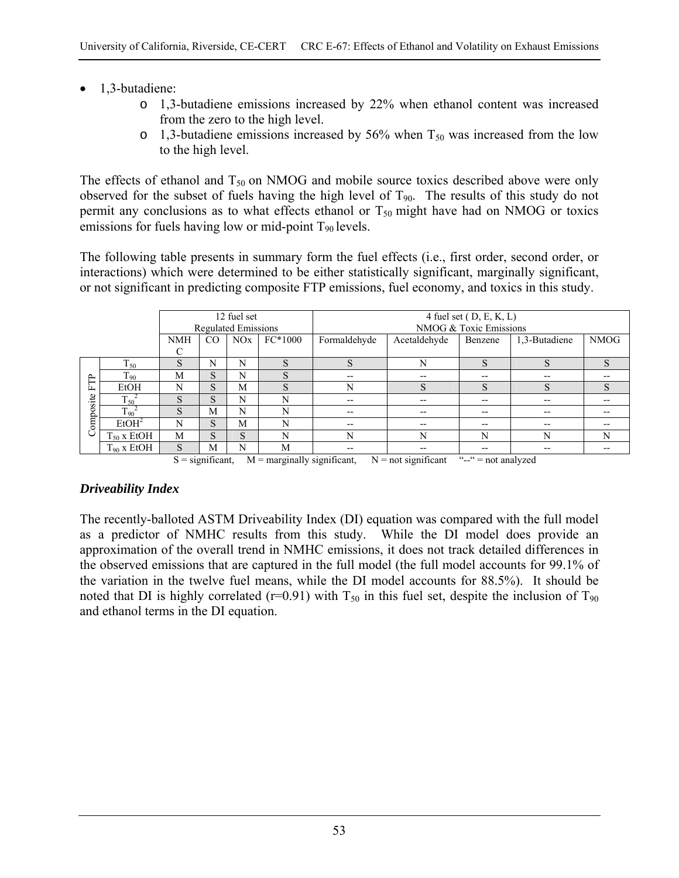- 1,3-butadiene:
	- o 1,3-butadiene emissions increased by 22% when ethanol content was increased from the zero to the high level.
	- $\circ$  1,3-butadiene emissions increased by 56% when  $T_{50}$  was increased from the low to the high level.

The effects of ethanol and  $T_{50}$  on NMOG and mobile source toxics described above were only observed for the subset of fuels having the high level of  $T_{90}$ . The results of this study do not permit any conclusions as to what effects ethanol or  $T_{50}$  might have had on NMOG or toxics emissions for fuels having low or mid-point  $T_{90}$  levels.

The following table presents in summary form the fuel effects (i.e., first order, second order, or interactions) which were determined to be either statistically significant, marginally significant, or not significant in predicting composite FTP emissions, fuel economy, and toxics in this study.

|      |                       | 12 fuel set<br><b>Regulated Emissions</b> |                     |             |                           | 4 fuel set $(D, E, K, L)$ |                                                         |                        |               |             |  |
|------|-----------------------|-------------------------------------------|---------------------|-------------|---------------------------|---------------------------|---------------------------------------------------------|------------------------|---------------|-------------|--|
|      |                       |                                           |                     |             |                           |                           |                                                         | NMOG & Toxic Emissions |               |             |  |
|      |                       | <b>NMH</b>                                | CO                  | NOx         | $FC*1000$                 | Formaldehyde              | Acetaldehyde                                            | Benzene                | 1,3-Butadiene | <b>NMOG</b> |  |
|      |                       | С                                         |                     |             |                           |                           |                                                         |                        |               |             |  |
|      | $T_{50}$              | S                                         | N                   | N           | $\mathbf C$<br>ð.         | S                         | N                                                       | C<br>G.                | S             | S           |  |
| بم   | $T_{90}$              | M                                         | S                   | N           | S                         | $- -$                     | --                                                      | $- -$                  | --            |             |  |
| ┗    | EtOH                  | N                                         | S                   | M           | S                         | N                         | S                                                       | S                      | S             | S           |  |
| site | $T_{50}$ <sup>2</sup> | S                                         | S                   | N           | N                         | $- -$                     | --                                                      | $- -$                  | --            | $- -$       |  |
|      | $T_{90}$ <sup>2</sup> | S                                         | M                   | N           | N                         | $- -$                     | $- -$                                                   | $- -$                  | --            | $- -$       |  |
| ompo | EtOH <sup>2</sup>     | N                                         | S                   | M           | N                         | $- -$                     | $- -$                                                   | $- -$                  | --            | $- -$       |  |
|      | $T_{50}$ x EtOH       | M                                         | S                   | S           | N                         | N                         | N                                                       | N                      | N             | N           |  |
|      | $T_{90}$ x EtOH       | S<br>$\sim$                               | M<br>$\cdot$ $\sim$ | N<br>$\sim$ | M<br>$\sim$ $\sim$ $\sim$ | $\cdot$ $\cdot$ $\sim$    | $\sim$ $\sim$ $\sim$ $\sim$ $\sim$ $\sim$ $\sim$ $\sim$ |                        | --            |             |  |

 $S =$  significant,  $M =$  marginally significant,  $N =$  not significant " $-$ " = not analyzed

## *Driveability Index*

The recently-balloted ASTM Driveability Index (DI) equation was compared with the full model as a predictor of NMHC results from this study. While the DI model does provide an approximation of the overall trend in NMHC emissions, it does not track detailed differences in the observed emissions that are captured in the full model (the full model accounts for 99.1% of the variation in the twelve fuel means, while the DI model accounts for 88.5%). It should be noted that DI is highly correlated (r=0.91) with  $T_{50}$  in this fuel set, despite the inclusion of  $T_{90}$ and ethanol terms in the DI equation.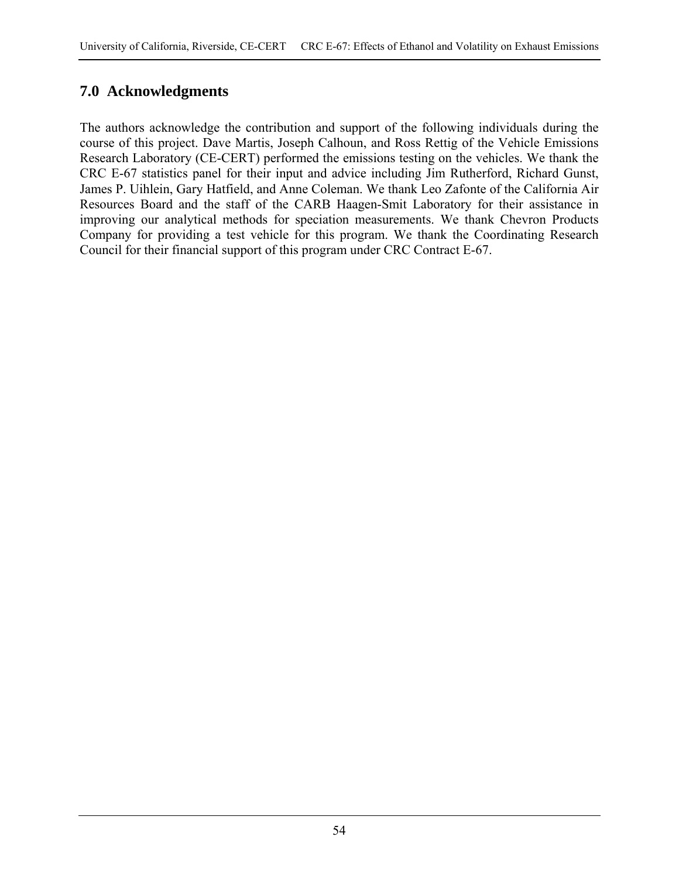# **7.0 Acknowledgments**

The authors acknowledge the contribution and support of the following individuals during the course of this project. Dave Martis, Joseph Calhoun, and Ross Rettig of the Vehicle Emissions Research Laboratory (CE-CERT) performed the emissions testing on the vehicles. We thank the CRC E-67 statistics panel for their input and advice including Jim Rutherford, Richard Gunst, James P. Uihlein, Gary Hatfield, and Anne Coleman. We thank Leo Zafonte of the California Air Resources Board and the staff of the CARB Haagen-Smit Laboratory for their assistance in improving our analytical methods for speciation measurements. We thank Chevron Products Company for providing a test vehicle for this program. We thank the Coordinating Research Council for their financial support of this program under CRC Contract E-67.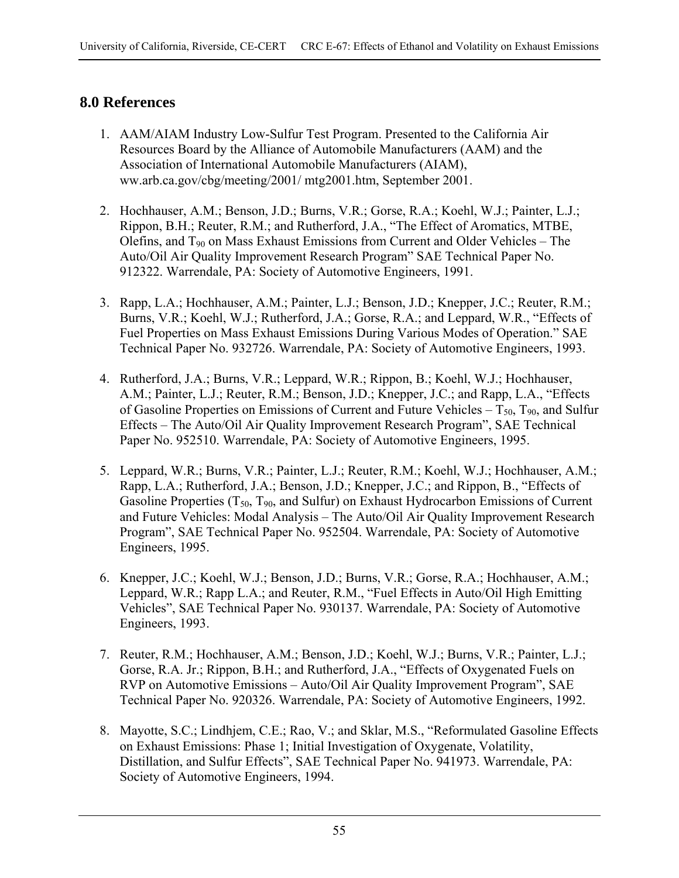# **8.0 References**

- 1. AAM/AIAM Industry Low-Sulfur Test Program. Presented to the California Air Resources Board by the Alliance of Automobile Manufacturers (AAM) and the Association of International Automobile Manufacturers (AIAM), ww.arb.ca.gov/cbg/meeting/2001/ mtg2001.htm, September 2001.
- 2. Hochhauser, A.M.; Benson, J.D.; Burns, V.R.; Gorse, R.A.; Koehl, W.J.; Painter, L.J.; Rippon, B.H.; Reuter, R.M.; and Rutherford, J.A., "The Effect of Aromatics, MTBE, Olefins, and  $T_{90}$  on Mass Exhaust Emissions from Current and Older Vehicles – The Auto/Oil Air Quality Improvement Research Program" SAE Technical Paper No. 912322. Warrendale, PA: Society of Automotive Engineers, 1991.
- 3. Rapp, L.A.; Hochhauser, A.M.; Painter, L.J.; Benson, J.D.; Knepper, J.C.; Reuter, R.M.; Burns, V.R.; Koehl, W.J.; Rutherford, J.A.; Gorse, R.A.; and Leppard, W.R., "Effects of Fuel Properties on Mass Exhaust Emissions During Various Modes of Operation." SAE Technical Paper No. 932726. Warrendale, PA: Society of Automotive Engineers, 1993.
- 4. Rutherford, J.A.; Burns, V.R.; Leppard, W.R.; Rippon, B.; Koehl, W.J.; Hochhauser, A.M.; Painter, L.J.; Reuter, R.M.; Benson, J.D.; Knepper, J.C.; and Rapp, L.A., "Effects of Gasoline Properties on Emissions of Current and Future Vehicles –  $T_{50}$ ,  $T_{90}$ , and Sulfur Effects – The Auto/Oil Air Quality Improvement Research Program", SAE Technical Paper No. 952510. Warrendale, PA: Society of Automotive Engineers, 1995.
- 5. Leppard, W.R.; Burns, V.R.; Painter, L.J.; Reuter, R.M.; Koehl, W.J.; Hochhauser, A.M.; Rapp, L.A.; Rutherford, J.A.; Benson, J.D.; Knepper, J.C.; and Rippon, B., "Effects of Gasoline Properties  $(T_{50}, T_{90},$  and Sulfur) on Exhaust Hydrocarbon Emissions of Current and Future Vehicles: Modal Analysis – The Auto/Oil Air Quality Improvement Research Program", SAE Technical Paper No. 952504. Warrendale, PA: Society of Automotive Engineers, 1995.
- 6. Knepper, J.C.; Koehl, W.J.; Benson, J.D.; Burns, V.R.; Gorse, R.A.; Hochhauser, A.M.; Leppard, W.R.; Rapp L.A.; and Reuter, R.M., "Fuel Effects in Auto/Oil High Emitting Vehicles", SAE Technical Paper No. 930137. Warrendale, PA: Society of Automotive Engineers, 1993.
- 7. Reuter, R.M.; Hochhauser, A.M.; Benson, J.D.; Koehl, W.J.; Burns, V.R.; Painter, L.J.; Gorse, R.A. Jr.; Rippon, B.H.; and Rutherford, J.A., "Effects of Oxygenated Fuels on RVP on Automotive Emissions – Auto/Oil Air Quality Improvement Program", SAE Technical Paper No. 920326. Warrendale, PA: Society of Automotive Engineers, 1992.
- 8. Mayotte, S.C.; Lindhjem, C.E.; Rao, V.; and Sklar, M.S., "Reformulated Gasoline Effects on Exhaust Emissions: Phase 1; Initial Investigation of Oxygenate, Volatility, Distillation, and Sulfur Effects", SAE Technical Paper No. 941973. Warrendale, PA: Society of Automotive Engineers, 1994.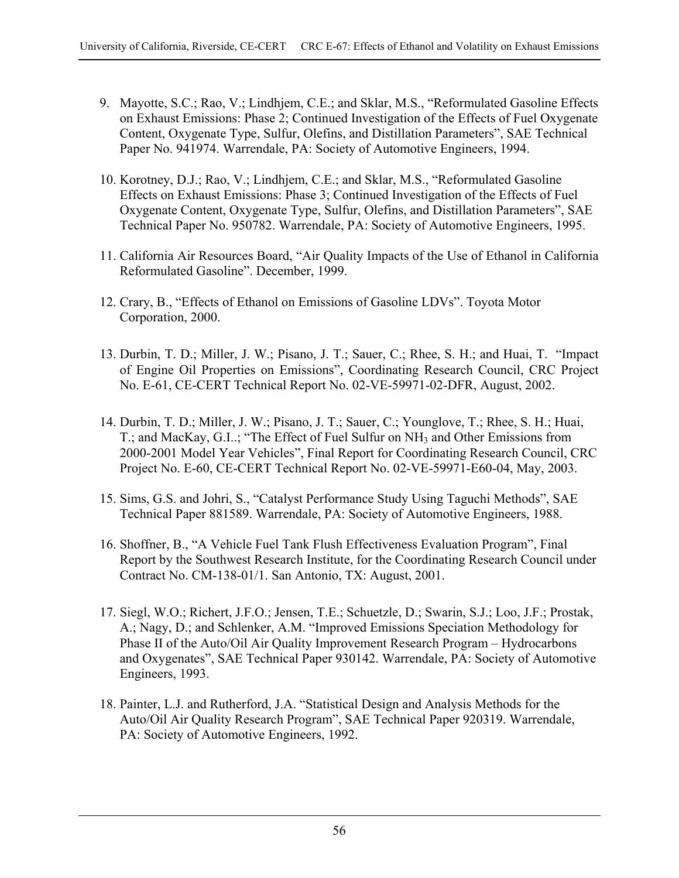- 9. Mayotte, S.C.; Rao, V.; Lindhjem, C.E.; and Sklar, M.S., "Reformulated Gasoline Effects on Exhaust Emissions: Phase 2; Continued Investigation of the Effects of Fuel Oxygenate Content, Oxygenate Type, Sulfur, Olefins, and Distillation Parameters", SAE Technical Paper No. 941974. Warrendale, PA: Society of Automotive Engineers, 1994.
- 10. Korotney, D.J.; Rao, V.; Lindhjem, C.E.; and Sklar, M.S., "Reformulated Gasoline Effects on Exhaust Emissions: Phase 3; Continued Investigation of the Effects of Fuel Oxygenate Content, Oxygenate Type, Sulfur, Olefins, and Distillation Parameters", SAE Technical Paper No. 950782. Warrendale, PA: Society of Automotive Engineers, 1995.
- 11. California Air Resources Board, "Air Quality Impacts of the Use of Ethanol in California Reformulated Gasoline". December, 1999.
- 12. Crary, B., "Effects of Ethanol on Emissions of Gasoline LDVs". Toyota Motor Corporation, 2000.
- 13. Durbin, T. D.; Miller, J. W.; Pisano, J. T.; Sauer, C.; Rhee, S. H.; and Huai, T. "Impact of Engine Oil Properties on Emissions", Coordinating Research Council, CRC Project No. E-61, CE-CERT Technical Report No. 02-VE-59971-02-DFR, August, 2002.
- 14. Durbin, T. D.; Miller, J. W.; Pisano, J. T.; Sauer, C.; Younglove, T.; Rhee, S. H.; Huai, T.; and MacKay, G.I..; "The Effect of Fuel Sulfur on NH3 and Other Emissions from 2000-2001 Model Year Vehicles", Final Report for Coordinating Research Council, CRC Project No. E-60, CE-CERT Technical Report No. 02-VE-59971-E60-04, May, 2003.
- 15. Sims, G.S. and Johri, S., "Catalyst Performance Study Using Taguchi Methods", SAE Technical Paper 881589. Warrendale, PA: Society of Automotive Engineers, 1988.
- 16. Shoffner, B., "A Vehicle Fuel Tank Flush Effectiveness Evaluation Program", Final Report by the Southwest Research Institute, for the Coordinating Research Council under Contract No. CM-138-01/1. San Antonio, TX: August, 2001.
- 17. Siegl, W.O.; Richert, J.F.O.; Jensen, T.E.; Schuetzle, D.; Swarin, S.J.; Loo, J.F.; Prostak, A.; Nagy, D.; and Schlenker, A.M. "Improved Emissions Speciation Methodology for Phase II of the Auto/Oil Air Quality Improvement Research Program – Hydrocarbons and Oxygenates", SAE Technical Paper 930142. Warrendale, PA: Society of Automotive Engineers, 1993.
- 18. Painter, L.J. and Rutherford, J.A. "Statistical Design and Analysis Methods for the Auto/Oil Air Quality Research Program", SAE Technical Paper 920319. Warrendale, PA: Society of Automotive Engineers, 1992.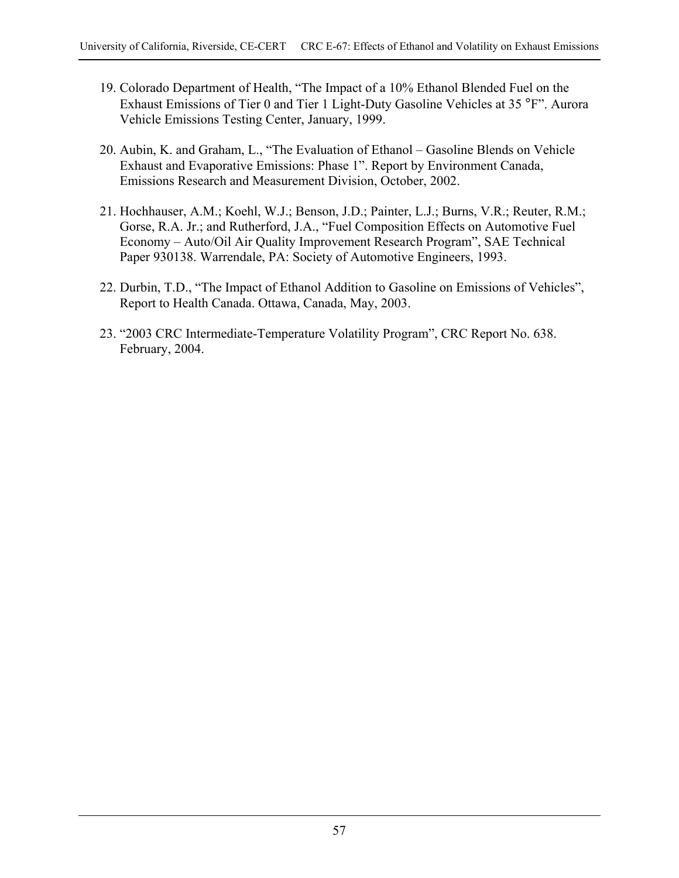- 19. Colorado Department of Health, "The Impact of a 10% Ethanol Blended Fuel on the Exhaust Emissions of Tier 0 and Tier 1 Light-Duty Gasoline Vehicles at 35 °F". Aurora Vehicle Emissions Testing Center, January, 1999.
- 20. Aubin, K. and Graham, L., "The Evaluation of Ethanol Gasoline Blends on Vehicle Exhaust and Evaporative Emissions: Phase 1". Report by Environment Canada, Emissions Research and Measurement Division, October, 2002.
- 21. Hochhauser, A.M.; Koehl, W.J.; Benson, J.D.; Painter, L.J.; Burns, V.R.; Reuter, R.M.; Gorse, R.A. Jr.; and Rutherford, J.A., "Fuel Composition Effects on Automotive Fuel Economy – Auto/Oil Air Quality Improvement Research Program", SAE Technical Paper 930138. Warrendale, PA: Society of Automotive Engineers, 1993.
- 22. Durbin, T.D., "The Impact of Ethanol Addition to Gasoline on Emissions of Vehicles", Report to Health Canada. Ottawa, Canada, May, 2003.
- 23. "2003 CRC Intermediate-Temperature Volatility Program", CRC Report No. 638. February, 2004.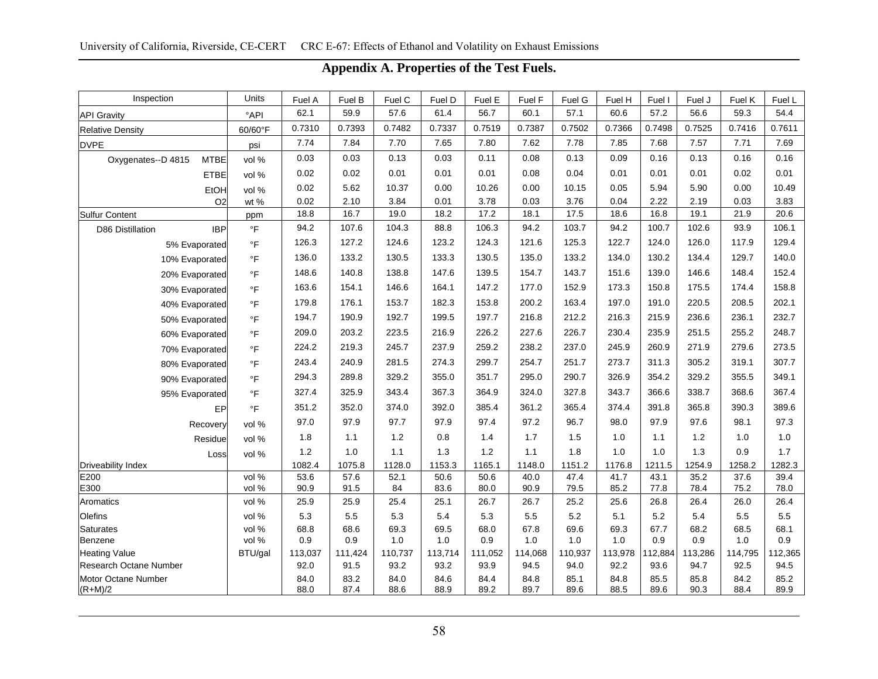| Inspection                        | Units                   |                |                |                |                |                |                |                |                |                |                |                |                |
|-----------------------------------|-------------------------|----------------|----------------|----------------|----------------|----------------|----------------|----------------|----------------|----------------|----------------|----------------|----------------|
|                                   | $^{\circ}$ API          | Fuel A<br>62.1 | Fuel B<br>59.9 | Fuel C<br>57.6 | Fuel D<br>61.4 | Fuel E<br>56.7 | Fuel F<br>60.1 | Fuel G<br>57.1 | Fuel H<br>60.6 | Fuel I<br>57.2 | Fuel J<br>56.6 | Fuel K<br>59.3 | Fuel L<br>54.4 |
| <b>API Gravity</b>                |                         | 0.7310         | 0.7393         | 0.7482         | 0.7337         | 0.7519         | 0.7387         | 0.7502         | 0.7366         | 0.7498         | 0.7525         | 0.7416         | 0.7611         |
| <b>Relative Density</b>           | 60/60°F                 | 7.74           | 7.84           | 7.70           | 7.65           | 7.80           | 7.62           | 7.78           | 7.85           | 7.68           | 7.57           | 7.71           | 7.69           |
| <b>DVPE</b>                       | psi                     |                |                |                |                |                |                |                |                |                |                |                |                |
| Oxygenates--D 4815<br><b>MTBE</b> | vol %                   | 0.03           | 0.03           | 0.13           | 0.03           | 0.11           | 0.08           | 0.13           | 0.09           | 0.16           | 0.13           | 0.16           | 0.16           |
| <b>ETBE</b>                       | vol %                   | 0.02           | 0.02           | 0.01           | 0.01           | 0.01           | 0.08           | 0.04           | 0.01           | 0.01           | 0.01           | 0.02           | 0.01           |
| EtOH                              | vol %                   | 0.02           | 5.62           | 10.37          | 0.00           | 10.26          | 0.00           | 10.15          | 0.05           | 5.94           | 5.90           | 0.00           | 10.49          |
| O <sub>2</sub>                    | wt %                    | 0.02           | 2.10           | 3.84           | 0.01           | 3.78           | 0.03           | 3.76           | 0.04           | 2.22           | 2.19           | 0.03           | 3.83           |
| Sulfur Content                    | ppm                     | 18.8           | 16.7           | 19.0           | 18.2           | 17.2           | 18.1           | 17.5           | 18.6           | 16.8           | 19.1           | 21.9           | 20.6           |
| <b>IBP</b><br>D86 Distillation    | $\,^{\circ} \mathsf{F}$ | 94.2           | 107.6          | 104.3          | 88.8           | 106.3          | 94.2           | 103.7          | 94.2           | 100.7          | 102.6          | 93.9           | 106.1          |
| 5% Evaporated                     | $^\circ \mathsf{F}$     | 126.3          | 127.2          | 124.6          | 123.2          | 124.3          | 121.6          | 125.3          | 122.7          | 124.0          | 126.0          | 117.9          | 129.4          |
| 10% Evaporated                    | $^\circ \mathsf{F}$     | 136.0          | 133.2          | 130.5          | 133.3          | 130.5          | 135.0          | 133.2          | 134.0          | 130.2          | 134.4          | 129.7          | 140.0          |
| 20% Evaporated                    | $\circ$ F               | 148.6          | 140.8          | 138.8          | 147.6          | 139.5          | 154.7          | 143.7          | 151.6          | 139.0          | 146.6          | 148.4          | 152.4          |
| 30% Evaporated                    | $\circ$ F               | 163.6          | 154.1          | 146.6          | 164.1          | 147.2          | 177.0          | 152.9          | 173.3          | 150.8          | 175.5          | 174.4          | 158.8          |
| 40% Evaporated                    | $\circ$ F               | 179.8          | 176.1          | 153.7          | 182.3          | 153.8          | 200.2          | 163.4          | 197.0          | 191.0          | 220.5          | 208.5          | 202.1          |
| 50% Evaporated                    | $^\circ \mathsf{F}$     | 194.7          | 190.9          | 192.7          | 199.5          | 197.7          | 216.8          | 212.2          | 216.3          | 215.9          | 236.6          | 236.1          | 232.7          |
| 60% Evaporated                    | $^\circ \mathsf{F}$     | 209.0          | 203.2          | 223.5          | 216.9          | 226.2          | 227.6          | 226.7          | 230.4          | 235.9          | 251.5          | 255.2          | 248.7          |
| 70% Evaporated                    | $\,^{\circ}\mathsf{F}$  | 224.2          | 219.3          | 245.7          | 237.9          | 259.2          | 238.2          | 237.0          | 245.9          | 260.9          | 271.9          | 279.6          | 273.5          |
| 80% Evaporated                    | $\,^{\circ}\mathsf{F}$  | 243.4          | 240.9          | 281.5          | 274.3          | 299.7          | 254.7          | 251.7          | 273.7          | 311.3          | 305.2          | 319.1          | 307.7          |
| 90% Evaporated                    | $\,^{\circ}\mathsf{F}$  | 294.3          | 289.8          | 329.2          | 355.0          | 351.7          | 295.0          | 290.7          | 326.9          | 354.2          | 329.2          | 355.5          | 349.1          |
| 95% Evaporated                    | $\,^{\circ}\mathsf{F}$  | 327.4          | 325.9          | 343.4          | 367.3          | 364.9          | 324.0          | 327.8          | 343.7          | 366.6          | 338.7          | 368.6          | 367.4          |
| EP                                | $\,^{\circ}\mathsf{F}$  | 351.2          | 352.0          | 374.0          | 392.0          | 385.4          | 361.2          | 365.4          | 374.4          | 391.8          | 365.8          | 390.3          | 389.6          |
| Recovery                          | vol %                   | 97.0           | 97.9           | 97.7           | 97.9           | 97.4           | 97.2           | 96.7           | 98.0           | 97.9           | 97.6           | 98.1           | 97.3           |
| Residue                           | vol %                   | 1.8            | 1.1            | 1.2            | 0.8            | 1.4            | 1.7            | 1.5            | 1.0            | 1.1            | $1.2$          | 1.0            | $1.0\,$        |
|                                   |                         | 1.2            | 1.0            | 1.1            | 1.3            | 1.2            | 1.1            | 1.8            | 1.0            | 1.0            | 1.3            | 0.9            | 1.7            |
| Loss<br>Driveability Index        | vol %                   | 1082.4         | 1075.8         | 1128.0         | 1153.3         | 1165.1         | 1148.0         | 1151.2         | 1176.8         | 1211.5         | 1254.9         | 1258.2         | 1282.3         |
| E200                              | vol %                   | 53.6           | 57.6           | 52.1           | 50.6           | 50.6           | 40.0           | 47.4           | 41.7           | 43.1           | 35.2           | 37.6           | 39.4           |
| E300                              | vol %                   | 90.9           | 91.5           | 84             | 83.6           | 80.0           | 90.9           | 79.5           | 85.2           | 77.8           | 78.4           | 75.2           | 78.0           |
| Aromatics                         | vol %                   | 25.9           | 25.9           | 25.4           | 25.1           | 26.7           | 26.7           | 25.2           | 25.6           | 26.8           | 26.4           | 26.0           | 26.4           |
| Olefins                           | vol %                   | 5.3            | 5.5            | 5.3            | 5.4            | 5.3            | 5.5            | 5.2            | 5.1            | 5.2            | 5.4            | 5.5            | 5.5            |
| <b>Saturates</b>                  | vol %                   | 68.8           | 68.6           | 69.3           | 69.5           | 68.0           | 67.8           | 69.6           | 69.3           | 67.7           | 68.2           | 68.5           | 68.1           |
| Benzene                           | vol %                   | 0.9            | 0.9            | 1.0            | 1.0            | 0.9            | 1.0            | 1.0            | 1.0            | 0.9            | 0.9            | 1.0            | 0.9            |
| Heating Value                     | BTU/gal                 | 113,037        | 111,424        | 110,737        | 113,714        | 111,052        | 114,068        | 110,937        | 113,978        | 112,884        | 113,286        | 114,795        | 112,365        |
| Research Octane Number            |                         | 92.0           | 91.5           | 93.2           | 93.2           | 93.9           | 94.5           | 94.0           | 92.2           | 93.6           | 94.7           | 92.5           | 94.5           |
| Motor Octane Number               |                         | 84.0           | 83.2           | 84.0           | 84.6           | 84.4           | 84.8           | 85.1           | 84.8           | 85.5           | 85.8           | 84.2           | 85.2           |
| $(R+M)/2$                         |                         | 88.0           | 87.4           | 88.6           | 88.9           | 89.2           | 89.7           | 89.6           | 88.5           | 89.6           | 90.3           | 88.4           | 89.9           |

## **Appendix A. Properties of the Test Fuels.**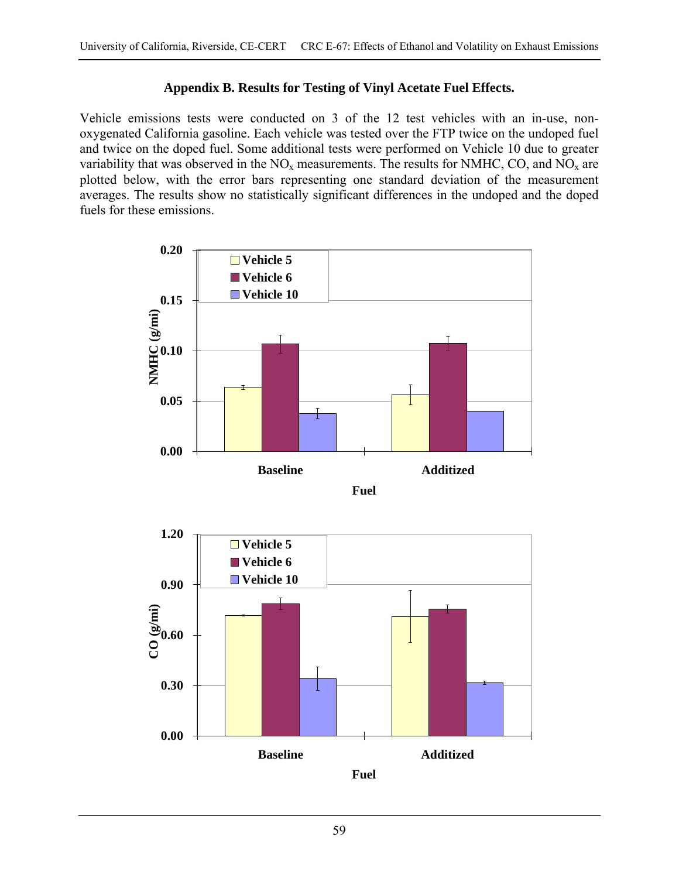### **Appendix B. Results for Testing of Vinyl Acetate Fuel Effects.**

Vehicle emissions tests were conducted on 3 of the 12 test vehicles with an in-use, nonoxygenated California gasoline. Each vehicle was tested over the FTP twice on the undoped fuel and twice on the doped fuel. Some additional tests were performed on Vehicle 10 due to greater variability that was observed in the  $NO<sub>x</sub>$  measurements. The results for NMHC, CO, and  $NO<sub>x</sub>$  are plotted below, with the error bars representing one standard deviation of the measurement averages. The results show no statistically significant differences in the undoped and the doped fuels for these emissions.



**Baseline Additized Fuel**

**0.00**

**0.30**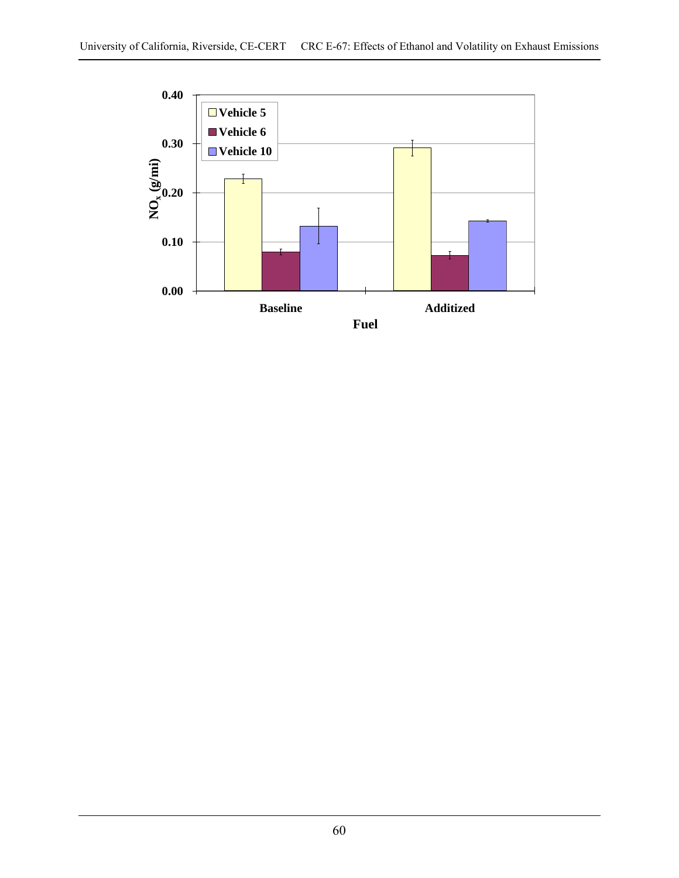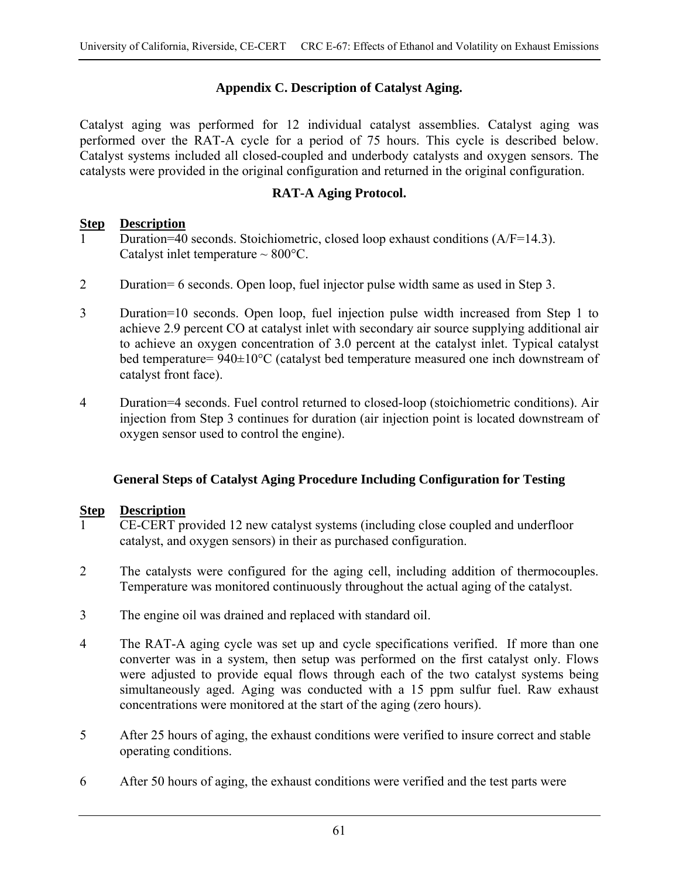## **Appendix C. Description of Catalyst Aging.**

Catalyst aging was performed for 12 individual catalyst assemblies. Catalyst aging was performed over the RAT-A cycle for a period of 75 hours. This cycle is described below. Catalyst systems included all closed-coupled and underbody catalysts and oxygen sensors. The catalysts were provided in the original configuration and returned in the original configuration.

### **RAT-A Aging Protocol.**

### **Step Description**

- Duration=40 seconds. Stoichiometric, closed loop exhaust conditions (A/F=14.3). Catalyst inlet temperature  $\sim 800^{\circ}$ C.
- 2 Duration= 6 seconds. Open loop, fuel injector pulse width same as used in Step 3.
- 3 Duration=10 seconds. Open loop, fuel injection pulse width increased from Step 1 to achieve 2.9 percent CO at catalyst inlet with secondary air source supplying additional air to achieve an oxygen concentration of 3.0 percent at the catalyst inlet. Typical catalyst bed temperature= 940±10°C (catalyst bed temperature measured one inch downstream of catalyst front face).
- 4 Duration=4 seconds. Fuel control returned to closed-loop (stoichiometric conditions). Air injection from Step 3 continues for duration (air injection point is located downstream of oxygen sensor used to control the engine).

### **General Steps of Catalyst Aging Procedure Including Configuration for Testing**

### **Step Description**

- 1 CE-CERT provided 12 new catalyst systems (including close coupled and underfloor catalyst, and oxygen sensors) in their as purchased configuration.
- 2 The catalysts were configured for the aging cell, including addition of thermocouples. Temperature was monitored continuously throughout the actual aging of the catalyst.
- 3 The engine oil was drained and replaced with standard oil.
- 4 The RAT-A aging cycle was set up and cycle specifications verified. If more than one converter was in a system, then setup was performed on the first catalyst only. Flows were adjusted to provide equal flows through each of the two catalyst systems being simultaneously aged. Aging was conducted with a 15 ppm sulfur fuel. Raw exhaust concentrations were monitored at the start of the aging (zero hours).
- 5 After 25 hours of aging, the exhaust conditions were verified to insure correct and stable operating conditions.
- 6 After 50 hours of aging, the exhaust conditions were verified and the test parts were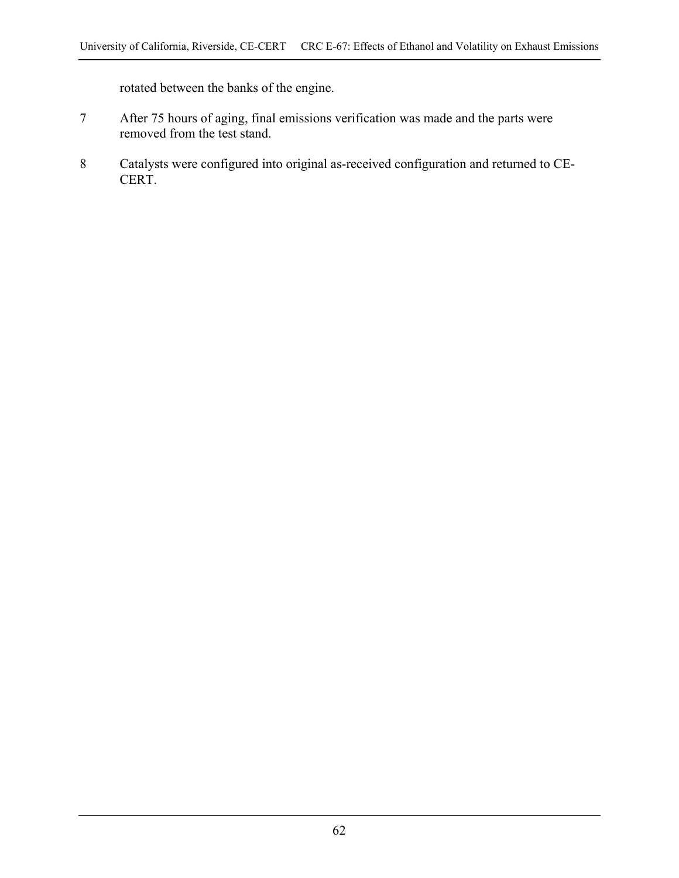rotated between the banks of the engine.

- 7 After 75 hours of aging, final emissions verification was made and the parts were removed from the test stand.
- 8 Catalysts were configured into original as-received configuration and returned to CE-CERT.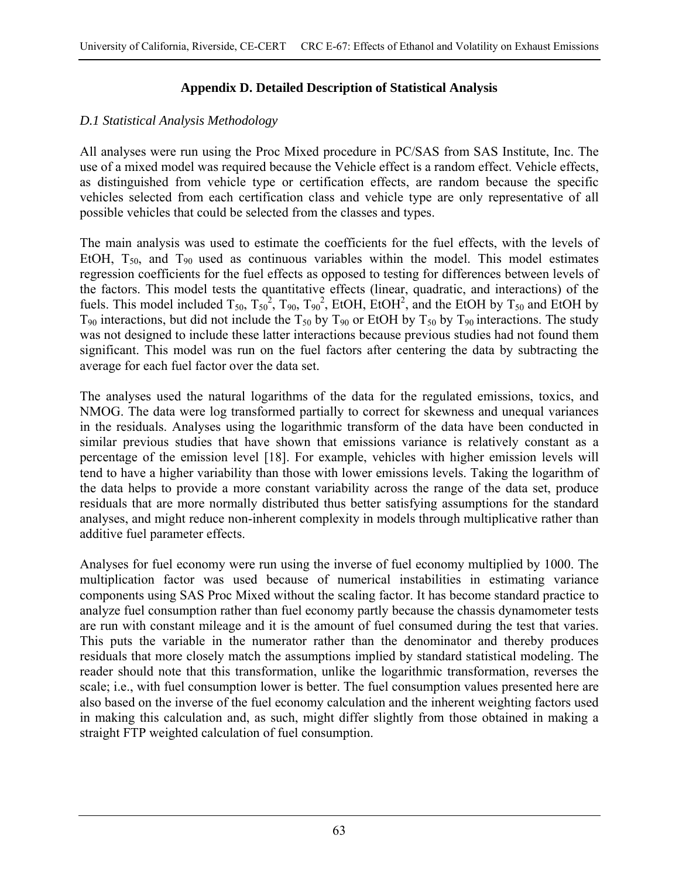## **Appendix D. Detailed Description of Statistical Analysis**

## *D.1 Statistical Analysis Methodology*

All analyses were run using the Proc Mixed procedure in PC/SAS from SAS Institute, Inc. The use of a mixed model was required because the Vehicle effect is a random effect. Vehicle effects, as distinguished from vehicle type or certification effects, are random because the specific vehicles selected from each certification class and vehicle type are only representative of all possible vehicles that could be selected from the classes and types.

The main analysis was used to estimate the coefficients for the fuel effects, with the levels of EtOH,  $T_{50}$ , and  $T_{90}$  used as continuous variables within the model. This model estimates regression coefficients for the fuel effects as opposed to testing for differences between levels of the factors. This model tests the quantitative effects (linear, quadratic, and interactions) of the fuels. This model included  $T_{50}$ ,  $T_{50}^2$ ,  $T_{90}$ ,  $T_{90}^2$ , EtOH, EtOH<sup>2</sup>, and the EtOH by  $T_{50}$  and EtOH by  $T_{90}$  interactions, but did not include the  $T_{50}$  by  $T_{90}$  or EtOH by  $T_{50}$  by  $T_{90}$  interactions. The study was not designed to include these latter interactions because previous studies had not found them significant. This model was run on the fuel factors after centering the data by subtracting the average for each fuel factor over the data set.

The analyses used the natural logarithms of the data for the regulated emissions, toxics, and NMOG. The data were log transformed partially to correct for skewness and unequal variances in the residuals. Analyses using the logarithmic transform of the data have been conducted in similar previous studies that have shown that emissions variance is relatively constant as a percentage of the emission level [18]. For example, vehicles with higher emission levels will tend to have a higher variability than those with lower emissions levels. Taking the logarithm of the data helps to provide a more constant variability across the range of the data set, produce residuals that are more normally distributed thus better satisfying assumptions for the standard analyses, and might reduce non-inherent complexity in models through multiplicative rather than additive fuel parameter effects.

Analyses for fuel economy were run using the inverse of fuel economy multiplied by 1000. The multiplication factor was used because of numerical instabilities in estimating variance components using SAS Proc Mixed without the scaling factor. It has become standard practice to analyze fuel consumption rather than fuel economy partly because the chassis dynamometer tests are run with constant mileage and it is the amount of fuel consumed during the test that varies. This puts the variable in the numerator rather than the denominator and thereby produces residuals that more closely match the assumptions implied by standard statistical modeling. The reader should note that this transformation, unlike the logarithmic transformation, reverses the scale; i.e., with fuel consumption lower is better. The fuel consumption values presented here are also based on the inverse of the fuel economy calculation and the inherent weighting factors used in making this calculation and, as such, might differ slightly from those obtained in making a straight FTP weighted calculation of fuel consumption.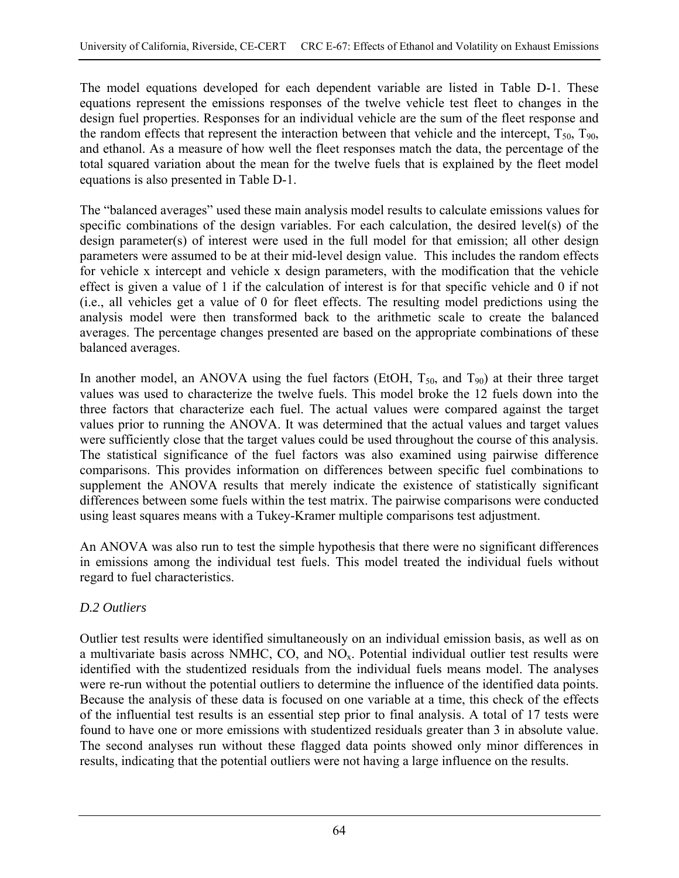The model equations developed for each dependent variable are listed in Table D-1. These equations represent the emissions responses of the twelve vehicle test fleet to changes in the design fuel properties. Responses for an individual vehicle are the sum of the fleet response and the random effects that represent the interaction between that vehicle and the intercept,  $T_{50}$ ,  $T_{90}$ , and ethanol. As a measure of how well the fleet responses match the data, the percentage of the total squared variation about the mean for the twelve fuels that is explained by the fleet model equations is also presented in Table D-1.

The "balanced averages" used these main analysis model results to calculate emissions values for specific combinations of the design variables. For each calculation, the desired level(s) of the design parameter(s) of interest were used in the full model for that emission; all other design parameters were assumed to be at their mid-level design value. This includes the random effects for vehicle x intercept and vehicle x design parameters, with the modification that the vehicle effect is given a value of 1 if the calculation of interest is for that specific vehicle and 0 if not (i.e., all vehicles get a value of 0 for fleet effects. The resulting model predictions using the analysis model were then transformed back to the arithmetic scale to create the balanced averages. The percentage changes presented are based on the appropriate combinations of these balanced averages.

In another model, an ANOVA using the fuel factors (EtOH,  $T_{50}$ , and  $T_{90}$ ) at their three target values was used to characterize the twelve fuels. This model broke the 12 fuels down into the three factors that characterize each fuel. The actual values were compared against the target values prior to running the ANOVA. It was determined that the actual values and target values were sufficiently close that the target values could be used throughout the course of this analysis. The statistical significance of the fuel factors was also examined using pairwise difference comparisons. This provides information on differences between specific fuel combinations to supplement the ANOVA results that merely indicate the existence of statistically significant differences between some fuels within the test matrix. The pairwise comparisons were conducted using least squares means with a Tukey-Kramer multiple comparisons test adjustment.

An ANOVA was also run to test the simple hypothesis that there were no significant differences in emissions among the individual test fuels. This model treated the individual fuels without regard to fuel characteristics.

## *D.2 Outliers*

Outlier test results were identified simultaneously on an individual emission basis, as well as on a multivariate basis across NMHC, CO, and  $NO<sub>x</sub>$ . Potential individual outlier test results were identified with the studentized residuals from the individual fuels means model. The analyses were re-run without the potential outliers to determine the influence of the identified data points. Because the analysis of these data is focused on one variable at a time, this check of the effects of the influential test results is an essential step prior to final analysis. A total of 17 tests were found to have one or more emissions with studentized residuals greater than 3 in absolute value. The second analyses run without these flagged data points showed only minor differences in results, indicating that the potential outliers were not having a large influence on the results.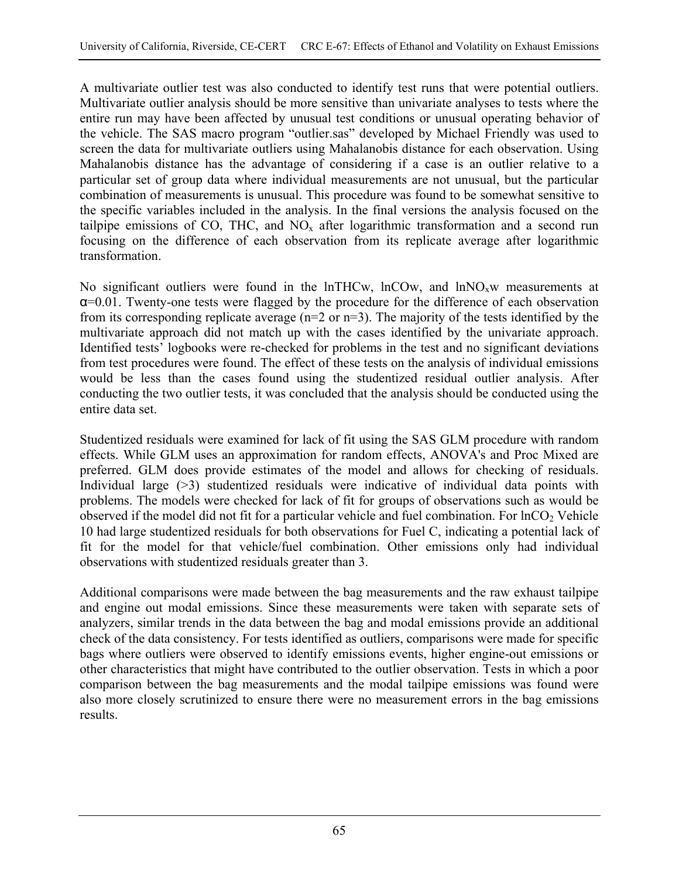A multivariate outlier test was also conducted to identify test runs that were potential outliers. Multivariate outlier analysis should be more sensitive than univariate analyses to tests where the entire run may have been affected by unusual test conditions or unusual operating behavior of the vehicle. The SAS macro program "outlier.sas" developed by Michael Friendly was used to screen the data for multivariate outliers using Mahalanobis distance for each observation. Using Mahalanobis distance has the advantage of considering if a case is an outlier relative to a particular set of group data where individual measurements are not unusual, but the particular combination of measurements is unusual. This procedure was found to be somewhat sensitive to the specific variables included in the analysis. In the final versions the analysis focused on the tailpipe emissions of CO, THC, and  $NO<sub>x</sub>$  after logarithmic transformation and a second run focusing on the difference of each observation from its replicate average after logarithmic transformation.

No significant outliers were found in the lnTHCw, lnCOw, and lnNO<sub>x</sub>w measurements at α=0.01. Twenty-one tests were flagged by the procedure for the difference of each observation from its corresponding replicate average (n=2 or n=3). The majority of the tests identified by the multivariate approach did not match up with the cases identified by the univariate approach. Identified tests' logbooks were re-checked for problems in the test and no significant deviations from test procedures were found. The effect of these tests on the analysis of individual emissions would be less than the cases found using the studentized residual outlier analysis. After conducting the two outlier tests, it was concluded that the analysis should be conducted using the entire data set.

Studentized residuals were examined for lack of fit using the SAS GLM procedure with random effects. While GLM uses an approximation for random effects, ANOVA's and Proc Mixed are preferred. GLM does provide estimates of the model and allows for checking of residuals. Individual large (>3) studentized residuals were indicative of individual data points with problems. The models were checked for lack of fit for groups of observations such as would be observed if the model did not fit for a particular vehicle and fuel combination. For  $ln CO<sub>2</sub>$  Vehicle 10 had large studentized residuals for both observations for Fuel C, indicating a potential lack of fit for the model for that vehicle/fuel combination. Other emissions only had individual observations with studentized residuals greater than 3.

Additional comparisons were made between the bag measurements and the raw exhaust tailpipe and engine out modal emissions. Since these measurements were taken with separate sets of analyzers, similar trends in the data between the bag and modal emissions provide an additional check of the data consistency. For tests identified as outliers, comparisons were made for specific bags where outliers were observed to identify emissions events, higher engine-out emissions or other characteristics that might have contributed to the outlier observation. Tests in which a poor comparison between the bag measurements and the modal tailpipe emissions was found were also more closely scrutinized to ensure there were no measurement errors in the bag emissions results.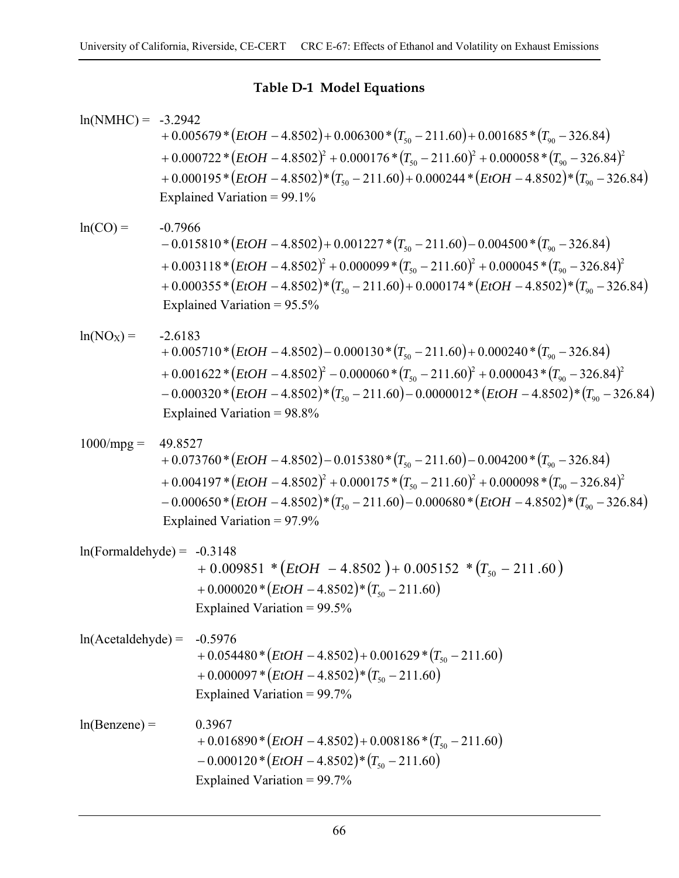## **Table D-1 Model Equations**

| $ln(NMHC) = -3.2942$         |                                                                                                                                                                                                                                                                                                                                      | + $0.005679 * (EtOH - 4.8502) + 0.006300 * (T_{50} - 211.60) + 0.001685 * (T_{90} - 326.84)$<br>+ 0.000722 * $(EtOH - 4.8502)^2$ + 0.000176 * $(T_{50} - 211.60)^2$ + 0.000058 * $(T_{90} - 326.84)^2$<br>$+0.000195*(EtOH - 4.8502)*(T_{50}-211.60)+0.000244*(EtOH - 4.8502)*(T_{90}-326.84)$<br>Explained Variation = $99.1\%$                   |  |
|------------------------------|--------------------------------------------------------------------------------------------------------------------------------------------------------------------------------------------------------------------------------------------------------------------------------------------------------------------------------------|----------------------------------------------------------------------------------------------------------------------------------------------------------------------------------------------------------------------------------------------------------------------------------------------------------------------------------------------------|--|
| $ln(CO) =$                   |                                                                                                                                                                                                                                                                                                                                      | $-0.7966$<br>$-0.015810*(EtOH - 4.8502) + 0.001227*(T_{50} - 211.60) - 0.004500*(T_{90} - 326.84))$<br>$+0.003118*(EtOH - 4.8502)^2 + 0.000099*(T_{50} - 211.60)^2 + 0.000045*(T_{50} - 326.84)^2)$<br>+ 0.000355 * $(EtOH - 4.8502)$ * $(T_{50} - 211.60)$ + 0.000174 * $(EtOH - 4.8502)$ * $(T_{90} - 326.84)$<br>Explained Variation = $95.5\%$ |  |
| $ln(NO_X) =$                 | $-2.6183$<br>+ $0.005710*(EtOH - 4.8502) - 0.000130*(T_{50} - 211.60) + 0.000240*(T_{90} - 326.84))$<br>$+0.001622*(EtOH - 4.8502)^{2} - 0.000060*(T_{50} - 211.60)^{2} + 0.000043*(T_{90} - 326.84)^{2}$<br>$-0.000320*(EtOH - 4.8502)*(T_{50}-211.60)-0.0000012*(EtOH - 4.8502)*(T_{90}-326.84)$<br>Explained Variation = $98.8\%$ |                                                                                                                                                                                                                                                                                                                                                    |  |
| $1000/mpg =$                 | 49.8527                                                                                                                                                                                                                                                                                                                              | $+0.073760*(EtOH - 4.8502) - 0.015380*(T_{50} - 211.60) - 0.004200*(T_{90} - 326.84)$<br>+ 0.004197 * $(EtOH - 4.8502)^2$ + 0.000175 * $(T_{50} - 211.60)^2$ + 0.000098 * $(T_{90} - 326.84)^2$<br>$-0.000650*(EtOH - 4.8502)*(T_{50}-211.60)-0.000680*(EtOH - 4.8502)*(T_{90}-326.84)$<br>Explained Variation = $97.9\%$                          |  |
| $ln(Formaldehyde) = -0.3148$ |                                                                                                                                                                                                                                                                                                                                      | $+0.009851 * (EtOH - 4.8502) + 0.005152 * (T_{50} - 211.60)$<br>+ $0.000020$ * $(EtOH - 4.8502)$ * $(T_{50} - 211.60)$<br>Explained Variation = $99.5\%$                                                                                                                                                                                           |  |
| $ln(Acetaldehyde) =$         |                                                                                                                                                                                                                                                                                                                                      | $-0.5976$<br>+ 0.054480 * $(EtOH - 4.8502)$ + 0.001629 * $(T_{50} - 211.60)$<br>$+0.000097*(EtOH - 4.8502)*(T50 - 211.60)$<br>Explained Variation = $99.7\%$                                                                                                                                                                                       |  |
| $ln(Benzene) =$              |                                                                                                                                                                                                                                                                                                                                      | 0.3967<br>+ 0.016890 * $(EtOH - 4.8502)$ + 0.008186 * $(T_{50} - 211.60)$<br>$-0.000120*(EtOH - 4.8502)*(T_{50} - 211.60)$<br>Explained Variation = $99.7\%$                                                                                                                                                                                       |  |